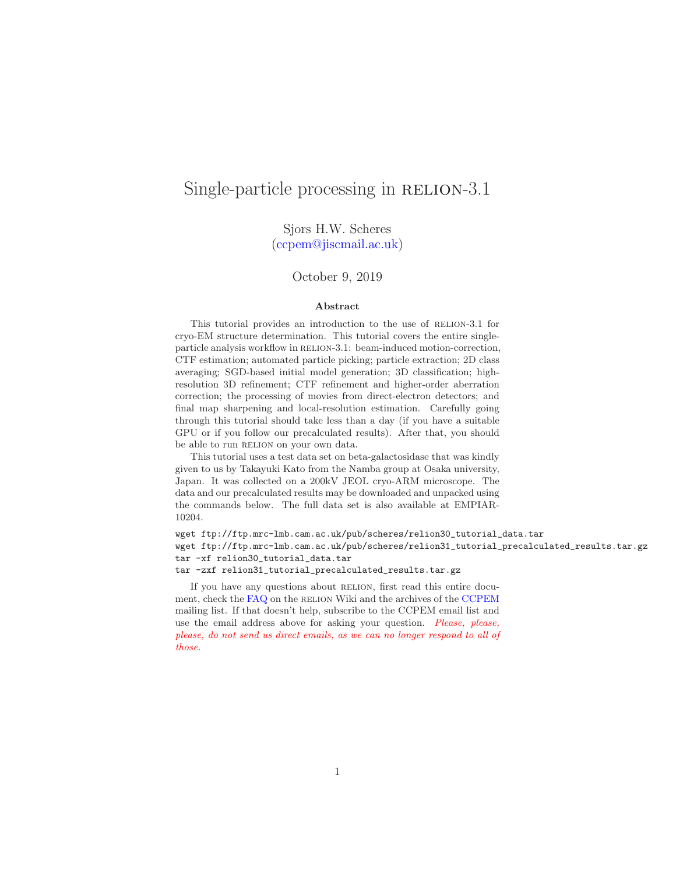# Single-particle processing in RELION-3.1

Sjors H.W. Scheres [\(ccpem@jiscmail.ac.uk\)](mailto:ccpem@jiscmail.ac.uk)

#### October 9, 2019

#### Abstract

This tutorial provides an introduction to the use of RELION-3.1 for cryo-EM structure determination. This tutorial covers the entire singleparticle analysis workflow in RELION-3.1: beam-induced motion-correction, CTF estimation; automated particle picking; particle extraction; 2D class averaging; SGD-based initial model generation; 3D classification; highresolution 3D refinement; CTF refinement and higher-order aberration correction; the processing of movies from direct-electron detectors; and final map sharpening and local-resolution estimation. Carefully going through this tutorial should take less than a day (if you have a suitable GPU or if you follow our precalculated results). After that, you should be able to run RELION on your own data.

This tutorial uses a test data set on beta-galactosidase that was kindly given to us by Takayuki Kato from the Namba group at Osaka university, Japan. It was collected on a 200kV JEOL cryo-ARM microscope. The data and our precalculated results may be downloaded and unpacked using the commands below. The full data set is also available at EMPIAR-10204.

wget ftp://ftp.mrc-lmb.cam.ac.uk/pub/scheres/relion30\_tutorial\_data.tar wget ftp://ftp.mrc-lmb.cam.ac.uk/pub/scheres/relion31\_tutorial\_precalculated\_results.tar.gz tar -xf relion30\_tutorial\_data.tar

tar -zxf relion31\_tutorial\_precalculated\_results.tar.gz

If you have any questions about RELION, first read this entire docu-ment, check the [FAQ](http://www2.mrc-lmb.cam.ac.uk/relion/index.php/FAQs) on the RELION Wiki and the archives of the [CCPEM](https://www.jiscmail.ac.uk/ccpem) mailing list. If that doesn't help, subscribe to the CCPEM email list and use the email address above for asking your question. *Please*, *please*, please, do not send us direct emails, as we can no longer respond to all of those.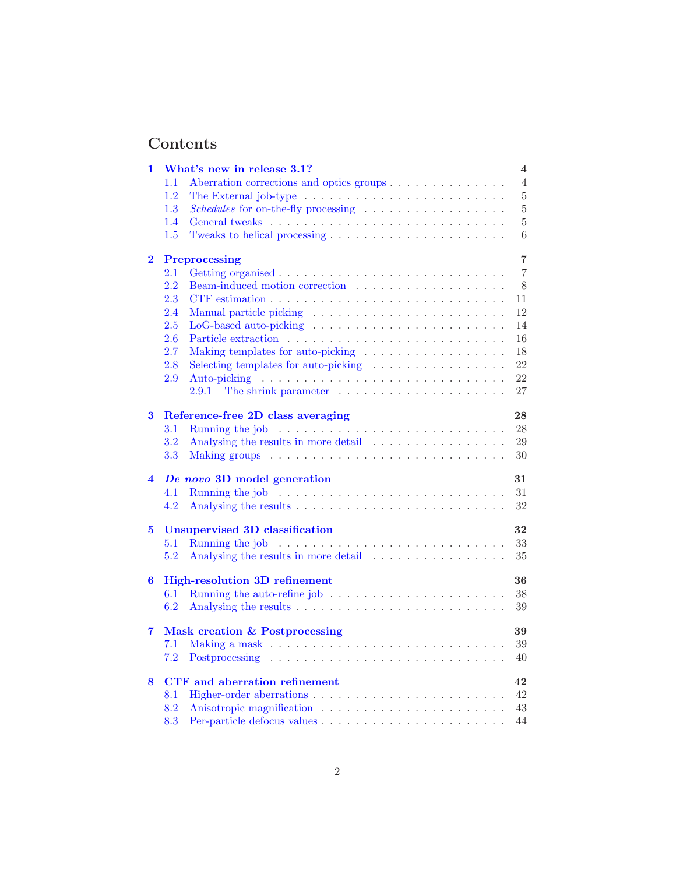# Contents

| 1                       | What's new in release 3.1?                                                              | $\overline{\mathbf{4}}$ |
|-------------------------|-----------------------------------------------------------------------------------------|-------------------------|
|                         | 1.1<br>Aberration corrections and optics groups                                         | 4                       |
|                         | 1.2<br>The External job-type $\dots \dots \dots \dots \dots \dots \dots \dots \dots$    | $\rm 5$                 |
|                         | Schedules for on-the-fly processing<br>1.3                                              | $\bf 5$                 |
|                         | 1.4                                                                                     | $\bf 5$                 |
|                         | 1.5                                                                                     | $\,6$                   |
| $\overline{\mathbf{2}}$ | Preprocessing                                                                           | $\overline{7}$          |
|                         | 2.1                                                                                     | $\overline{7}$          |
|                         | 2.2                                                                                     | 8                       |
|                         | 2.3                                                                                     | 11                      |
|                         | 2.4                                                                                     | 12                      |
|                         | 2.5                                                                                     | 14                      |
|                         | 2.6                                                                                     | 16                      |
|                         | 2.7<br>Making templates for auto-picking                                                | 18                      |
|                         | 2.8<br>Selecting templates for auto-picking $\ldots \ldots \ldots \ldots \ldots$        | 22                      |
|                         | 2.9                                                                                     | 22                      |
|                         | The shrink parameter $\dots \dots \dots \dots \dots \dots \dots$<br>2.9.1               | 27                      |
| 3                       | Reference-free 2D class averaging                                                       | 28                      |
|                         | 3.1                                                                                     | 28                      |
|                         | 3.2                                                                                     | 29                      |
|                         | 3.3                                                                                     | 30                      |
| 4                       | De novo 3D model generation                                                             | 31                      |
|                         | 4.1                                                                                     | 31                      |
|                         | 4.2                                                                                     | 32                      |
| 5                       | <b>Unsupervised 3D classification</b>                                                   | 32                      |
|                         | Running the job $\ldots \ldots \ldots \ldots \ldots \ldots \ldots \ldots \ldots$<br>5.1 | 33                      |
|                         | 5.2<br>Analysing the results in more detail                                             | 35                      |
| 6                       | <b>High-resolution 3D refinement</b>                                                    | 36                      |
|                         | 6.1                                                                                     | $38\,$                  |
|                         | 6.2                                                                                     | 39                      |
| 7                       | Mask creation & Postprocessing                                                          | 39                      |
|                         | 7.1                                                                                     | 39                      |
|                         | 7.2                                                                                     | 40                      |
| 8                       | <b>CTF</b> and aberration refinement                                                    | 42                      |
|                         | 8.1                                                                                     | 42                      |
|                         | 8.2                                                                                     | 43                      |
|                         | 8.3                                                                                     | 44                      |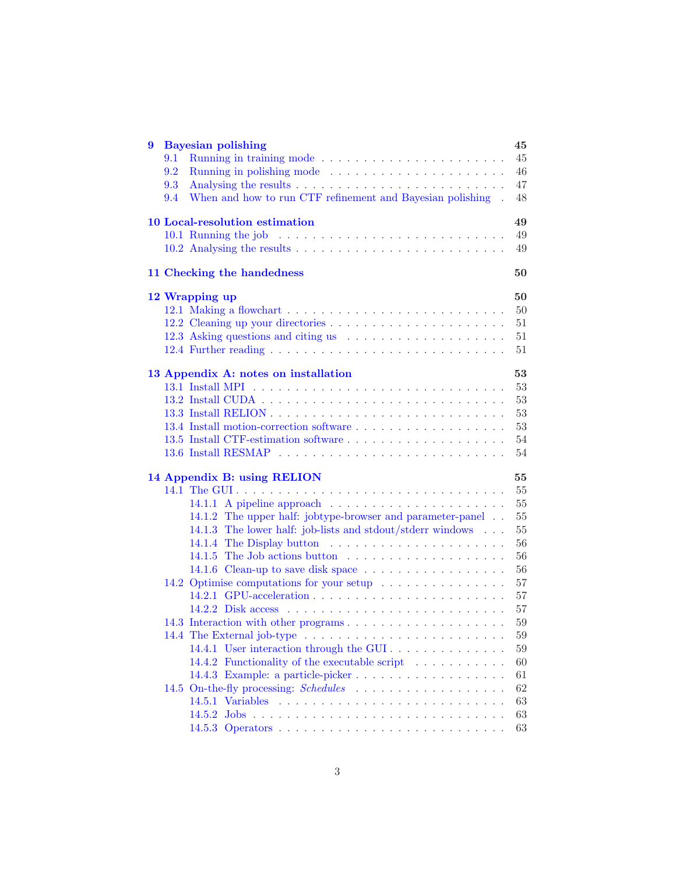| 9 | <b>Bayesian polishing</b><br>45                                               |        |
|---|-------------------------------------------------------------------------------|--------|
|   | 9.1                                                                           | 45     |
|   | 9.2                                                                           | 46     |
|   | 9.3                                                                           | 47     |
|   | When and how to run CTF refinement and Bayesian polishing.<br>9.4             | $48\,$ |
|   | 10 Local-resolution estimation<br>49                                          |        |
|   |                                                                               | 49     |
|   |                                                                               | 49     |
|   | 11 Checking the handedness<br>50                                              |        |
|   | 12 Wrapping up<br>50                                                          |        |
|   |                                                                               | 50     |
|   |                                                                               | 51     |
|   |                                                                               | 51     |
|   |                                                                               | 51     |
|   | 13 Appendix A: notes on installation<br>53                                    |        |
|   |                                                                               | $53\,$ |
|   |                                                                               | $53\,$ |
|   |                                                                               | 53     |
|   |                                                                               | 53     |
|   |                                                                               | 54     |
|   |                                                                               | 54     |
|   | 14 Appendix B: using RELION<br>55                                             |        |
|   |                                                                               | 55     |
|   | 14.1.1 A pipeline approach $\ldots \ldots \ldots \ldots \ldots \ldots \ldots$ | 55     |
|   | 14.1.2 The upper half: jobtype-browser and parameter-panel                    | 55     |
|   | 14.1.3 The lower half: job-lists and stdout/stderr windows                    | 55     |
|   |                                                                               | 56     |
|   | 14.1.5 The Job actions button $\ldots \ldots \ldots \ldots \ldots \ldots$     | 56     |
|   | 14.1.6 Clean-up to save disk space $\dots \dots \dots \dots \dots \dots$      | 56     |
|   | 14.2 Optimise computations for your setup                                     | 57     |
|   |                                                                               | 57     |
|   |                                                                               | 57     |
|   | 14.3 Interaction with other programs                                          | 59     |
|   |                                                                               | $59\,$ |
|   | 14.4.1 User interaction through the GUI                                       | 59     |
|   | 14.4.2 Functionality of the executable script                                 | 60     |
|   | 14.4.3 Example: a particle-picker                                             | 61     |
|   |                                                                               | 62     |
|   |                                                                               | 63     |
|   | 14.5.2                                                                        | 63     |
|   |                                                                               | 63     |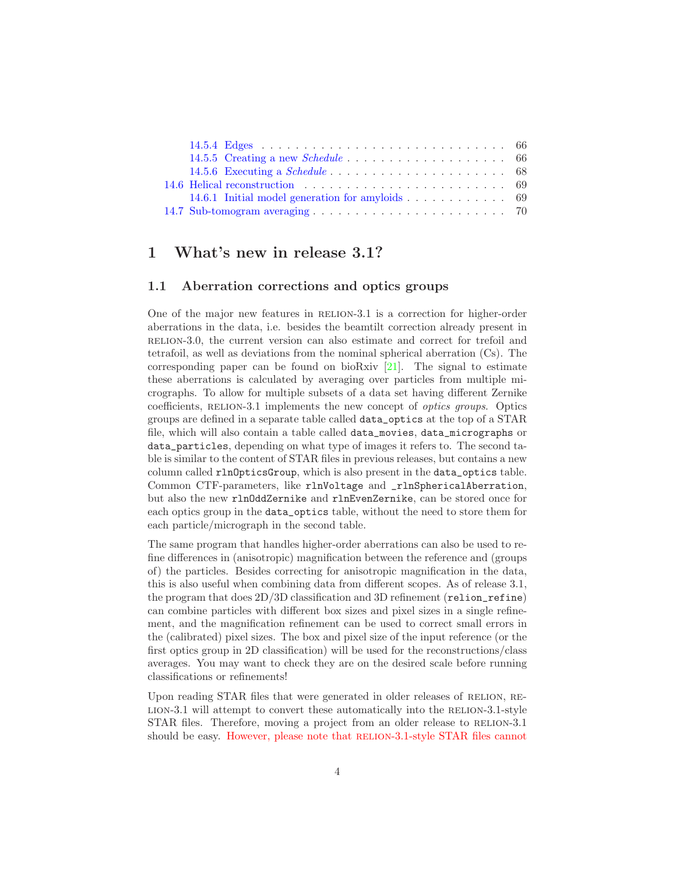| 14.6.1 Initial model generation for amyloids $\ldots \ldots \ldots \ldots$ 69 |  |
|-------------------------------------------------------------------------------|--|
|                                                                               |  |

## <span id="page-3-1"></span><span id="page-3-0"></span>1 What's new in release 3.1?

## 1.1 Aberration corrections and optics groups

One of the major new features in RELION-3.1 is a correction for higher-order aberrations in the data, i.e. besides the beamtilt correction already present in relion-3.0, the current version can also estimate and correct for trefoil and tetrafoil, as well as deviations from the nominal spherical aberration (Cs). The corresponding paper can be found on bioRxiv [\[21](#page-71-0)]. The signal to estimate these aberrations is calculated by averaging over particles from multiple micrographs. To allow for multiple subsets of a data set having different Zernike coefficients, RELION-3.1 implements the new concept of *optics groups*. Optics groups are defined in a separate table called data\_optics at the top of a STAR file, which will also contain a table called data\_movies, data\_micrographs or data\_particles, depending on what type of images it refers to. The second table is similar to the content of STAR files in previous releases, but contains a new column called rlnOpticsGroup, which is also present in the data\_optics table. Common CTF-parameters, like rlnVoltage and \_rlnSphericalAberration, but also the new rlnOddZernike and rlnEvenZernike, can be stored once for each optics group in the data\_optics table, without the need to store them for each particle/micrograph in the second table.

The same program that handles higher-order aberrations can also be used to refine differences in (anisotropic) magnification between the reference and (groups of) the particles. Besides correcting for anisotropic magnification in the data, this is also useful when combining data from different scopes. As of release 3.1, the program that does 2D/3D classification and 3D refinement (relion\_refine) can combine particles with different box sizes and pixel sizes in a single refinement, and the magnification refinement can be used to correct small errors in the (calibrated) pixel sizes. The box and pixel size of the input reference (or the first optics group in 2D classification) will be used for the reconstructions/class averages. You may want to check they are on the desired scale before running classifications or refinements!

Upon reading STAR files that were generated in older releases of RELION, RE-LION-3.1 will attempt to convert these automatically into the RELION-3.1-style STAR files. Therefore, moving a project from an older release to RELION-3.1 should be easy. However, please note that RELION-3.1-style STAR files cannot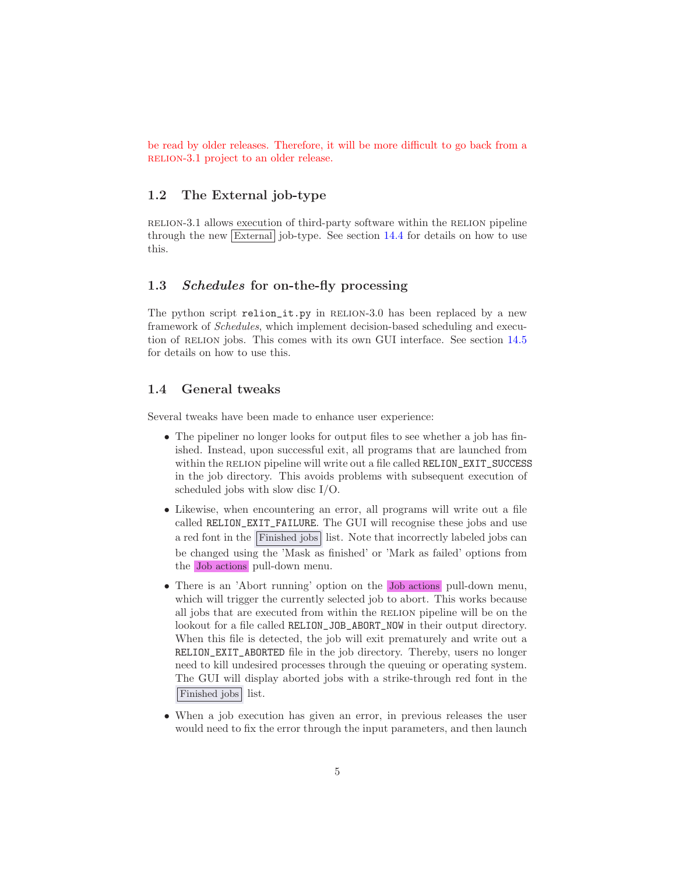be read by older releases. Therefore, it will be more difficult to go back from a RELION-3.1 project to an older release.

## <span id="page-4-0"></span>1.2 The External job-type

relion-3.1 allows execution of third-party software within the relion pipeline through the new  $\boxed{\text{External}}$  job-type. See section [14.4](#page-58-1) for details on how to use this.

## <span id="page-4-1"></span>1.3 Schedules for on-the-fly processing

The python script relion\_it.py in RELION-3.0 has been replaced by a new framework of *Schedules*, which implement decision-based scheduling and execution of RELION jobs. This comes with its own GUI interface. See section  $14.5$ for details on how to use this.

## <span id="page-4-2"></span>1.4 General tweaks

Several tweaks have been made to enhance user experience:

- The pipeliner no longer looks for output files to see whether a job has finished. Instead, upon successful exit, all programs that are launched from within the RELION pipeline will write out a file called RELION\_EXIT\_SUCCESS in the job directory. This avoids problems with subsequent execution of scheduled jobs with slow disc I/O.
- Likewise, when encountering an error, all programs will write out a file called RELION\_EXIT\_FAILURE. The GUI will recognise these jobs and use a red font in the Finished jobs list. Note that incorrectly labeled jobs can be changed using the 'Mask as finished' or 'Mark as failed' options from the Job actions pull-down menu.
- There is an 'Abort running' option on the Job actions pull-down menu, which will trigger the currently selected job to abort. This works because all jobs that are executed from within the RELION pipeline will be on the lookout for a file called RELION\_JOB\_ABORT\_NOW in their output directory. When this file is detected, the job will exit prematurely and write out a RELION\_EXIT\_ABORTED file in the job directory. Thereby, users no longer need to kill undesired processes through the queuing or operating system. The GUI will display aborted jobs with a strike-through red font in the Finished jobs list.
- When a job execution has given an error, in previous releases the user would need to fix the error through the input parameters, and then launch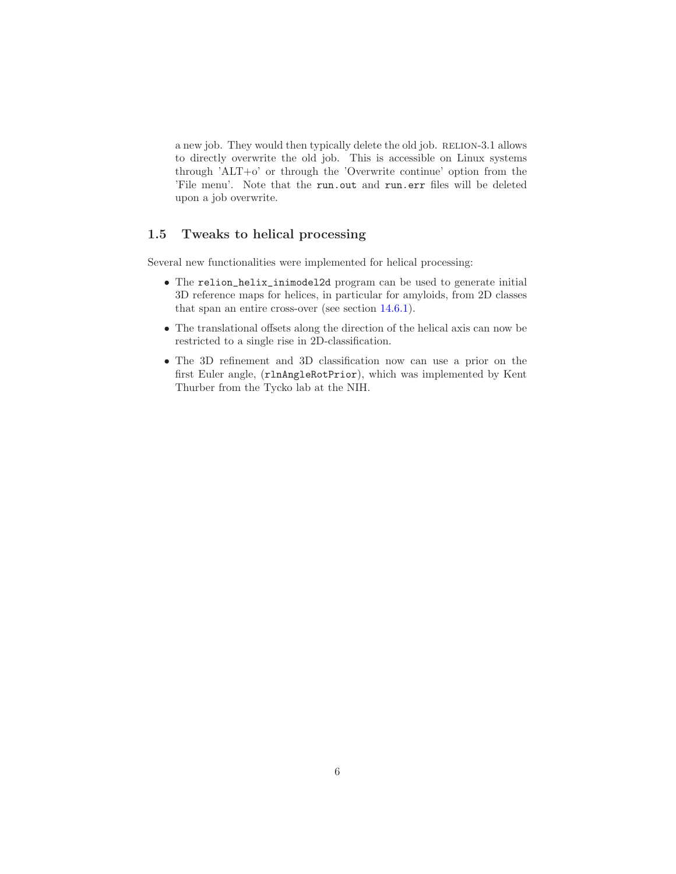a new job. They would then typically delete the old job. RELION-3.1 allows to directly overwrite the old job. This is accessible on Linux systems through 'ALT+o' or through the 'Overwrite continue' option from the 'File menu'. Note that the run.out and run.err files will be deleted upon a job overwrite.

### <span id="page-5-0"></span>1.5 Tweaks to helical processing

Several new functionalities were implemented for helical processing:

- The relion\_helix\_inimodel2d program can be used to generate initial 3D reference maps for helices, in particular for amyloids, from 2D classes that span an entire cross-over (see section [14.6.1\)](#page-68-1).
- The translational offsets along the direction of the helical axis can now be restricted to a single rise in 2D-classification.
- The 3D refinement and 3D classification now can use a prior on the first Euler angle, (rlnAngleRotPrior), which was implemented by Kent Thurber from the Tycko lab at the NIH.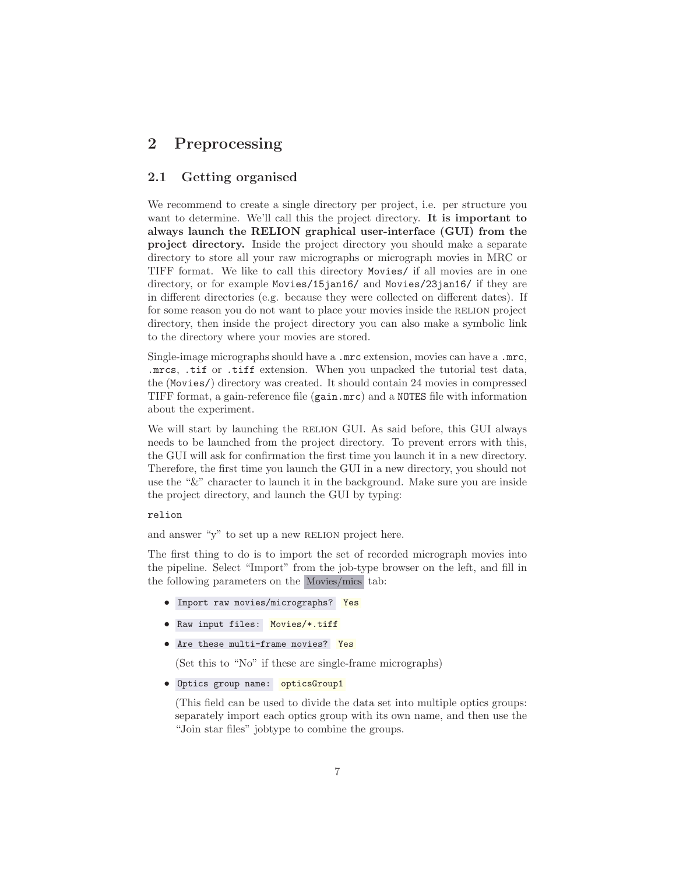## <span id="page-6-1"></span><span id="page-6-0"></span>2 Preprocessing

## 2.1 Getting organised

We recommend to create a single directory per project, i.e. per structure you want to determine. We'll call this the project directory. It is important to always launch the RELION graphical user-interface (GUI) from the project directory. Inside the project directory you should make a separate directory to store all your raw micrographs or micrograph movies in MRC or TIFF format. We like to call this directory Movies/ if all movies are in one directory, or for example Movies/15jan16/ and Movies/23jan16/ if they are in different directories (e.g. because they were collected on different dates). If for some reason you do not want to place your movies inside the RELION project directory, then inside the project directory you can also make a symbolic link to the directory where your movies are stored.

Single-image micrographs should have a .mrc extension, movies can have a .mrc, .mrcs, .tif or .tiff extension. When you unpacked the tutorial test data, the (Movies/) directory was created. It should contain 24 movies in compressed TIFF format, a gain-reference file (gain.mrc) and a NOTES file with information about the experiment.

We will start by launching the RELION GUI. As said before, this GUI always needs to be launched from the project directory. To prevent errors with this, the GUI will ask for confirmation the first time you launch it in a new directory. Therefore, the first time you launch the GUI in a new directory, you should not use the "&" character to launch it in the background. Make sure you are inside the project directory, and launch the GUI by typing:

#### relion

and answer "y" to set up a new RELION project here.

The first thing to do is to import the set of recorded micrograph movies into the pipeline. Select "Import" from the job-type browser on the left, and fill in the following parameters on the Movies/mics tab:

- Import raw movies/micrographs? Yes
- Raw input files: Movies/\*.tiff
- Are these multi-frame movies? Yes

(Set this to "No" if these are single-frame micrographs)

```
• Optics group name: opticsGroup1
```
(This field can be used to divide the data set into multiple optics groups: separately import each optics group with its own name, and then use the "Join star files" jobtype to combine the groups.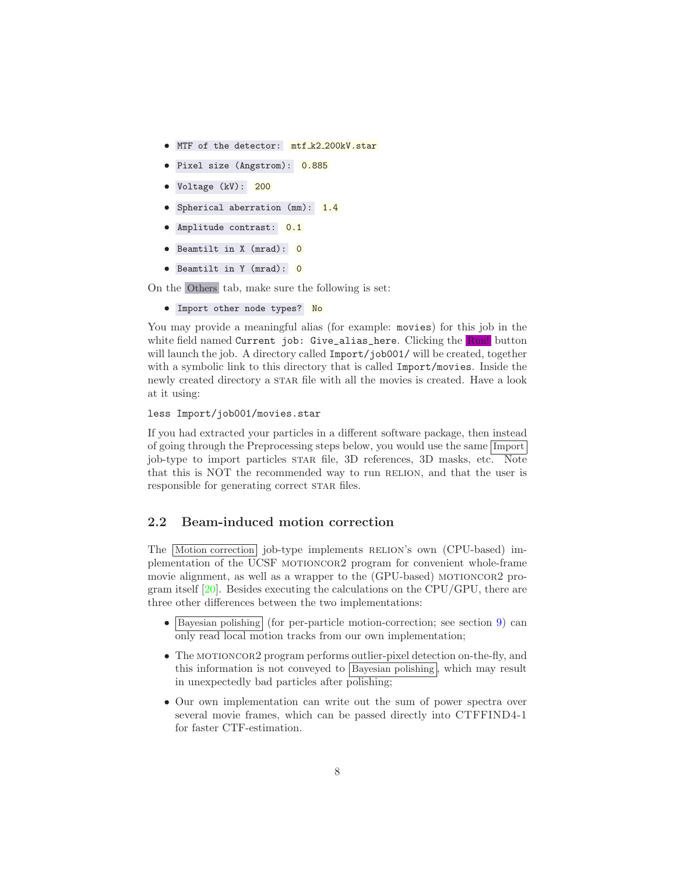- MTF of the detector: mtf\_k2\_200kV.star
- Pixel size (Angstrom): 0.885
- Voltage (kV): 200
- Spherical aberration (mm): 1.4
- Amplitude contrast: 0.1
- Beamtilt in X (mrad): 0
- Beamtilt in Y (mrad): 0

On the Others tab, make sure the following is set:

```
• Import other node types? No
```
You may provide a meaningful alias (for example: movies) for this job in the white field named Current job: Give\_alias\_here. Clicking the Run! button will launch the job. A directory called  $\text{Import/job001/}$  will be created, together with a symbolic link to this directory that is called Import/movies. Inside the newly created directory a STAR file with all the movies is created. Have a look at it using:

```
less Import/job001/movies.star
```
If you had extracted your particles in a different software package, then instead of going through the Preprocessing steps below, you would use the same Import job-type to import particles star file, 3D references, 3D masks, etc. Note that this is NOT the recommended way to run RELION, and that the user is responsible for generating correct STAR files.

## <span id="page-7-0"></span>2.2 Beam-induced motion correction

The Motion correction job-type implements RELION's own (CPU-based) implementation of the UCSF MOTIONCOR2 program for convenient whole-frame movie alignment, as well as a wrapper to the (GPU-based) motioncor2 program itself  $[20]$ . Besides executing the calculations on the CPU/GPU, there are three other differences between the two implementations:

- Bayesian polishing (for per-particle motion-correction; see section [9\)](#page-44-0) can only read local motion tracks from our own implementation;
- The MOTIONCOR2 program performs outlier-pixel detection on-the-fly, and this information is not conveyed to  $\boxed{\text{Bayesian polishing}}$ , which may result in unexpectedly bad particles after polishing;
- Our own implementation can write out the sum of power spectra over several movie frames, which can be passed directly into CTFFIND4-1 for faster CTF-estimation.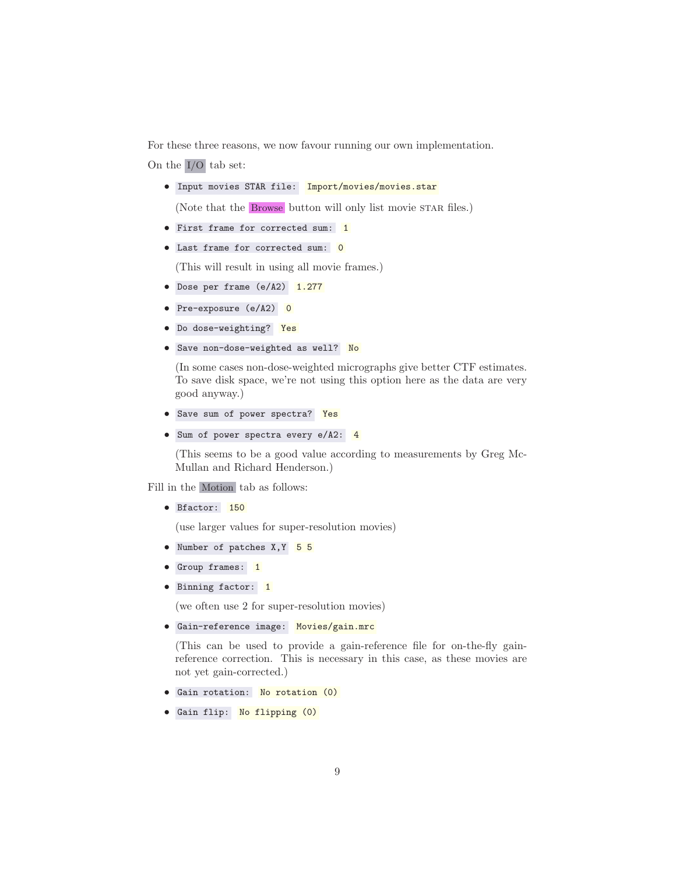For these three reasons, we now favour running our own implementation. On the I/O tab set:

• Input movies STAR file: Import/movies/movies.star

(Note that the Browse button will only list movie STAR files.)

- First frame for corrected sum: 1
- Last frame for corrected sum: 0

(This will result in using all movie frames.)

- Dose per frame (e/A2) 1.277
- Pre-exposure (e/A2) 0
- Do dose-weighting? Yes
- Save non-dose-weighted as well? No

(In some cases non-dose-weighted micrographs give better CTF estimates. To save disk space, we're not using this option here as the data are very good anyway.)

- Save sum of power spectra? Yes
- Sum of power spectra every e/A2: 4

(This seems to be a good value according to measurements by Greg Mc-Mullan and Richard Henderson.)

Fill in the Motion tab as follows:

• Bfactor: 150

(use larger values for super-resolution movies)

- Number of patches X, Y 5 5
- Group frames: 1
- Binning factor: 1

(we often use 2 for super-resolution movies)

• Gain-reference image: Movies/gain.mrc

(This can be used to provide a gain-reference file for on-the-fly gainreference correction. This is necessary in this case, as these movies are not yet gain-corrected.)

- Gain rotation: No rotation (0)
- Gain flip: No flipping (0)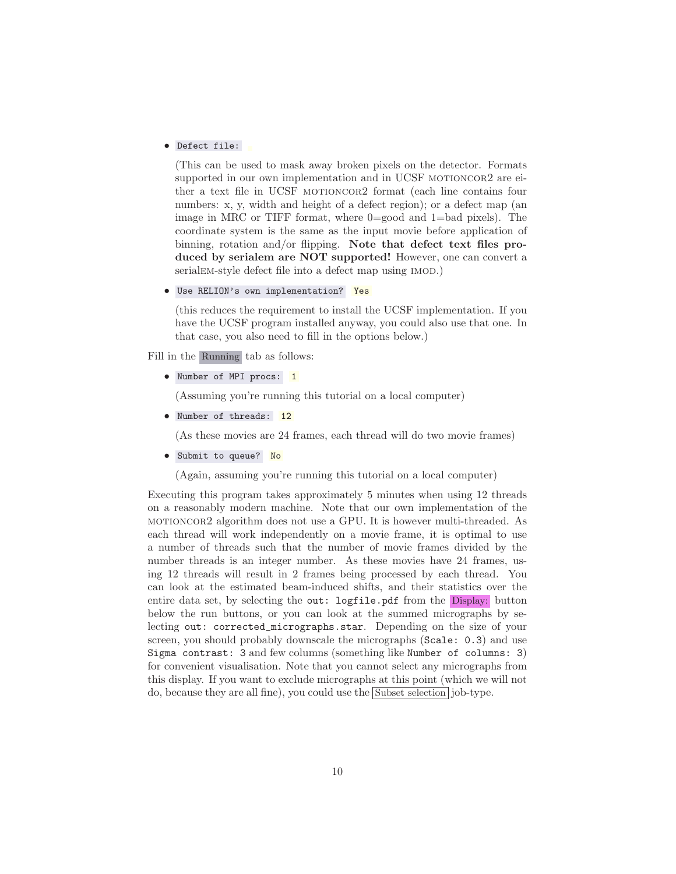#### • Defect file:

(This can be used to mask away broken pixels on the detector. Formats supported in our own implementation and in UCSF MOTIONCOR2 are either a text file in UCSF MOTIONCOR2 format (each line contains four numbers: x, y, width and height of a defect region); or a defect map (an image in MRC or TIFF format, where 0=good and 1=bad pixels). The coordinate system is the same as the input movie before application of binning, rotation and/or flipping. Note that defect text files produced by serialem are NOT supported! However, one can convert a serialem-style defect file into a defect map using  $(MOD)$ .

• Use RELION's own implementation? Yes

(this reduces the requirement to install the UCSF implementation. If you have the UCSF program installed anyway, you could also use that one. In that case, you also need to fill in the options below.)

Fill in the Running tab as follows:

• Number of MPI procs: 1

(Assuming you're running this tutorial on a local computer)

• Number of threads: 12

(As these movies are 24 frames, each thread will do two movie frames)

• Submit to queue? No

(Again, assuming you're running this tutorial on a local computer)

Executing this program takes approximately 5 minutes when using 12 threads on a reasonably modern machine. Note that our own implementation of the motioncor2 algorithm does not use a GPU. It is however multi-threaded. As each thread will work independently on a movie frame, it is optimal to use a number of threads such that the number of movie frames divided by the number threads is an integer number. As these movies have 24 frames, using 12 threads will result in 2 frames being processed by each thread. You can look at the estimated beam-induced shifts, and their statistics over the entire data set, by selecting the out: logfile.pdf from the Display: button below the run buttons, or you can look at the summed micrographs by selecting out: corrected\_micrographs.star. Depending on the size of your screen, you should probably downscale the micrographs (Scale: 0.3) and use Sigma contrast: 3 and few columns (something like Number of columns: 3) for convenient visualisation. Note that you cannot select any micrographs from this display. If you want to exclude micrographs at this point (which we will not do, because they are all fine), you could use the Subset selection job-type.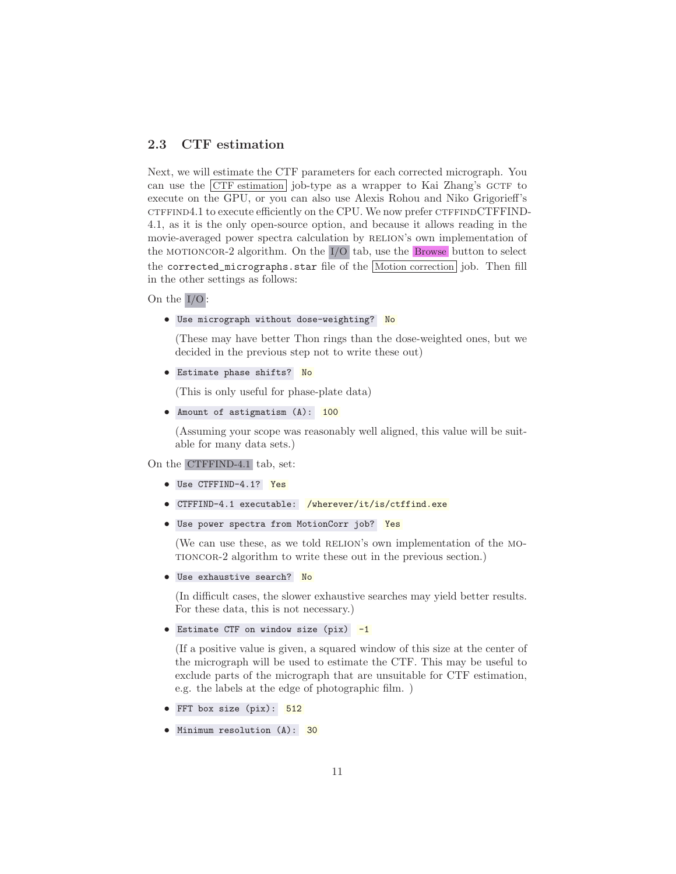## <span id="page-10-0"></span>2.3 CTF estimation

Next, we will estimate the CTF parameters for each corrected micrograph. You can use the  $\boxed{\text{CTF}}$  estimation job-type as a wrapper to Kai Zhang's GCTF to execute on the GPU, or you can also use Alexis Rohou and Niko Grigorieff's CTFFIND4.1 to execute efficiently on the CPU. We now prefer CTFFINDCTFFIND-4.1, as it is the only open-source option, and because it allows reading in the movie-averaged power spectra calculation by RELION's own implementation of the motioncor-2 algorithm. On the I/O tab, use the Browse button to select the corrected\_micrographs.star file of the Motion correction job. Then fill in the other settings as follows:

On the I/O :

• Use micrograph without dose-weighting? No

(These may have better Thon rings than the dose-weighted ones, but we decided in the previous step not to write these out)

• Estimate phase shifts? No

(This is only useful for phase-plate data)

• Amount of astigmatism (A): 100

(Assuming your scope was reasonably well aligned, this value will be suitable for many data sets.)

On the CTFFIND-4.1 tab, set:

- Use CTFFIND-4.1? Yes
- CTFFIND-4.1 executable: /wherever/it/is/ctffind.exe
- Use power spectra from MotionCorr job? Yes

(We can use these, as we told RELION's own implementation of the MOtioncor-2 algorithm to write these out in the previous section.)

• Use exhaustive search? No

(In difficult cases, the slower exhaustive searches may yield better results. For these data, this is not necessary.)

```
• Estimate CTF on window size (pix) -1
```
(If a positive value is given, a squared window of this size at the center of the micrograph will be used to estimate the CTF. This may be useful to exclude parts of the micrograph that are unsuitable for CTF estimation, e.g. the labels at the edge of photographic film. )

- FFT box size (pix): 512
- Minimum resolution (A): 30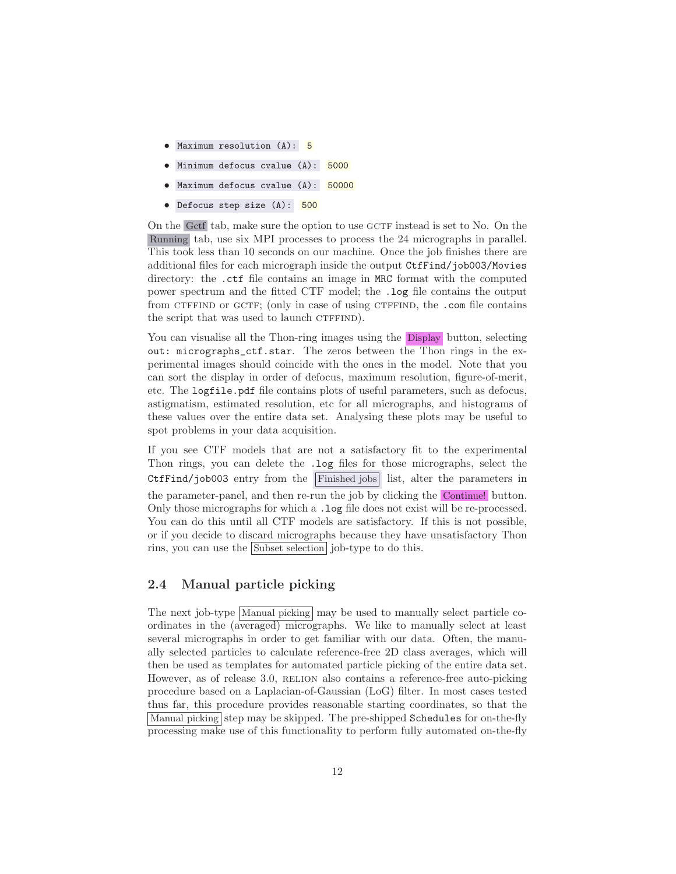- Maximum resolution (A): 5
- Minimum defocus cvalue (A): 5000
- Maximum defocus cvalue (A): 50000
- Defocus step size (A): 500

On the Gctf tab, make sure the option to use GCTF instead is set to No. On the Running tab, use six MPI processes to process the 24 micrographs in parallel. This took less than 10 seconds on our machine. Once the job finishes there are additional files for each micrograph inside the output CtfFind/job003/Movies directory: the .ctf file contains an image in MRC format with the computed power spectrum and the fitted CTF model; the .log file contains the output from CTFFIND or GCTF; (only in case of using CTFFIND, the .com file contains the script that was used to launch CTFFIND).

You can visualise all the Thon-ring images using the Display button, selecting out: micrographs\_ctf.star. The zeros between the Thon rings in the experimental images should coincide with the ones in the model. Note that you can sort the display in order of defocus, maximum resolution, figure-of-merit, etc. The logfile.pdf file contains plots of useful parameters, such as defocus, astigmatism, estimated resolution, etc for all micrographs, and histograms of these values over the entire data set. Analysing these plots may be useful to spot problems in your data acquisition.

If you see CTF models that are not a satisfactory fit to the experimental Thon rings, you can delete the .log files for those micrographs, select the CtfFind/job003 entry from the Finished jobs list, alter the parameters in the parameter-panel, and then re-run the job by clicking the Continue! button. Only those micrographs for which a .log file does not exist will be re-processed. You can do this until all CTF models are satisfactory. If this is not possible, or if you decide to discard micrographs because they have unsatisfactory Thon rins, you can use the Subset selection job-type to do this.

### <span id="page-11-0"></span>2.4 Manual particle picking

The next job-type Manual picking may be used to manually select particle coordinates in the (averaged) micrographs. We like to manually select at least several micrographs in order to get familiar with our data. Often, the manually selected particles to calculate reference-free 2D class averages, which will then be used as templates for automated particle picking of the entire data set. However, as of release 3.0, RELION also contains a reference-free auto-picking procedure based on a Laplacian-of-Gaussian (LoG) filter. In most cases tested thus far, this procedure provides reasonable starting coordinates, so that the Manual picking step may be skipped. The pre-shipped Schedules for on-the-fly processing make use of this functionality to perform fully automated on-the-fly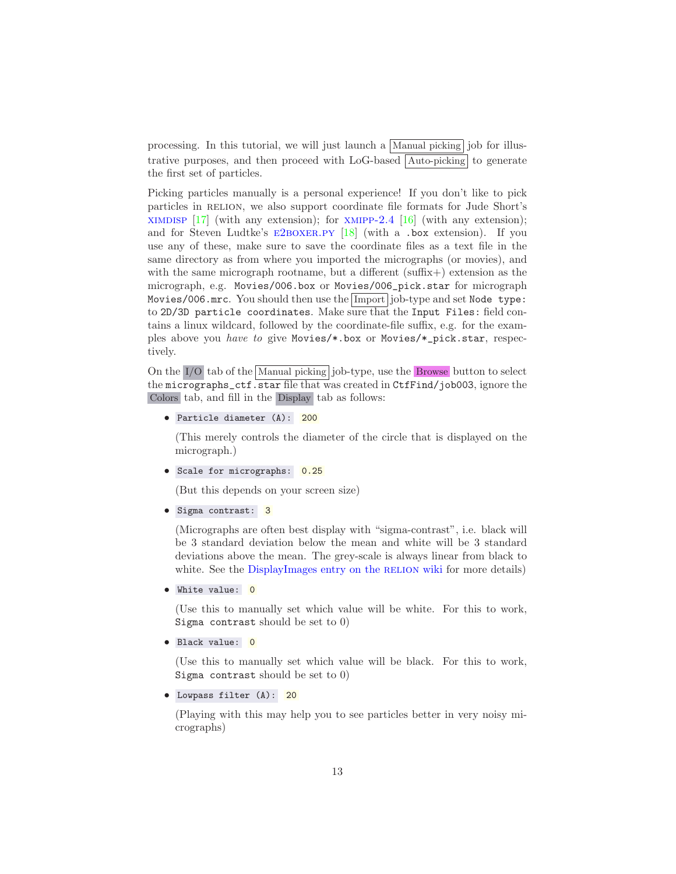processing. In this tutorial, we will just launch a  $|\text{Manual picking}|$  job for illustrative purposes, and then proceed with LoG-based Auto-picking to generate the first set of particles.

Picking particles manually is a personal experience! If you don't like to pick particles in RELION, we also support coordinate file formats for Jude Short's XIMDISP  $\left[17\right]$  $\left[17\right]$  $\left[17\right]$  (with any extension); for XMIPP-2.4  $\left[16\right]$  (with any extension); and for Steven Ludtke's  $E2BOXER.PY$  [\[18](#page-71-4)] (with a .box extension). If you use any of these, make sure to save the coordinate files as a text file in the same directory as from where you imported the micrographs (or movies), and with the same micrograph rootname, but a different (suffix+) extension as the micrograph, e.g. Movies/006.box or Movies/006\_pick.star for micrograph Movies/006.mrc. You should then use the Import job-type and set Node type: to 2D/3D particle coordinates. Make sure that the Input Files: field contains a linux wildcard, followed by the coordinate-file suffix, e.g. for the examples above you *have to* give Movies/\*.box or Movies/\*\_pick.star, respectively.

On the I/O tab of the Manual picking job-type, use the Browse button to select the micrographs\_ctf.star file that was created in CtfFind/job003, ignore the Colors tab, and fill in the Display tab as follows:

• Particle diameter (A): 200

(This merely controls the diameter of the circle that is displayed on the micrograph.)

• Scale for micrographs: 0.25

(But this depends on your screen size)

• Sigma contrast: 3

(Micrographs are often best display with "sigma-contrast", i.e. black will be 3 standard deviation below the mean and white will be 3 standard deviations above the mean. The grey-scale is always linear from black to white. See the [DisplayImages entry on the](http://www2.mrc-lmb.cam.ac.uk/relion/index.php/DisplayImages) RELION wiki for more details)

• White value: 0

(Use this to manually set which value will be white. For this to work, Sigma contrast should be set to 0)

• Black value: 0

(Use this to manually set which value will be black. For this to work, Sigma contrast should be set to 0)

• Lowpass filter (A): 20

(Playing with this may help you to see particles better in very noisy micrographs)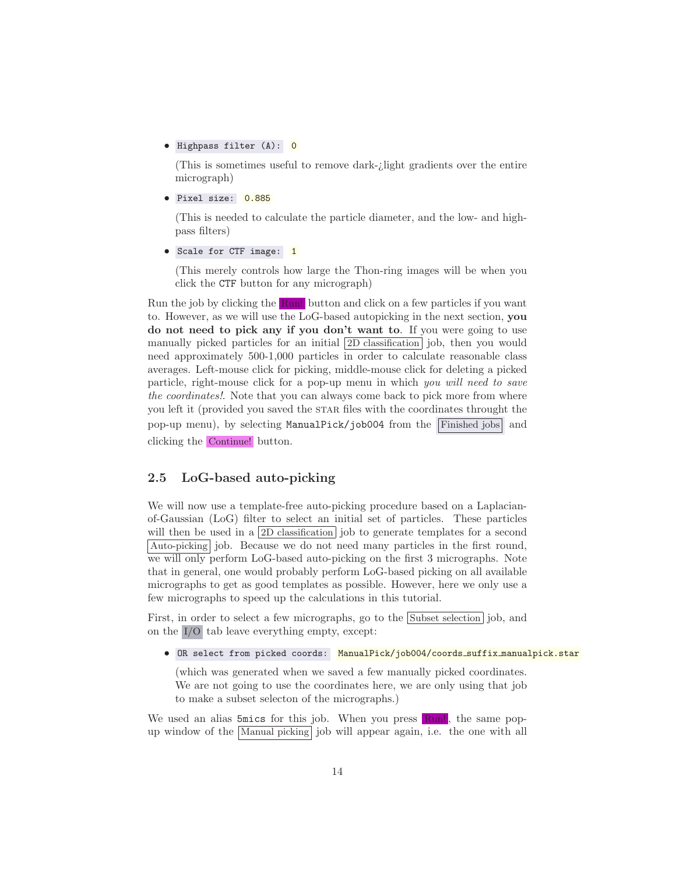• Highpass filter (A): 0

(This is sometimes useful to remove dark-¿light gradients over the entire micrograph)

• Pixel size: 0.885

(This is needed to calculate the particle diameter, and the low- and highpass filters)

• Scale for CTF image: 1

(This merely controls how large the Thon-ring images will be when you click the CTF button for any micrograph)

Run the job by clicking the Run! button and click on a few particles if you want to. However, as we will use the LoG-based autopicking in the next section, you do not need to pick any if you don't want to. If you were going to use manually picked particles for an initial 2D classification job, then you would need approximately 500-1,000 particles in order to calculate reasonable class averages. Left-mouse click for picking, middle-mouse click for deleting a picked particle, right-mouse click for a pop-up menu in which *you will need to save the coordinates!*. Note that you can always come back to pick more from where you left it (provided you saved the STAR files with the coordinates throught the pop-up menu), by selecting ManualPick/job004 from the Finished jobs and clicking the Continue! button.

## <span id="page-13-0"></span>2.5 LoG-based auto-picking

We will now use a template-free auto-picking procedure based on a Laplacianof-Gaussian (LoG) filter to select an initial set of particles. These particles will then be used in a 2D classification job to generate templates for a second Auto-picking job. Because we do not need many particles in the first round, we will only perform LoG-based auto-picking on the first 3 micrographs. Note that in general, one would probably perform LoG-based picking on all available micrographs to get as good templates as possible. However, here we only use a few micrographs to speed up the calculations in this tutorial.

First, in order to select a few micrographs, go to the Subset selection job, and on the I/O tab leave everything empty, except:

• OR select from picked coords: ManualPick/job004/coords\_suffix\_manualpick.star

(which was generated when we saved a few manually picked coordinates. We are not going to use the coordinates here, we are only using that job to make a subset selecton of the micrographs.)

We used an alias  $5mics$  for this job. When you press  $\mathbb{R}$ un!, the same popup window of the Manual picking job will appear again, i.e. the one with all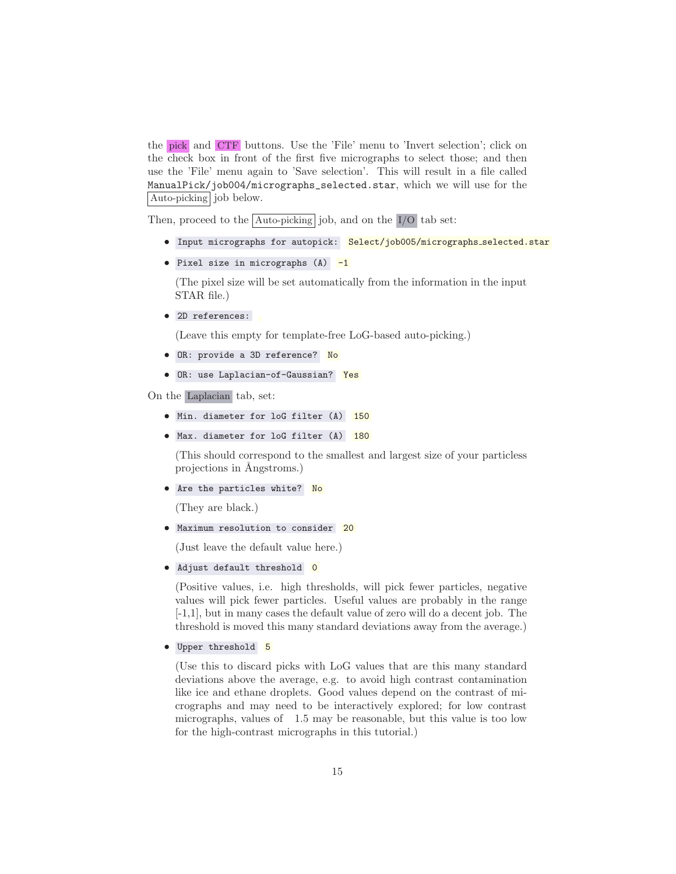the pick and CTF buttons. Use the 'File' menu to 'Invert selection'; click on the check box in front of the first five micrographs to select those; and then use the 'File' menu again to 'Save selection'. This will result in a file called ManualPick/job004/micrographs\_selected.star, which we will use for the Auto-picking job below.

Then, proceed to the  $\boxed{\text{Auto-picking}}$  job, and on the  $\boxed{I/O}$  tab set:

- Input micrographs for autopick: Select/job005/micrographs\_selected.star
- Pixel size in micrographs (A) -1

(The pixel size will be set automatically from the information in the input STAR file.)

• 2D references:

(Leave this empty for template-free LoG-based auto-picking.)

- OR: provide a 3D reference? No
- OR: use Laplacian-of-Gaussian? Yes

On the Laplacian tab, set:

- Min. diameter for loG filter (A) 150
- Max. diameter for loG filter (A) 180

(This should correspond to the smallest and largest size of your particless projections in Angstroms.)

• Are the particles white? No

(They are black.)

• Maximum resolution to consider 20

(Just leave the default value here.)

• Adjust default threshold 0

(Positive values, i.e. high thresholds, will pick fewer particles, negative values will pick fewer particles. Useful values are probably in the range [-1,1], but in many cases the default value of zero will do a decent job. The threshold is moved this many standard deviations away from the average.)

• Upper threshold 5

(Use this to discard picks with LoG values that are this many standard deviations above the average, e.g. to avoid high contrast contamination like ice and ethane droplets. Good values depend on the contrast of micrographs and may need to be interactively explored; for low contrast micrographs, values of 1.5 may be reasonable, but this value is too low for the high-contrast micrographs in this tutorial.)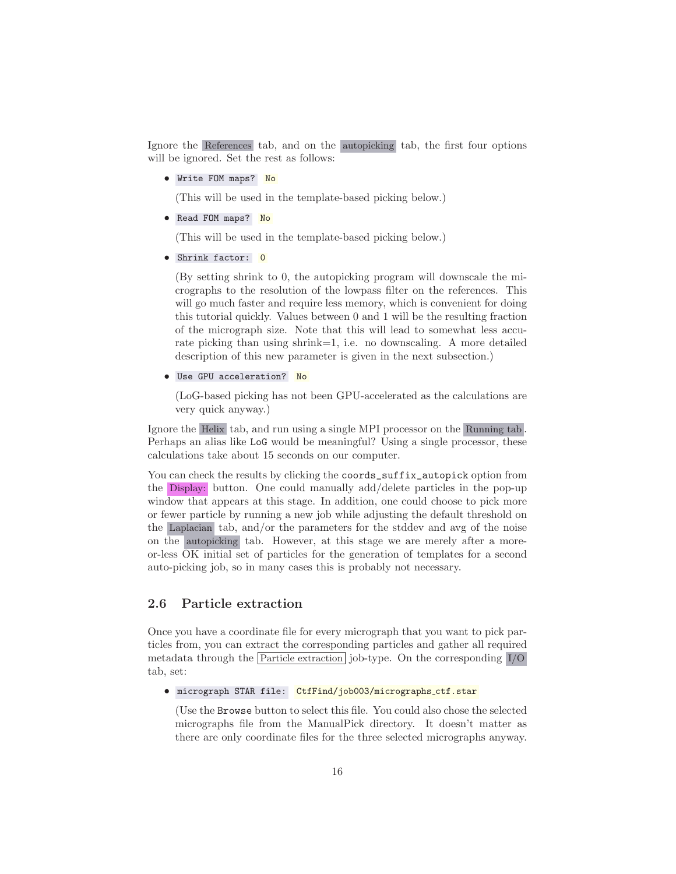Ignore the References tab, and on the autopicking tab, the first four options will be ignored. Set the rest as follows:

• Write FOM maps? No

(This will be used in the template-based picking below.)

• Read FOM maps? No

(This will be used in the template-based picking below.)

• Shrink factor: 0

(By setting shrink to 0, the autopicking program will downscale the micrographs to the resolution of the lowpass filter on the references. This will go much faster and require less memory, which is convenient for doing this tutorial quickly. Values between 0 and 1 will be the resulting fraction of the micrograph size. Note that this will lead to somewhat less accurate picking than using shrink=1, i.e. no downscaling. A more detailed description of this new parameter is given in the next subsection.)

• Use GPU acceleration? No

(LoG-based picking has not been GPU-accelerated as the calculations are very quick anyway.)

Ignore the Helix tab, and run using a single MPI processor on the Running tab . Perhaps an alias like LoG would be meaningful? Using a single processor, these calculations take about 15 seconds on our computer.

You can check the results by clicking the coords\_suffix\_autopick option from the Display: button. One could manually add/delete particles in the pop-up window that appears at this stage. In addition, one could choose to pick more or fewer particle by running a new job while adjusting the default threshold on the Laplacian tab, and/or the parameters for the stddev and avg of the noise on the autopicking tab. However, at this stage we are merely after a moreor-less OK initial set of particles for the generation of templates for a second auto-picking job, so in many cases this is probably not necessary.

## <span id="page-15-0"></span>2.6 Particle extraction

Once you have a coordinate file for every micrograph that you want to pick particles from, you can extract the corresponding particles and gather all required metadata through the Particle extraction job-type. On the corresponding I/O tab, set:

• micrograph STAR file: CtfFind/job003/micrographs\_ctf.star

(Use the Browse button to select this file. You could also chose the selected micrographs file from the ManualPick directory. It doesn't matter as there are only coordinate files for the three selected micrographs anyway.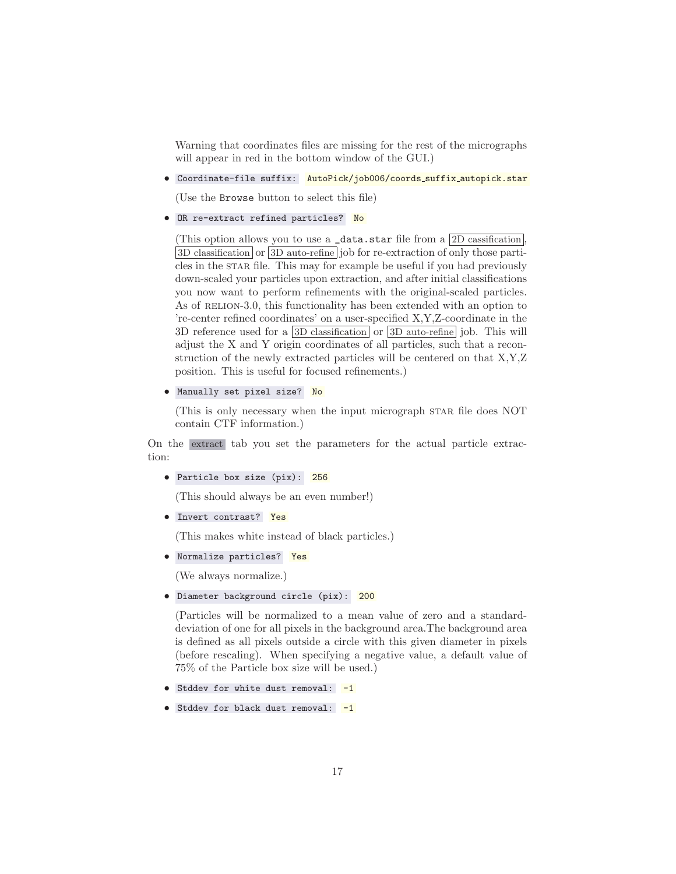Warning that coordinates files are missing for the rest of the micrographs will appear in red in the bottom window of the GUI.)

• Coordinate-file suffix: AutoPick/job006/coords\_suffix\_autopick.star

(Use the Browse button to select this file)

• OR re-extract refined particles? No

(This option allows you to use a  $_$ data.star file from a  $2D$  cassification. 3D classification or 3D auto-refine job for re-extraction of only those particles in the STAR file. This may for example be useful if you had previously down-scaled your particles upon extraction, and after initial classifications you now want to perform refinements with the original-scaled particles. As of RELION-3.0, this functionality has been extended with an option to 're-center refined coordinates' on a user-specified X,Y,Z-coordinate in the 3D reference used for a  $3D$  classification or  $3D$  auto-refine job. This will adjust the X and Y origin coordinates of all particles, such that a reconstruction of the newly extracted particles will be centered on that X,Y,Z position. This is useful for focused refinements.)

```
• Manually set pixel size? No
```
(This is only necessary when the input micrograph STAR file does NOT contain CTF information.)

On the extract tab you set the parameters for the actual particle extraction:

• Particle box size (pix): 256

(This should always be an even number!)

• Invert contrast? Yes

(This makes white instead of black particles.)

• Normalize particles? Yes

(We always normalize.)

• Diameter background circle (pix): 200

(Particles will be normalized to a mean value of zero and a standarddeviation of one for all pixels in the background area.The background area is defined as all pixels outside a circle with this given diameter in pixels (before rescaling). When specifying a negative value, a default value of 75% of the Particle box size will be used.)

- Stddev for white dust removal: -1
- Stddev for black dust removal: -1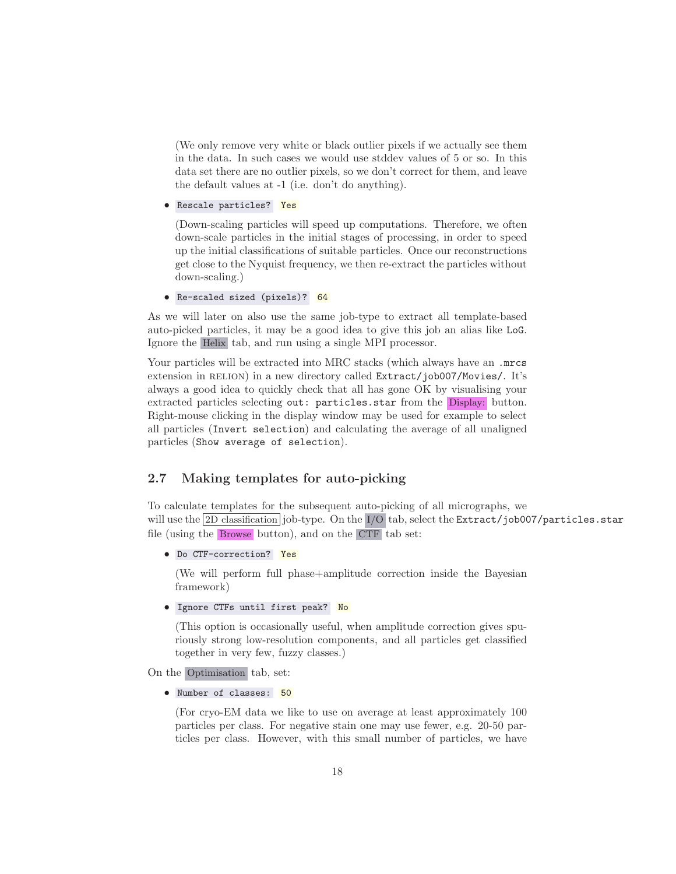(We only remove very white or black outlier pixels if we actually see them in the data. In such cases we would use stddev values of 5 or so. In this data set there are no outlier pixels, so we don't correct for them, and leave the default values at -1 (i.e. don't do anything).

• Rescale particles? Yes

(Down-scaling particles will speed up computations. Therefore, we often down-scale particles in the initial stages of processing, in order to speed up the initial classifications of suitable particles. Once our reconstructions get close to the Nyquist frequency, we then re-extract the particles without down-scaling.)

• Re-scaled sized (pixels)? 64

As we will later on also use the same job-type to extract all template-based auto-picked particles, it may be a good idea to give this job an alias like LoG. Ignore the Helix tab, and run using a single MPI processor.

Your particles will be extracted into MRC stacks (which always have an .mrcs extension in RELION) in a new directory called Extract/job007/Movies/. It's always a good idea to quickly check that all has gone OK by visualising your extracted particles selecting out: particles.star from the Display: button. Right-mouse clicking in the display window may be used for example to select all particles (Invert selection) and calculating the average of all unaligned particles (Show average of selection).

## <span id="page-17-0"></span>2.7 Making templates for auto-picking

To calculate templates for the subsequent auto-picking of all micrographs, we will use the 2D classification job-type. On the I/O tab, select the Extract/job007/particles.star file (using the Browse button), and on the CTF tab set:

• Do CTF-correction? Yes

(We will perform full phase+amplitude correction inside the Bayesian framework)

• Ignore CTFs until first peak? No

(This option is occasionally useful, when amplitude correction gives spuriously strong low-resolution components, and all particles get classified together in very few, fuzzy classes.)

On the Optimisation tab, set:

• Number of classes: 50

(For cryo-EM data we like to use on average at least approximately 100 particles per class. For negative stain one may use fewer, e.g. 20-50 particles per class. However, with this small number of particles, we have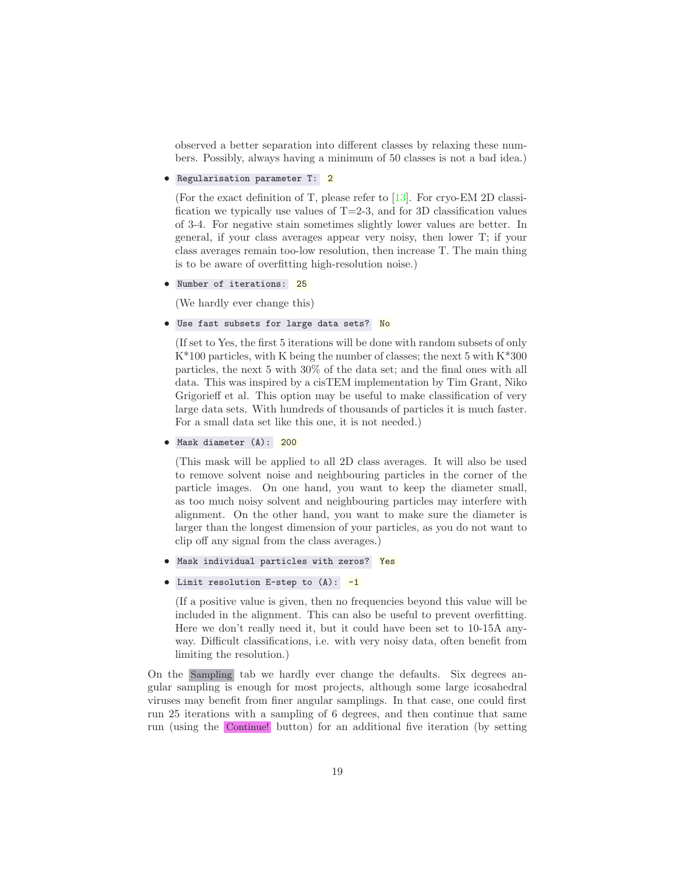observed a better separation into different classes by relaxing these numbers. Possibly, always having a minimum of 50 classes is not a bad idea.)

• Regularisation parameter T: 2

(For the exact definition of T, please refer to [\[13\]](#page-71-5). For cryo-EM 2D classification we typically use values of  $T=2-3$ , and for 3D classification values of 3-4. For negative stain sometimes slightly lower values are better. In general, if your class averages appear very noisy, then lower T; if your class averages remain too-low resolution, then increase T. The main thing is to be aware of overfitting high-resolution noise.)

• Number of iterations: 25

(We hardly ever change this)

• Use fast subsets for large data sets? No

(If set to Yes, the first 5 iterations will be done with random subsets of only  $K^*100$  particles, with K being the number of classes; the next 5 with  $K^*300$ particles, the next 5 with 30% of the data set; and the final ones with all data. This was inspired by a cisTEM implementation by Tim Grant, Niko Grigorieff et al. This option may be useful to make classification of very large data sets. With hundreds of thousands of particles it is much faster. For a small data set like this one, it is not needed.)

```
• Mask diameter (A): 200
```
(This mask will be applied to all 2D class averages. It will also be used to remove solvent noise and neighbouring particles in the corner of the particle images. On one hand, you want to keep the diameter small, as too much noisy solvent and neighbouring particles may interfere with alignment. On the other hand, you want to make sure the diameter is larger than the longest dimension of your particles, as you do not want to clip off any signal from the class averages.)

- Mask individual particles with zeros? Yes
- Limit resolution E-step to  $(A)$ : -1

(If a positive value is given, then no frequencies beyond this value will be included in the alignment. This can also be useful to prevent overfitting. Here we don't really need it, but it could have been set to 10-15A anyway. Difficult classifications, i.e. with very noisy data, often benefit from limiting the resolution.)

On the Sampling tab we hardly ever change the defaults. Six degrees angular sampling is enough for most projects, although some large icosahedral viruses may benefit from finer angular samplings. In that case, one could first run 25 iterations with a sampling of 6 degrees, and then continue that same run (using the Continue! button) for an additional five iteration (by setting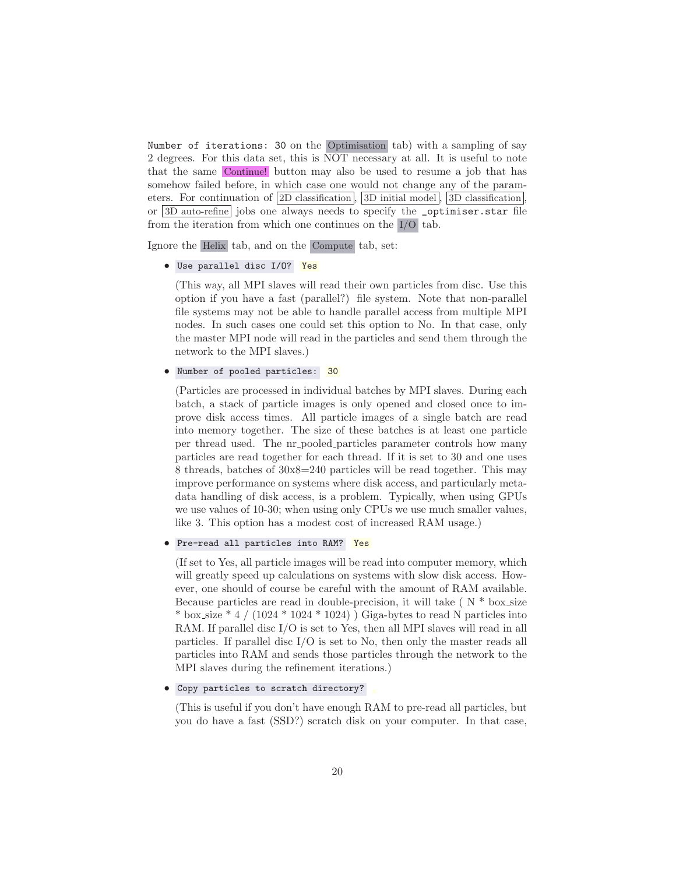Number of iterations: 30 on the Optimisation tab) with a sampling of say 2 degrees. For this data set, this is NOT necessary at all. It is useful to note that the same Continue! button may also be used to resume a job that has somehow failed before, in which case one would not change any of the parameters. For continuation of  $2D$  classification,  $3D$  initial model,  $3D$  classification or 3D auto-refine jobs one always needs to specify the \_optimiser.star file from the iteration from which one continues on the I/O tab.

Ignore the Helix tab, and on the Compute tab, set:

#### • Use parallel disc I/O? Yes

(This way, all MPI slaves will read their own particles from disc. Use this option if you have a fast (parallel?) file system. Note that non-parallel file systems may not be able to handle parallel access from multiple MPI nodes. In such cases one could set this option to No. In that case, only the master MPI node will read in the particles and send them through the network to the MPI slaves.)

#### • Number of pooled particles: 30

(Particles are processed in individual batches by MPI slaves. During each batch, a stack of particle images is only opened and closed once to improve disk access times. All particle images of a single batch are read into memory together. The size of these batches is at least one particle per thread used. The nr pooled particles parameter controls how many particles are read together for each thread. If it is set to 30 and one uses 8 threads, batches of 30x8=240 particles will be read together. This may improve performance on systems where disk access, and particularly metadata handling of disk access, is a problem. Typically, when using GPUs we use values of 10-30; when using only CPUs we use much smaller values, like 3. This option has a modest cost of increased RAM usage.)

#### • Pre-read all particles into RAM? Yes

(If set to Yes, all particle images will be read into computer memory, which will greatly speed up calculations on systems with slow disk access. However, one should of course be careful with the amount of RAM available. Because particles are read in double-precision, it will take ( $N * box.size$ \* box\_size \* 4 /  $(1024 * 1024 * 1024)$  Giga-bytes to read N particles into RAM. If parallel disc I/O is set to Yes, then all MPI slaves will read in all particles. If parallel disc I/O is set to No, then only the master reads all particles into RAM and sends those particles through the network to the MPI slaves during the refinement iterations.)

#### • Copy particles to scratch directory?

(This is useful if you don't have enough RAM to pre-read all particles, but you do have a fast (SSD?) scratch disk on your computer. In that case,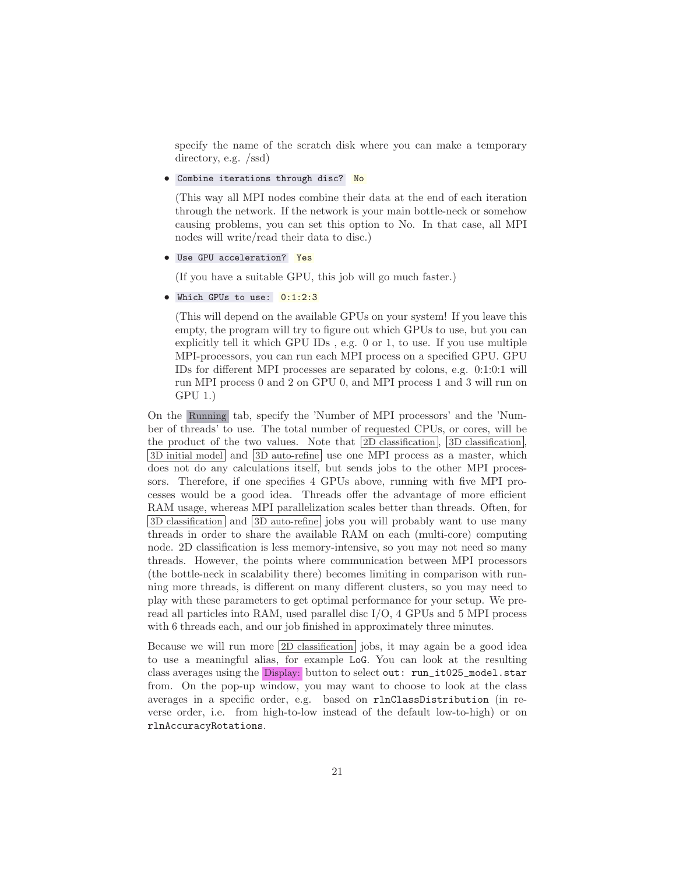specify the name of the scratch disk where you can make a temporary directory, e.g. /ssd)

• Combine iterations through disc? No

(This way all MPI nodes combine their data at the end of each iteration through the network. If the network is your main bottle-neck or somehow causing problems, you can set this option to No. In that case, all MPI nodes will write/read their data to disc.)

• Use GPU acceleration? Yes

(If you have a suitable GPU, this job will go much faster.)

• Which GPUs to use: 0:1:2:3

(This will depend on the available GPUs on your system! If you leave this empty, the program will try to figure out which GPUs to use, but you can explicitly tell it which GPU IDs , e.g. 0 or 1, to use. If you use multiple MPI-processors, you can run each MPI process on a specified GPU. GPU IDs for different MPI processes are separated by colons, e.g. 0:1:0:1 will run MPI process 0 and 2 on GPU 0, and MPI process 1 and 3 will run on GPU 1.)

On the Running tab, specify the 'Number of MPI processors' and the 'Number of threads' to use. The total number of requested CPUs, or cores, will be the product of the two values. Note that  $\boxed{2D \text{ classification}}$ ,  $\boxed{3D \text{ classification}}$ 3D initial model and 3D auto-refine use one MPI process as a master, which does not do any calculations itself, but sends jobs to the other MPI processors. Therefore, if one specifies 4 GPUs above, running with five MPI processes would be a good idea. Threads offer the advantage of more efficient RAM usage, whereas MPI parallelization scales better than threads. Often, for 3D classification and 3D auto-refine jobs you will probably want to use many threads in order to share the available RAM on each (multi-core) computing node. 2D classification is less memory-intensive, so you may not need so many threads. However, the points where communication between MPI processors (the bottle-neck in scalability there) becomes limiting in comparison with running more threads, is different on many different clusters, so you may need to play with these parameters to get optimal performance for your setup. We preread all particles into RAM, used parallel disc I/O, 4 GPUs and 5 MPI process with 6 threads each, and our job finished in approximately three minutes.

Because we will run more 2D classification jobs, it may again be a good idea to use a meaningful alias, for example LoG. You can look at the resulting class averages using the Display: button to select out: run\_it025\_model.star from. On the pop-up window, you may want to choose to look at the class averages in a specific order, e.g. based on rlnClassDistribution (in reverse order, i.e. from high-to-low instead of the default low-to-high) or on rlnAccuracyRotations.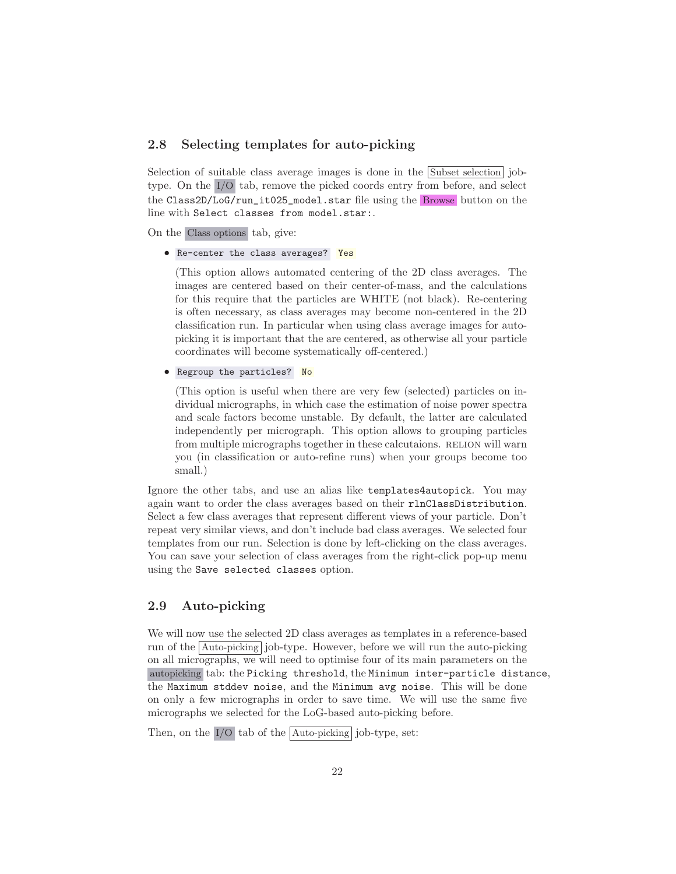### <span id="page-21-0"></span>2.8 Selecting templates for auto-picking

Selection of suitable class average images is done in the Subset selection jobtype. On the I/O tab, remove the picked coords entry from before, and select the Class2D/LoG/run\_it025\_model.star file using the Browse button on the line with Select classes from model.star:.

On the Class options tab, give:

• Re-center the class averages? Yes

(This option allows automated centering of the 2D class averages. The images are centered based on their center-of-mass, and the calculations for this require that the particles are WHITE (not black). Re-centering is often necessary, as class averages may become non-centered in the 2D classification run. In particular when using class average images for autopicking it is important that the are centered, as otherwise all your particle coordinates will become systematically off-centered.)

• Regroup the particles? No

(This option is useful when there are very few (selected) particles on individual micrographs, in which case the estimation of noise power spectra and scale factors become unstable. By default, the latter are calculated independently per micrograph. This option allows to grouping particles from multiple micrographs together in these calcutaions. RELION will warn you (in classification or auto-refine runs) when your groups become too small.)

Ignore the other tabs, and use an alias like templates4autopick. You may again want to order the class averages based on their rlnClassDistribution. Select a few class averages that represent different views of your particle. Don't repeat very similar views, and don't include bad class averages. We selected four templates from our run. Selection is done by left-clicking on the class averages. You can save your selection of class averages from the right-click pop-up menu using the Save selected classes option.

## <span id="page-21-1"></span>2.9 Auto-picking

We will now use the selected 2D class averages as templates in a reference-based run of the  $|\text{Auto-picking}|$  job-type. However, before we will run the auto-picking on all micrographs, we will need to optimise four of its main parameters on the autopicking tab: the Picking threshold, the Minimum inter-particle distance, the Maximum stddev noise, and the Minimum avg noise. This will be done on only a few micrographs in order to save time. We will use the same five micrographs we selected for the LoG-based auto-picking before.

Then, on the  $I/O$  tab of the  $\boxed{\text{Auto-picking}}$  job-type, set: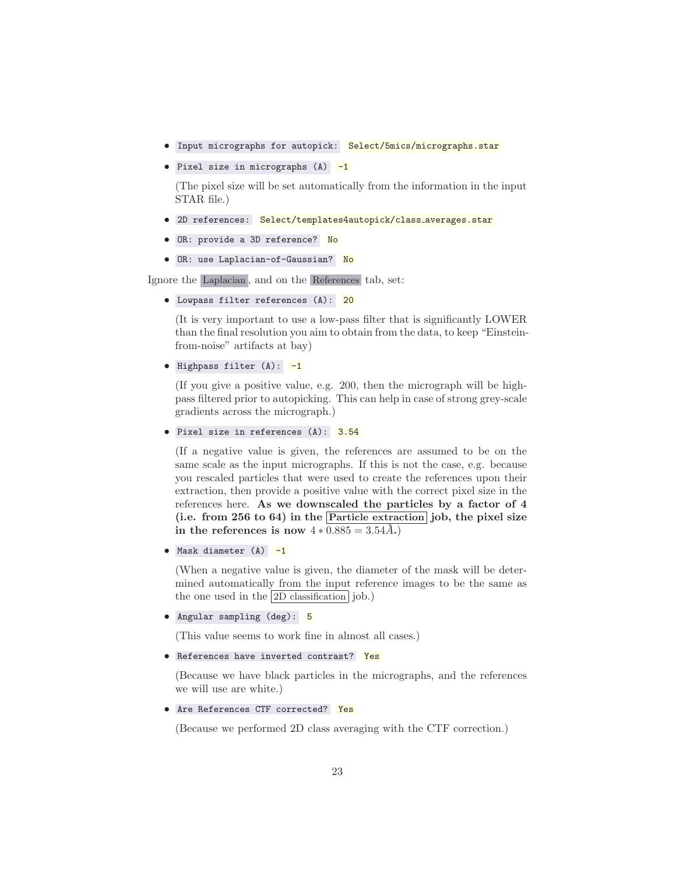- Input micrographs for autopick: Select/5mics/micrographs.star
- Pixel size in micrographs (A) -1

(The pixel size will be set automatically from the information in the input STAR file.)

- 2D references: Select/templates4autopick/class averages.star
- OR: provide a 3D reference? No
- OR: use Laplacian-of-Gaussian? No

Ignore the Laplacian , and on the References tab, set:

• Lowpass filter references (A): 20

(It is very important to use a low-pass filter that is significantly LOWER than the final resolution you aim to obtain from the data, to keep "Einsteinfrom-noise" artifacts at bay)

• Highpass filter  $(A)$ :  $-1$ 

(If you give a positive value, e.g. 200, then the micrograph will be highpass filtered prior to autopicking. This can help in case of strong grey-scale gradients across the micrograph.)

```
• Pixel size in references (A): 3.54
```
(If a negative value is given, the references are assumed to be on the same scale as the input micrographs. If this is not the case, e.g. because you rescaled particles that were used to create the references upon their extraction, then provide a positive value with the correct pixel size in the references here. As we downscaled the particles by a factor of 4 (i.e. from 256 to 64) in the  $\boxed{\text{Particle extraction}}$  job, the pixel size in the references is now  $4 * 0.885 = 3.54\AA$ .

• Mask diameter  $(A)$   $-1$ 

(When a negative value is given, the diameter of the mask will be determined automatically from the input reference images to be the same as the one used in the  $|2D \text{ classification}|$  job.)

• Angular sampling (deg): 5

(This value seems to work fine in almost all cases.)

• References have inverted contrast? Yes

(Because we have black particles in the micrographs, and the references we will use are white.)

• Are References CTF corrected? Yes

(Because we performed 2D class averaging with the CTF correction.)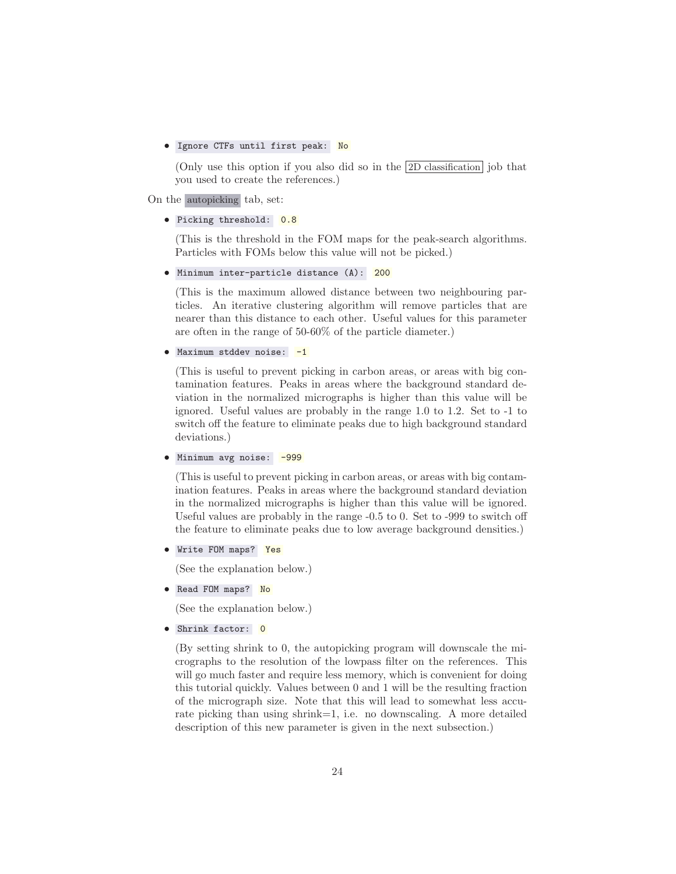#### • Ignore CTFs until first peak: No

(Only use this option if you also did so in the 2D classification job that you used to create the references.)

On the autopicking tab, set:

#### • Picking threshold: 0.8

(This is the threshold in the FOM maps for the peak-search algorithms. Particles with FOMs below this value will not be picked.)

• Minimum inter-particle distance (A): 200

(This is the maximum allowed distance between two neighbouring particles. An iterative clustering algorithm will remove particles that are nearer than this distance to each other. Useful values for this parameter are often in the range of 50-60% of the particle diameter.)

#### • Maximum stddev noise: -1

(This is useful to prevent picking in carbon areas, or areas with big contamination features. Peaks in areas where the background standard deviation in the normalized micrographs is higher than this value will be ignored. Useful values are probably in the range 1.0 to 1.2. Set to -1 to switch off the feature to eliminate peaks due to high background standard deviations.)

• Minimum avg noise: -999

(This is useful to prevent picking in carbon areas, or areas with big contamination features. Peaks in areas where the background standard deviation in the normalized micrographs is higher than this value will be ignored. Useful values are probably in the range -0.5 to 0. Set to -999 to switch off the feature to eliminate peaks due to low average background densities.)

• Write FOM maps? Yes

(See the explanation below.)

• Read FOM maps? No

(See the explanation below.)

• Shrink factor: 0

(By setting shrink to 0, the autopicking program will downscale the micrographs to the resolution of the lowpass filter on the references. This will go much faster and require less memory, which is convenient for doing this tutorial quickly. Values between 0 and 1 will be the resulting fraction of the micrograph size. Note that this will lead to somewhat less accurate picking than using shrink=1, i.e. no downscaling. A more detailed description of this new parameter is given in the next subsection.)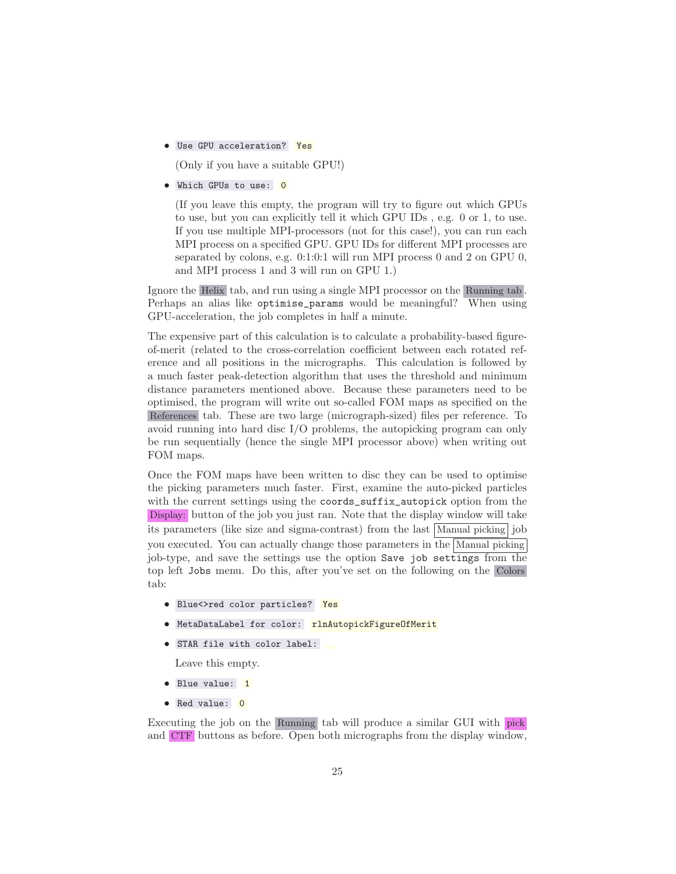• Use GPU acceleration? Yes

(Only if you have a suitable GPU!)

• Which GPUs to use: 0

(If you leave this empty, the program will try to figure out which GPUs to use, but you can explicitly tell it which GPU IDs , e.g. 0 or 1, to use. If you use multiple MPI-processors (not for this case!), you can run each MPI process on a specified GPU. GPU IDs for different MPI processes are separated by colons, e.g. 0:1:0:1 will run MPI process 0 and 2 on GPU 0, and MPI process 1 and 3 will run on GPU 1.)

Ignore the Helix tab, and run using a single MPI processor on the Running tab . Perhaps an alias like optimise\_params would be meaningful? When using GPU-acceleration, the job completes in half a minute.

The expensive part of this calculation is to calculate a probability-based figureof-merit (related to the cross-correlation coefficient between each rotated reference and all positions in the micrographs. This calculation is followed by a much faster peak-detection algorithm that uses the threshold and minimum distance parameters mentioned above. Because these parameters need to be optimised, the program will write out so-called FOM maps as specified on the References tab. These are two large (micrograph-sized) files per reference. To avoid running into hard disc I/O problems, the autopicking program can only be run sequentially (hence the single MPI processor above) when writing out FOM maps.

Once the FOM maps have been written to disc they can be used to optimise the picking parameters much faster. First, examine the auto-picked particles with the current settings using the coords\_suffix\_autopick option from the Display: button of the job you just ran. Note that the display window will take its parameters (like size and sigma-contrast) from the last Manual picking job you executed. You can actually change those parameters in the Manual picking job-type, and save the settings use the option Save job settings from the top left Jobs menu. Do this, after you've set on the following on the Colors tab:

- Blue<>red color particles? Yes
- MetaDataLabel for color: **rlnAutopickFigureOfMerit**
- STAR file with color label:

Leave this empty.

- Blue value: 1
- Red value: 0

Executing the job on the Running tab will produce a similar GUI with pick and CTF buttons as before. Open both micrographs from the display window,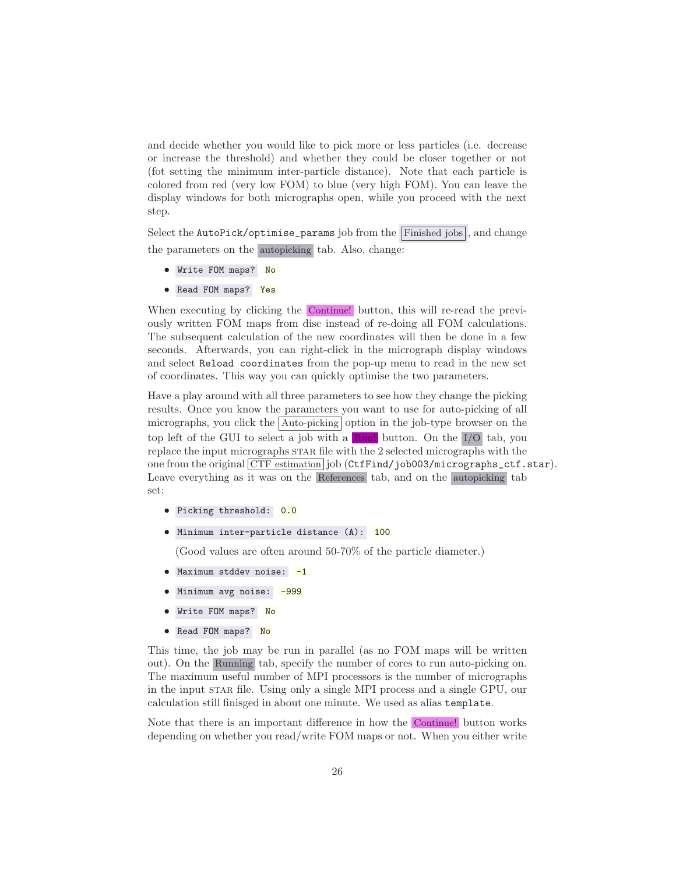and decide whether you would like to pick more or less particles (i.e. decrease or increase the threshold) and whether they could be closer together or not (fot setting the minimum inter-particle distance). Note that each particle is colored from red (very low FOM) to blue (very high FOM). You can leave the display windows for both micrographs open, while you proceed with the next step.

Select the  $\text{AutoPick/optimise_params}$  job from the Finished jobs , and change the parameters on the autopicking tab. Also, change:

- Write FOM maps? No
- Read FOM maps? Yes

When executing by clicking the Continue! button, this will re-read the previously written FOM maps from disc instead of re-doing all FOM calculations. The subsequent calculation of the new coordinates will then be done in a few seconds. Afterwards, you can right-click in the micrograph display windows and select Reload coordinates from the pop-up menu to read in the new set of coordinates. This way you can quickly optimise the two parameters.

Have a play around with all three parameters to see how they change the picking results. Once you know the parameters you want to use for auto-picking of all micrographs, you click the  $\vert$  Auto-picking option in the job-type browser on the top left of the GUI to select a job with a Run! button. On the I/O tab, you replace the input micrographs star file with the 2 selected micrographs with the one from the original CTF estimation job (CtfFind/job003/micrographs\_ctf.star). Leave everything as it was on the References tab, and on the autopicking tab set:

- Picking threshold: 0.0
- Minimum inter-particle distance (A): 100

(Good values are often around 50-70% of the particle diameter.)

- Maximum stddev noise: -1
- Minimum avg noise: -999
- Write FOM maps? No
- Read FOM maps? No

This time, the job may be run in parallel (as no FOM maps will be written out). On the Running tab, specify the number of cores to run auto-picking on. The maximum useful number of MPI processors is the number of micrographs in the input star file. Using only a single MPI process and a single GPU, our calculation still finisged in about one minute. We used as alias template.

Note that there is an important difference in how the Continue! button works depending on whether you read/write FOM maps or not. When you either write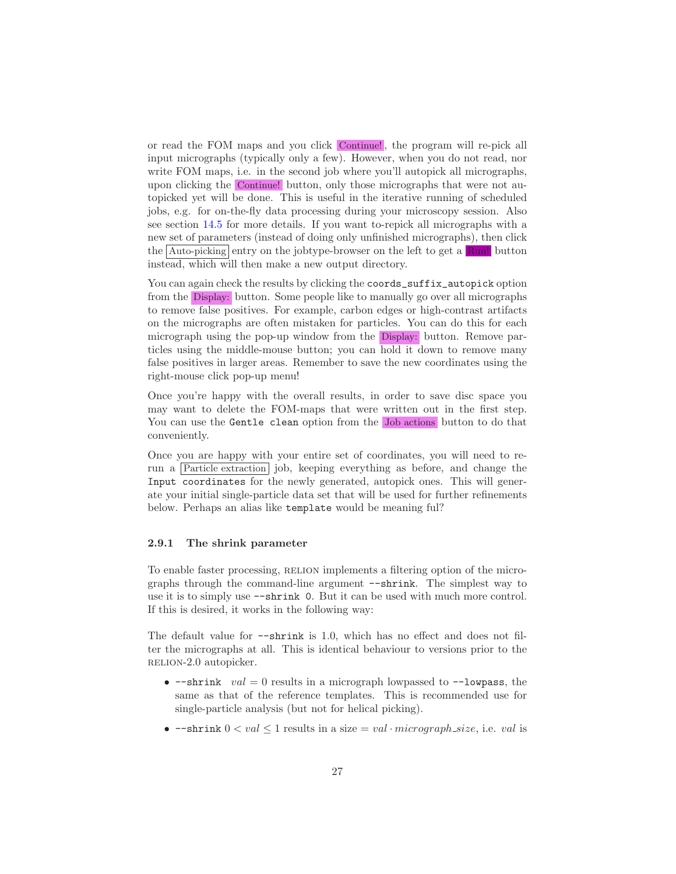or read the FOM maps and you click Continue! , the program will re-pick all input micrographs (typically only a few). However, when you do not read, nor write FOM maps, i.e. in the second job where you'll autopick all micrographs, upon clicking the Continue! button, only those micrographs that were not autopicked yet will be done. This is useful in the iterative running of scheduled jobs, e.g. for on-the-fly data processing during your microscopy session. Also see section [14.5](#page-61-0) for more details. If you want to-repick all micrographs with a new set of parameters (instead of doing only unfinished micrographs), then click the Auto-picking entry on the jobtype-browser on the left to get a Run! button instead, which will then make a new output directory.

You can again check the results by clicking the coords\_suffix\_autopick option from the Display: button. Some people like to manually go over all micrographs to remove false positives. For example, carbon edges or high-contrast artifacts on the micrographs are often mistaken for particles. You can do this for each micrograph using the pop-up window from the Display: button. Remove particles using the middle-mouse button; you can hold it down to remove many false positives in larger areas. Remember to save the new coordinates using the right-mouse click pop-up menu!

Once you're happy with the overall results, in order to save disc space you may want to delete the FOM-maps that were written out in the first step. You can use the Gentle clean option from the Job actions button to do that conveniently.

Once you are happy with your entire set of coordinates, you will need to rerun a Particle extraction job, keeping everything as before, and change the Input coordinates for the newly generated, autopick ones. This will generate your initial single-particle data set that will be used for further refinements below. Perhaps an alias like template would be meaning ful?

#### <span id="page-26-0"></span>2.9.1 The shrink parameter

To enable faster processing, RELION implements a filtering option of the micrographs through the command-line argument --shrink. The simplest way to use it is to simply use --shrink 0. But it can be used with much more control. If this is desired, it works in the following way:

The default value for  $-\sin\theta$  is 1.0, which has no effect and does not filter the micrographs at all. This is identical behaviour to versions prior to the relion-2.0 autopicker.

- $-\text{shrink}$  val = 0 results in a micrograph lowpassed to  $-\text{-lowpass}$ , the same as that of the reference templates. This is recommended use for single-particle analysis (but not for helical picking).
- $-\text{shrink } 0 < val < 1$  results in a size  $= val \cdot micrograph_size$ , i.e. val is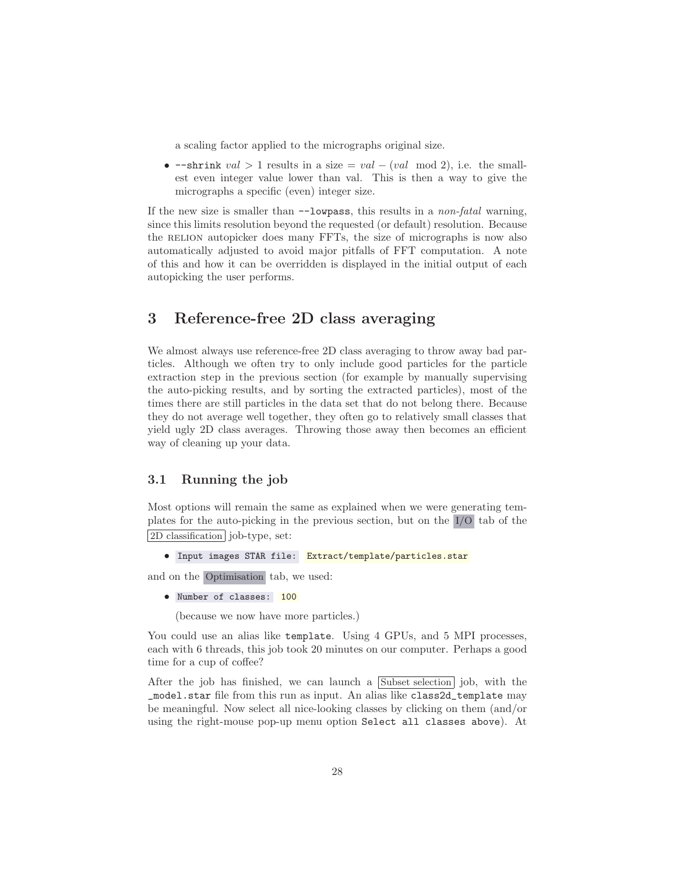a scaling factor applied to the micrographs original size.

•  $-\text{shrink } val > 1 \text{ results in a size} = val - (val \mod 2), \text{ i.e. the small$ est even integer value lower than val. This is then a way to give the micrographs a specific (even) integer size.

If the new size is smaller than --lowpass, this results in a *non-fatal* warning, since this limits resolution beyond the requested (or default) resolution. Because the RELION autopicker does many FFTs, the size of micrographs is now also automatically adjusted to avoid major pitfalls of FFT computation. A note of this and how it can be overridden is displayed in the initial output of each autopicking the user performs.

## <span id="page-27-0"></span>3 Reference-free 2D class averaging

We almost always use reference-free 2D class averaging to throw away bad particles. Although we often try to only include good particles for the particle extraction step in the previous section (for example by manually supervising the auto-picking results, and by sorting the extracted particles), most of the times there are still particles in the data set that do not belong there. Because they do not average well together, they often go to relatively small classes that yield ugly 2D class averages. Throwing those away then becomes an efficient way of cleaning up your data.

## <span id="page-27-1"></span>3.1 Running the job

Most options will remain the same as explained when we were generating templates for the auto-picking in the previous section, but on the I/O tab of the 2D classification job-type, set:

• Input images STAR file: Extract/template/particles.star

and on the Optimisation tab, we used:

• Number of classes: 100

(because we now have more particles.)

You could use an alias like template. Using 4 GPUs, and 5 MPI processes, each with 6 threads, this job took 20 minutes on our computer. Perhaps a good time for a cup of coffee?

After the job has finished, we can launch a  $\boxed{\text{Subset}}$  selection job, with the \_model.star file from this run as input. An alias like class2d\_template may be meaningful. Now select all nice-looking classes by clicking on them (and/or using the right-mouse pop-up menu option Select all classes above). At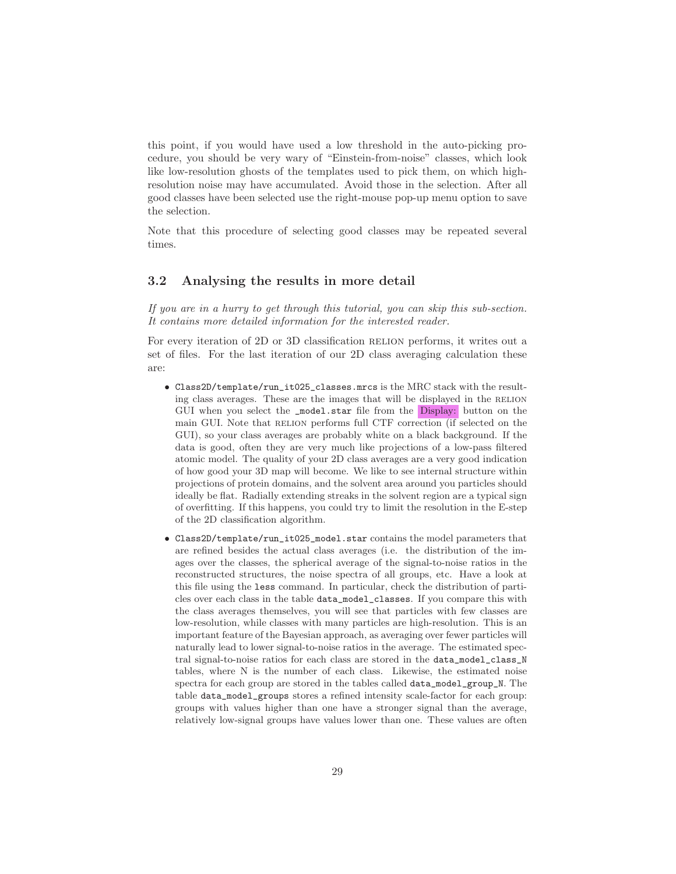this point, if you would have used a low threshold in the auto-picking procedure, you should be very wary of "Einstein-from-noise" classes, which look like low-resolution ghosts of the templates used to pick them, on which highresolution noise may have accumulated. Avoid those in the selection. After all good classes have been selected use the right-mouse pop-up menu option to save the selection.

Note that this procedure of selecting good classes may be repeated several times.

### <span id="page-28-0"></span>3.2 Analysing the results in more detail

*If you are in a hurry to get through this tutorial, you can skip this sub-section. It contains more detailed information for the interested reader.*

For every iteration of 2D or 3D classification RELION performs, it writes out a set of files. For the last iteration of our 2D class averaging calculation these are:

- Class2D/template/run\_it025\_classes.mrcs is the MRC stack with the resulting class averages. These are the images that will be displayed in the RELION GUI when you select the \_model.star file from the Display: button on the main GUI. Note that RELION performs full CTF correction (if selected on the GUI), so your class averages are probably white on a black background. If the data is good, often they are very much like projections of a low-pass filtered atomic model. The quality of your 2D class averages are a very good indication of how good your 3D map will become. We like to see internal structure within projections of protein domains, and the solvent area around you particles should ideally be flat. Radially extending streaks in the solvent region are a typical sign of overfitting. If this happens, you could try to limit the resolution in the E-step of the 2D classification algorithm.
- Class2D/template/run\_it025\_model.star contains the model parameters that are refined besides the actual class averages (i.e. the distribution of the images over the classes, the spherical average of the signal-to-noise ratios in the reconstructed structures, the noise spectra of all groups, etc. Have a look at this file using the less command. In particular, check the distribution of particles over each class in the table data\_model\_classes. If you compare this with the class averages themselves, you will see that particles with few classes are low-resolution, while classes with many particles are high-resolution. This is an important feature of the Bayesian approach, as averaging over fewer particles will naturally lead to lower signal-to-noise ratios in the average. The estimated spectral signal-to-noise ratios for each class are stored in the data\_model\_class\_N tables, where N is the number of each class. Likewise, the estimated noise spectra for each group are stored in the tables called data\_model\_group\_N. The table data\_model\_groups stores a refined intensity scale-factor for each group: groups with values higher than one have a stronger signal than the average, relatively low-signal groups have values lower than one. These values are often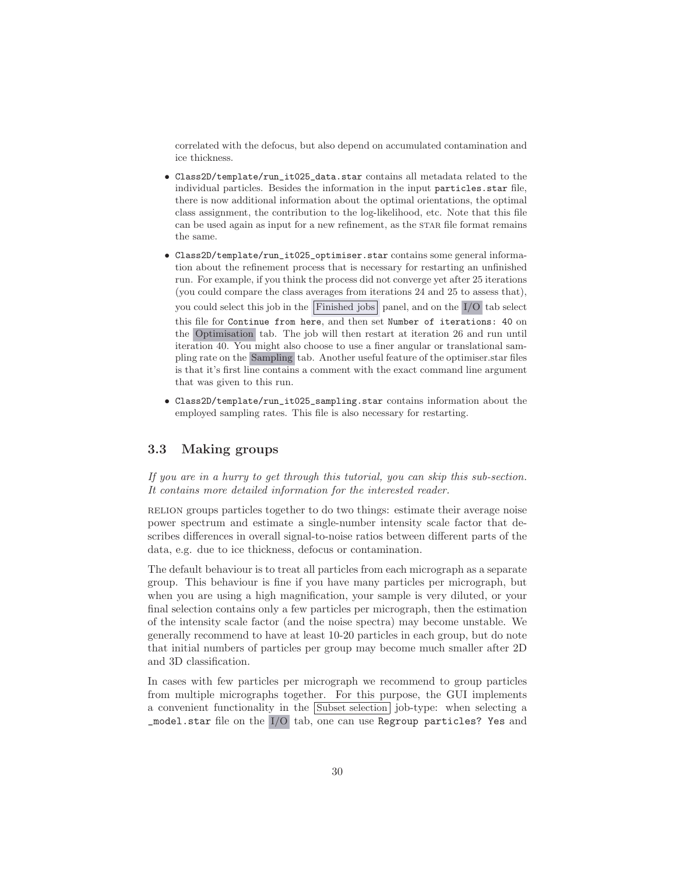correlated with the defocus, but also depend on accumulated contamination and ice thickness.

- Class2D/template/run\_it025\_data.star contains all metadata related to the individual particles. Besides the information in the input particles.star file, there is now additional information about the optimal orientations, the optimal class assignment, the contribution to the log-likelihood, etc. Note that this file can be used again as input for a new refinement, as the star file format remains the same.
- Class2D/template/run\_it025\_optimiser.star contains some general information about the refinement process that is necessary for restarting an unfinished run. For example, if you think the process did not converge yet after 25 iterations (you could compare the class averages from iterations 24 and 25 to assess that), you could select this job in the Finished jobs panel, and on the  $I/O$  tab select this file for Continue from here, and then set Number of iterations: 40 on the Optimisation tab. The job will then restart at iteration 26 and run until iteration 40. You might also choose to use a finer angular or translational sampling rate on the Sampling tab. Another useful feature of the optimiser.star files is that it's first line contains a comment with the exact command line argument that was given to this run.
- Class2D/template/run\_it025\_sampling.star contains information about the employed sampling rates. This file is also necessary for restarting.

## <span id="page-29-0"></span>3.3 Making groups

*If you are in a hurry to get through this tutorial, you can skip this sub-section. It contains more detailed information for the interested reader.*

relion groups particles together to do two things: estimate their average noise power spectrum and estimate a single-number intensity scale factor that describes differences in overall signal-to-noise ratios between different parts of the data, e.g. due to ice thickness, defocus or contamination.

The default behaviour is to treat all particles from each micrograph as a separate group. This behaviour is fine if you have many particles per micrograph, but when you are using a high magnification, your sample is very diluted, or your final selection contains only a few particles per micrograph, then the estimation of the intensity scale factor (and the noise spectra) may become unstable. We generally recommend to have at least 10-20 particles in each group, but do note that initial numbers of particles per group may become much smaller after 2D and 3D classification.

In cases with few particles per micrograph we recommend to group particles from multiple micrographs together. For this purpose, the GUI implements a convenient functionality in the Subset selection job-type: when selecting a \_model.star file on the I/O tab, one can use Regroup particles? Yes and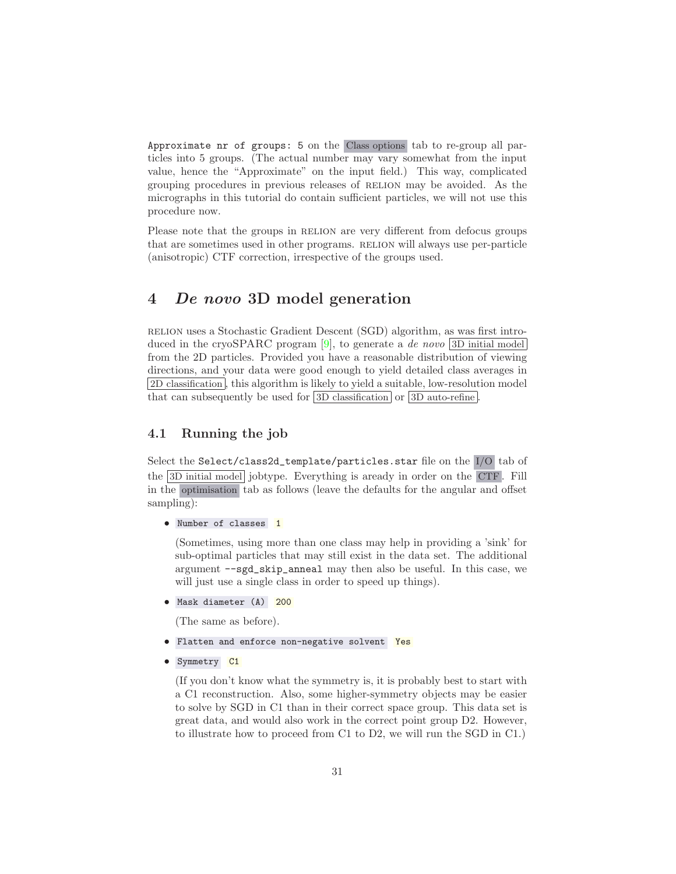Approximate nr of groups: 5 on the Class options tab to re-group all particles into 5 groups. (The actual number may vary somewhat from the input value, hence the "Approximate" on the input field.) This way, complicated grouping procedures in previous releases of RELION may be avoided. As the micrographs in this tutorial do contain sufficient particles, we will not use this procedure now.

Please note that the groups in RELION are very different from defocus groups that are sometimes used in other programs. RELION will always use per-particle (anisotropic) CTF correction, irrespective of the groups used.

## <span id="page-30-0"></span>4 De novo 3D model generation

relion uses a Stochastic Gradient Descent (SGD) algorithm, as was first intro-duced in the cryoSPARC program [\[9](#page-70-0)], to generate a *de novo* [3D initial model] from the 2D particles. Provided you have a reasonable distribution of viewing directions, and your data were good enough to yield detailed class averages in 2D classification , this algorithm is likely to yield a suitable, low-resolution model that can subsequently be used for  $3D$  classification or  $3D$  auto-refine.

## <span id="page-30-1"></span>4.1 Running the job

Select the Select/class2d\_template/particles.star file on the I/O tab of the 3D initial model jobtype. Everything is aready in order on the CTF . Fill in the optimisation tab as follows (leave the defaults for the angular and offset sampling):

• Number of classes 1

(Sometimes, using more than one class may help in providing a 'sink' for sub-optimal particles that may still exist in the data set. The additional argument --sgd\_skip\_anneal may then also be useful. In this case, we will just use a single class in order to speed up things).

• Mask diameter (A) 200

(The same as before).

- Flatten and enforce non-negative solvent Yes
- Symmetry C1

(If you don't know what the symmetry is, it is probably best to start with a C1 reconstruction. Also, some higher-symmetry objects may be easier to solve by SGD in C1 than in their correct space group. This data set is great data, and would also work in the correct point group D2. However, to illustrate how to proceed from C1 to D2, we will run the SGD in C1.)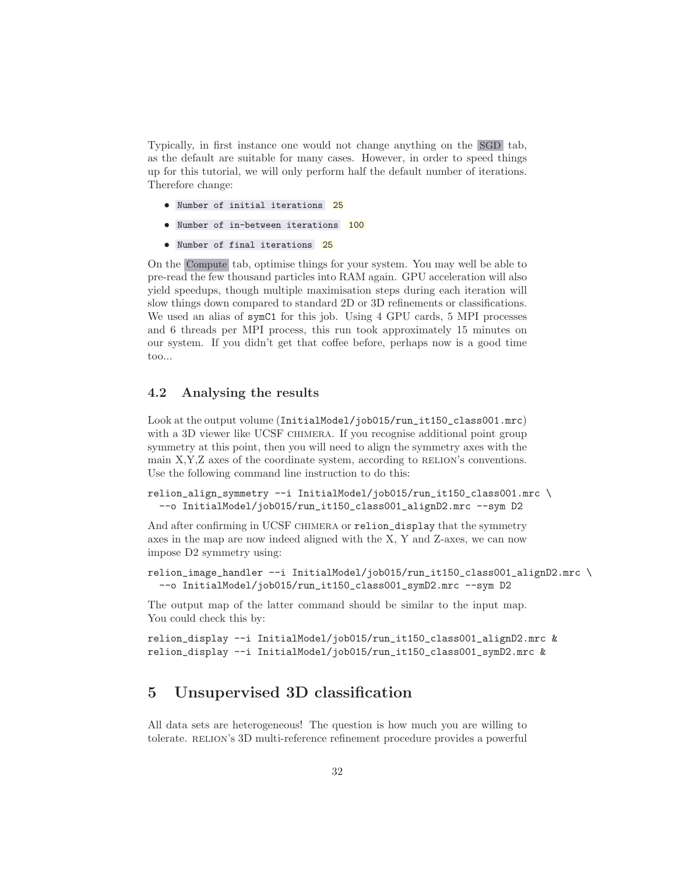Typically, in first instance one would not change anything on the SGD tab, as the default are suitable for many cases. However, in order to speed things up for this tutorial, we will only perform half the default number of iterations. Therefore change:

- Number of initial iterations 25
- Number of in-between iterations 100
- Number of final iterations 25

On the Compute tab, optimise things for your system. You may well be able to pre-read the few thousand particles into RAM again. GPU acceleration will also yield speedups, though multiple maximisation steps during each iteration will slow things down compared to standard 2D or 3D refinements or classifications. We used an alias of symC1 for this job. Using 4 GPU cards, 5 MPI processes and 6 threads per MPI process, this run took approximately 15 minutes on our system. If you didn't get that coffee before, perhaps now is a good time too...

### <span id="page-31-0"></span>4.2 Analysing the results

Look at the output volume (InitialModel/job015/run\_it150\_class001.mrc) with a 3D viewer like UCSF CHIMERA. If you recognise additional point group symmetry at this point, then you will need to align the symmetry axes with the main  $X, Y, Z$  axes of the coordinate system, according to RELION's conventions. Use the following command line instruction to do this:

```
relion_align_symmetry --i InitialModel/job015/run_it150_class001.mrc \
  --o InitialModel/job015/run_it150_class001_alignD2.mrc --sym D2
```
And after confirming in UCSF CHIMERA or relion\_display that the symmetry axes in the map are now indeed aligned with the X, Y and Z-axes, we can now impose D2 symmetry using:

```
relion_image_handler --i InitialModel/job015/run_it150_class001_alignD2.mrc \
  --o InitialModel/job015/run_it150_class001_symD2.mrc --sym D2
```
The output map of the latter command should be similar to the input map. You could check this by:

```
relion_display --i InitialModel/job015/run_it150_class001_alignD2.mrc &
relion_display --i InitialModel/job015/run_it150_class001_symD2.mrc &
```
## <span id="page-31-1"></span>5 Unsupervised 3D classification

All data sets are heterogeneous! The question is how much you are willing to tolerate. RELION's 3D multi-reference refinement procedure provides a powerful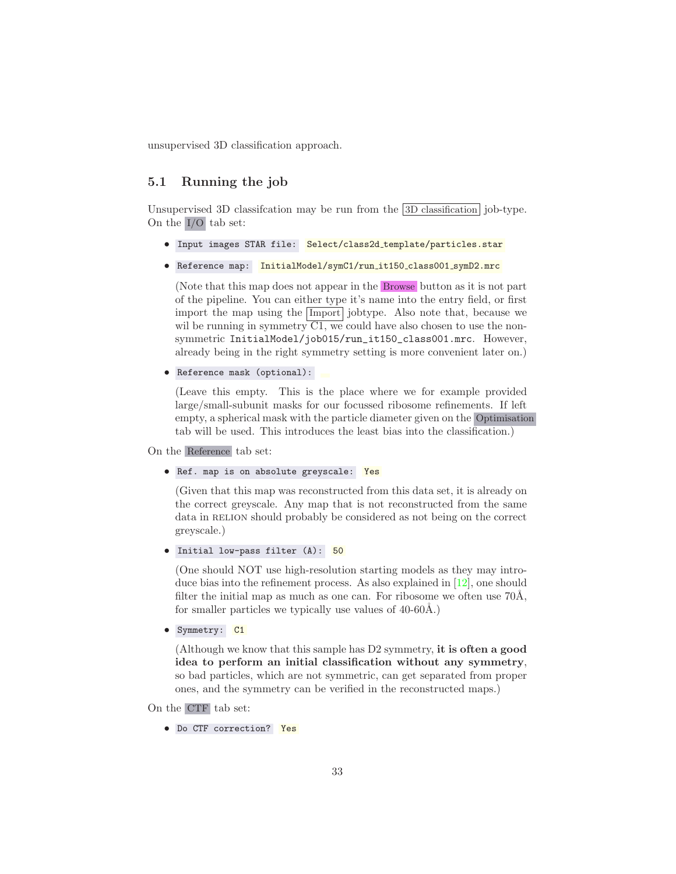<span id="page-32-0"></span>unsupervised 3D classification approach.

## 5.1 Running the job

Unsupervised 3D classifcation may be run from the 3D classification job-type. On the I/O tab set:

- Input images STAR file: Select/class2d\_template/particles.star
- Reference map: InitialModel/symC1/run\_it150\_class001\_symD2.mrc

(Note that this map does not appear in the Browse button as it is not part of the pipeline. You can either type it's name into the entry field, or first import the map using the Import jobtype. Also note that, because we wil be running in symmetry  $\overline{C1}$ , we could have also chosen to use the nonsymmetric InitialModel/job015/run\_it150\_class001.mrc. However, already being in the right symmetry setting is more convenient later on.)

• Reference mask (optional):

(Leave this empty. This is the place where we for example provided large/small-subunit masks for our focussed ribosome refinements. If left empty, a spherical mask with the particle diameter given on the Optimisation tab will be used. This introduces the least bias into the classification.)

On the Reference tab set:

• Ref. map is on absolute greyscale: Yes

(Given that this map was reconstructed from this data set, it is already on the correct greyscale. Any map that is not reconstructed from the same data in RELION should probably be considered as not being on the correct greyscale.)

• Initial low-pass filter (A): 50

(One should NOT use high-resolution starting models as they may introduce bias into the refinement process. As also explained in [\[12\]](#page-71-6), one should filter the initial map as much as one can. For ribosome we often use  $70\text{\AA}$ , for smaller particles we typically use values of  $40-60\text{\AA}$ .)

• Symmetry: C1

(Although we know that this sample has D2 symmetry, it is often a good idea to perform an initial classification without any symmetry, so bad particles, which are not symmetric, can get separated from proper ones, and the symmetry can be verified in the reconstructed maps.)

On the CTF tab set:

• Do CTF correction? Yes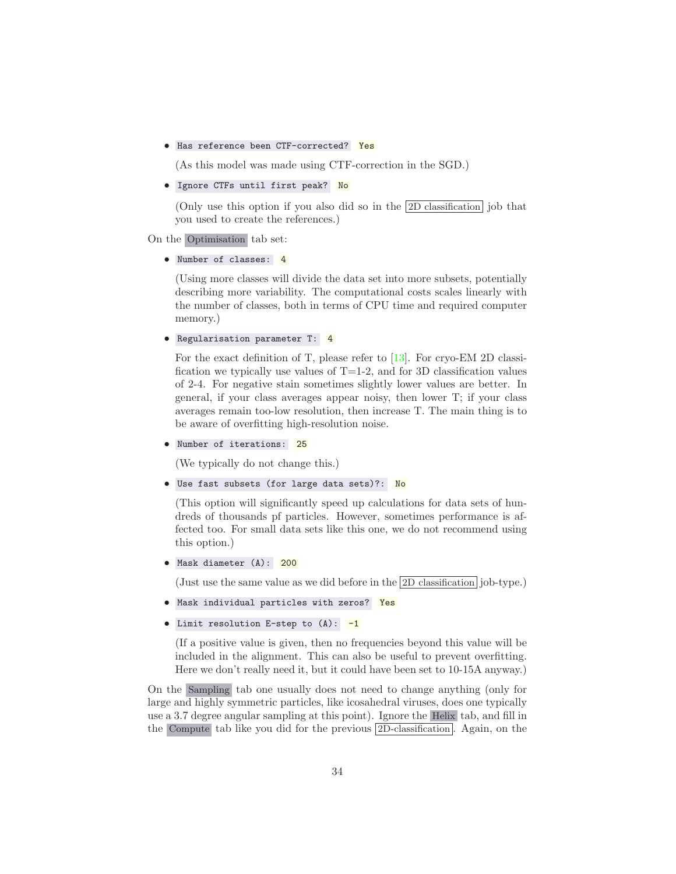• Has reference been CTF-corrected? Yes

(As this model was made using CTF-correction in the SGD.)

• Ignore CTFs until first peak? No

(Only use this option if you also did so in the 2D classification job that you used to create the references.)

On the Optimisation tab set:

• Number of classes: 4

(Using more classes will divide the data set into more subsets, potentially describing more variability. The computational costs scales linearly with the number of classes, both in terms of CPU time and required computer memory.)

```
• Regularisation parameter T: 4
```
For the exact definition of T, please refer to [\[13\]](#page-71-5). For cryo-EM 2D classification we typically use values of  $T=1-2$ , and for 3D classification values of 2-4. For negative stain sometimes slightly lower values are better. In general, if your class averages appear noisy, then lower T; if your class averages remain too-low resolution, then increase T. The main thing is to be aware of overfitting high-resolution noise.

```
• Number of iterations: 25
```
(We typically do not change this.)

• Use fast subsets (for large data sets)?: No

(This option will significantly speed up calculations for data sets of hundreds of thousands pf particles. However, sometimes performance is affected too. For small data sets like this one, we do not recommend using this option.)

• Mask diameter (A): 200

(Just use the same value as we did before in the 2D classification job-type.)

- Mask individual particles with zeros? Yes
- Limit resolution E-step to  $(A):$  -1

(If a positive value is given, then no frequencies beyond this value will be included in the alignment. This can also be useful to prevent overfitting. Here we don't really need it, but it could have been set to 10-15A anyway.)

On the Sampling tab one usually does not need to change anything (only for large and highly symmetric particles, like icosahedral viruses, does one typically use a 3.7 degree angular sampling at this point). Ignore the Helix tab, and fill in the Compute tab like you did for the previous  $2D$ -classification. Again, on the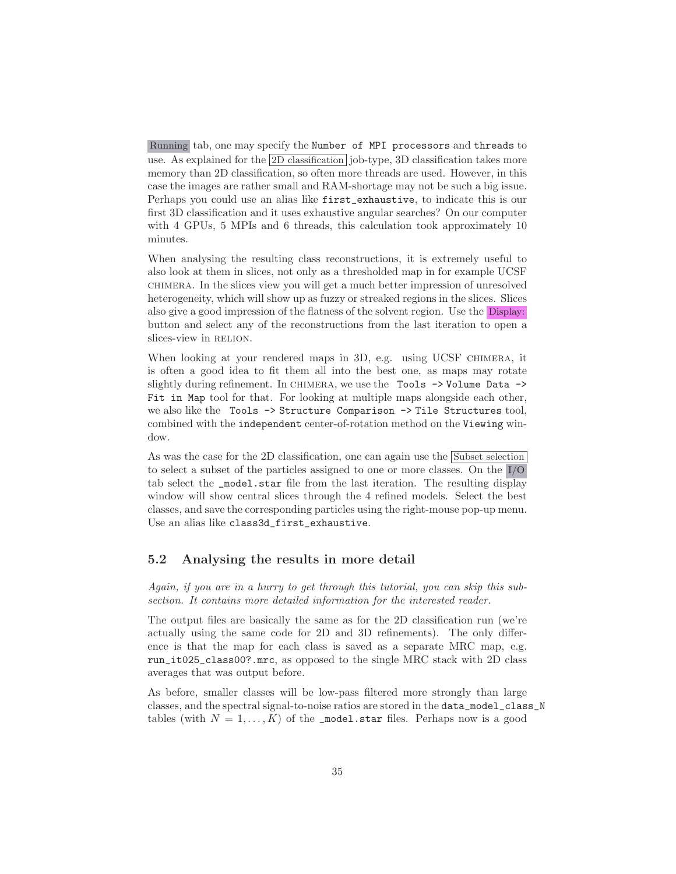Running tab, one may specify the Number of MPI processors and threads to use. As explained for the 2D classification job-type, 3D classification takes more memory than 2D classification, so often more threads are used. However, in this case the images are rather small and RAM-shortage may not be such a big issue. Perhaps you could use an alias like first\_exhaustive, to indicate this is our first 3D classification and it uses exhaustive angular searches? On our computer with 4 GPUs, 5 MPIs and 6 threads, this calculation took approximately 10 minutes.

When analysing the resulting class reconstructions, it is extremely useful to also look at them in slices, not only as a thresholded map in for example UCSF chimera. In the slices view you will get a much better impression of unresolved heterogeneity, which will show up as fuzzy or streaked regions in the slices. Slices also give a good impression of the flatness of the solvent region. Use the Display: button and select any of the reconstructions from the last iteration to open a slices-view in RELION.

When looking at your rendered maps in 3D, e.g. using UCSF CHIMERA, it is often a good idea to fit them all into the best one, as maps may rotate slightly during refinement. In CHIMERA, we use the Tools  $\rightarrow$  Volume Data  $\rightarrow$ Fit in Map tool for that. For looking at multiple maps alongside each other, we also like the Tools -> Structure Comparison -> Tile Structures tool, combined with the independent center-of-rotation method on the Viewing window.

As was the case for the 2D classification, one can again use the Subset selection to select a subset of the particles assigned to one or more classes. On the I/O tab select the \_model.star file from the last iteration. The resulting display window will show central slices through the 4 refined models. Select the best classes, and save the corresponding particles using the right-mouse pop-up menu. Use an alias like class3d\_first\_exhaustive.

## <span id="page-34-0"></span>5.2 Analysing the results in more detail

*Again, if you are in a hurry to get through this tutorial, you can skip this subsection. It contains more detailed information for the interested reader.*

The output files are basically the same as for the 2D classification run (we're actually using the same code for 2D and 3D refinements). The only difference is that the map for each class is saved as a separate MRC map, e.g. run\_it025\_class00?.mrc, as opposed to the single MRC stack with 2D class averages that was output before.

As before, smaller classes will be low-pass filtered more strongly than large classes, and the spectral signal-to-noise ratios are stored in the data\_model\_class\_N tables (with  $N = 1, ..., K$ ) of the \_model.star files. Perhaps now is a good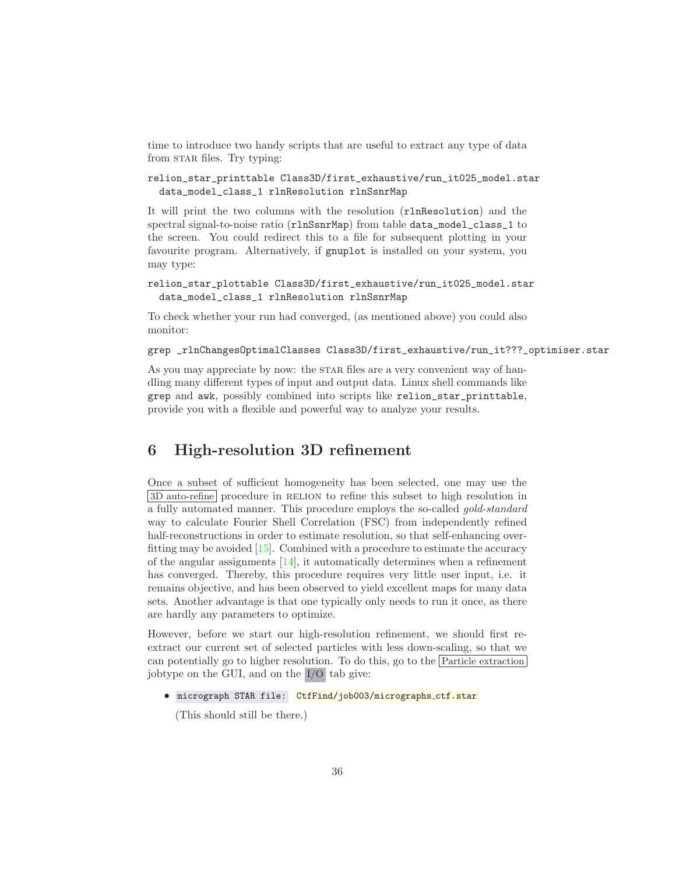time to introduce two handy scripts that are useful to extract any type of data from STAR files. Try typing:

#### relion\_star\_printtable Class3D/first\_exhaustive/run\_it025\_model.star data\_model\_class\_1 rlnResolution rlnSsnrMap

It will print the two columns with the resolution (rlnResolution) and the spectral signal-to-noise ratio (rlnSsnrMap) from table data\_model\_class\_1 to the screen. You could redirect this to a file for subsequent plotting in your favourite program. Alternatively, if gnuplot is installed on your system, you may type:

relion\_star\_plottable Class3D/first\_exhaustive/run\_it025\_model.star data\_model\_class\_1 rlnResolution rlnSsnrMap

To check whether your run had converged, (as mentioned above) you could also monitor:

grep \_rlnChangesOptimalClasses Class3D/first\_exhaustive/run\_it???\_optimiser.star

As you may appreciate by now: the STAR files are a very convenient way of handling many different types of input and output data. Linux shell commands like grep and awk, possibly combined into scripts like relion\_star\_printtable, provide you with a flexible and powerful way to analyze your results.

## <span id="page-35-0"></span>6 High-resolution 3D refinement

Once a subset of sufficient homogeneity has been selected, one may use the 3D auto-refine procedure in RELION to refine this subset to high resolution in a fully automated manner. This procedure employs the so-called *gold-standard* way to calculate Fourier Shell Correlation (FSC) from independently refined half-reconstructions in order to estimate resolution, so that self-enhancing overfitting may be avoided [\[15\]](#page-71-7). Combined with a procedure to estimate the accuracy of the angular assignments  $[14]$ , it automatically determines when a refinement has converged. Thereby, this procedure requires very little user input, i.e. it remains objective, and has been observed to yield excellent maps for many data sets. Another advantage is that one typically only needs to run it once, as there are hardly any parameters to optimize.

However, before we start our high-resolution refinement, we should first reextract our current set of selected particles with less down-scaling, so that we can potentially go to higher resolution. To do this, go to the Particle extraction jobtype on the GUI, and on the I/O tab give:

```
• micrograph STAR file: CtfFind/job003/micrographs_ctf.star
```
(This should still be there.)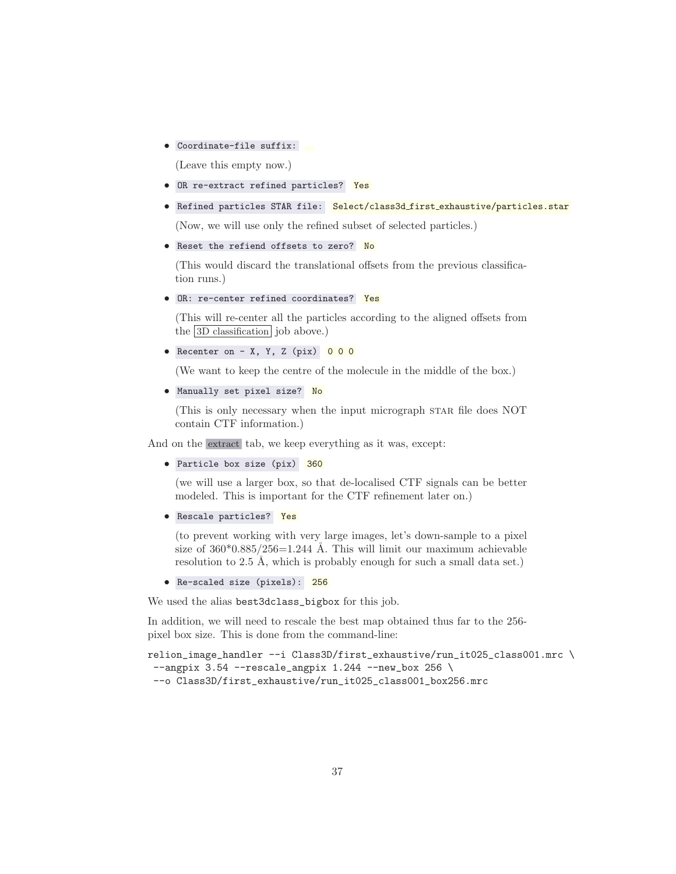• Coordinate-file suffix:

(Leave this empty now.)

- OR re-extract refined particles? Yes
- Refined particles STAR file: Select/class3d\_first\_exhaustive/particles.star

(Now, we will use only the refined subset of selected particles.)

• Reset the refiend offsets to zero? No

(This would discard the translational offsets from the previous classification runs.)

• OR: re-center refined coordinates? Yes

(This will re-center all the particles according to the aligned offsets from the 3D classification job above.)

```
• Recenter on - X, Y, Z (pix) 0 0 0
```
(We want to keep the centre of the molecule in the middle of the box.)

```
• Manually set pixel size? No
```
(This is only necessary when the input micrograph STAR file does NOT contain CTF information.)

And on the extract tab, we keep everything as it was, except:

```
• Particle box size (pix) 360
```
(we will use a larger box, so that de-localised CTF signals can be better modeled. This is important for the CTF refinement later on.)

• Rescale particles? Yes

(to prevent working with very large images, let's down-sample to a pixel size of  $360*0.885/256=1.244$  Å. This will limit our maximum achievable resolution to 2.5 Å, which is probably enough for such a small data set.)

• Re-scaled size (pixels): 256

We used the alias best3dclass\_bigbox for this job.

In addition, we will need to rescale the best map obtained thus far to the 256 pixel box size. This is done from the command-line:

```
relion_image_handler --i Class3D/first_exhaustive/run_it025_class001.mrc \
 --angpix 3.54 --rescale_angpix 1.244 --new_box 256 \
 --o Class3D/first_exhaustive/run_it025_class001_box256.mrc
```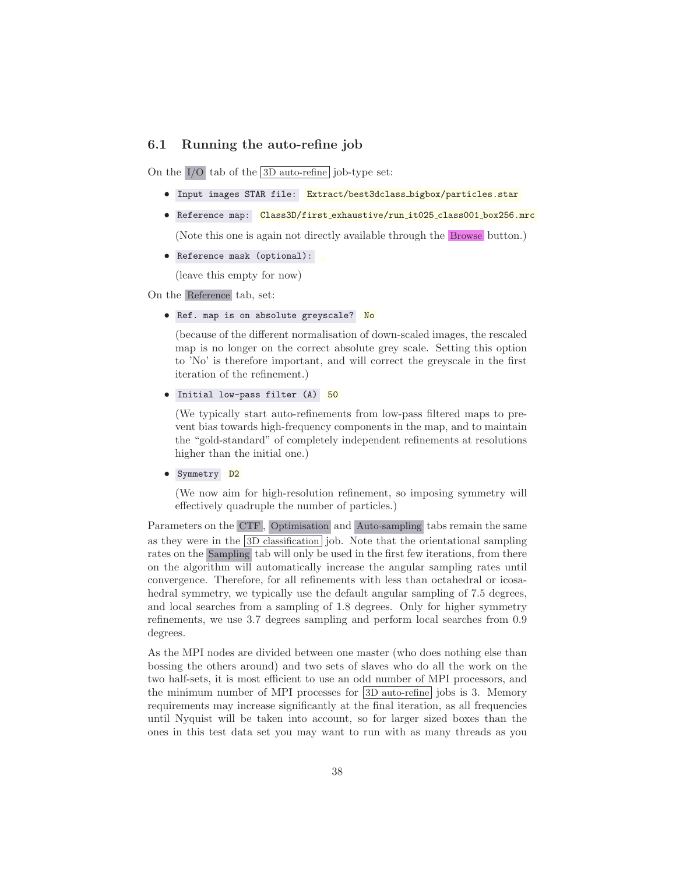## 6.1 Running the auto-refine job

On the I/O tab of the 3D auto-refine job-type set:

- Input images STAR file: Extract/best3dclass\_bigbox/particles.star
- Reference map: Class3D/first\_exhaustive/run\_it025\_class001\_box256.mrc

(Note this one is again not directly available through the Browse button.)

• Reference mask (optional):

(leave this empty for now)

On the Reference tab, set:

### • Ref. map is on absolute greyscale? No

(because of the different normalisation of down-scaled images, the rescaled map is no longer on the correct absolute grey scale. Setting this option to 'No' is therefore important, and will correct the greyscale in the first iteration of the refinement.)

### • Initial low-pass filter (A) 50

(We typically start auto-refinements from low-pass filtered maps to prevent bias towards high-frequency components in the map, and to maintain the "gold-standard" of completely independent refinements at resolutions higher than the initial one.)

• Symmetry D<sub>2</sub>

(We now aim for high-resolution refinement, so imposing symmetry will effectively quadruple the number of particles.)

Parameters on the CTF , Optimisation and Auto-sampling tabs remain the same as they were in the  $3D$  classification job. Note that the orientational sampling rates on the Sampling tab will only be used in the first few iterations, from there on the algorithm will automatically increase the angular sampling rates until convergence. Therefore, for all refinements with less than octahedral or icosahedral symmetry, we typically use the default angular sampling of 7.5 degrees, and local searches from a sampling of 1.8 degrees. Only for higher symmetry refinements, we use 3.7 degrees sampling and perform local searches from 0.9 degrees.

As the MPI nodes are divided between one master (who does nothing else than bossing the others around) and two sets of slaves who do all the work on the two half-sets, it is most efficient to use an odd number of MPI processors, and the minimum number of MPI processes for  $\overline{3D}$  auto-refine jobs is 3. Memory requirements may increase significantly at the final iteration, as all frequencies until Nyquist will be taken into account, so for larger sized boxes than the ones in this test data set you may want to run with as many threads as you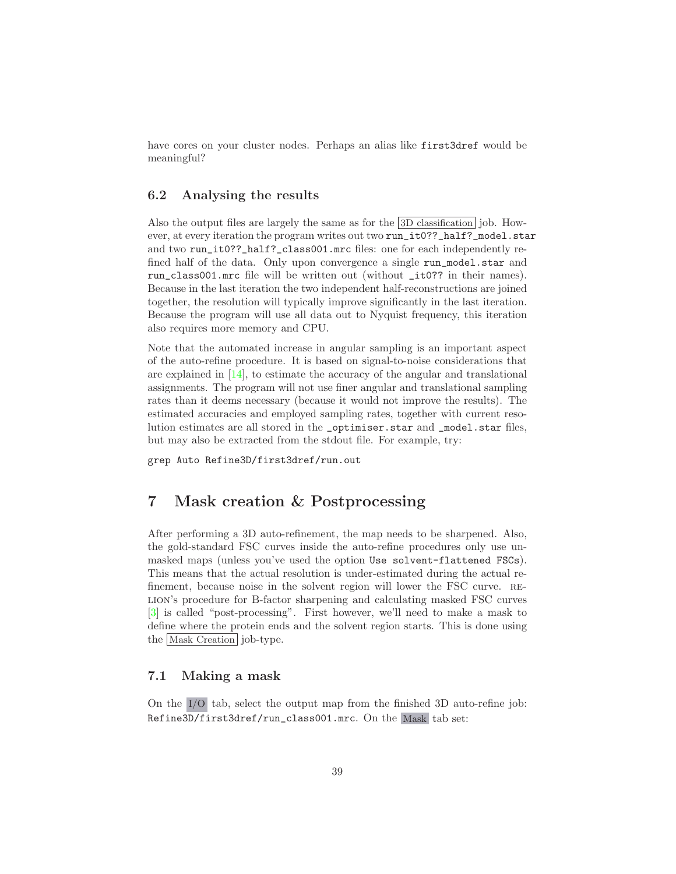have cores on your cluster nodes. Perhaps an alias like first3dref would be meaningful?

## 6.2 Analysing the results

Also the output files are largely the same as for the 3D classification job. However, at every iteration the program writes out two run\_it0??\_half?\_model.star and two run\_it0??\_half?\_class001.mrc files: one for each independently refined half of the data. Only upon convergence a single run\_model.star and run\_class001.mrc file will be written out (without \_it0?? in their names). Because in the last iteration the two independent half-reconstructions are joined together, the resolution will typically improve significantly in the last iteration. Because the program will use all data out to Nyquist frequency, this iteration also requires more memory and CPU.

Note that the automated increase in angular sampling is an important aspect of the auto-refine procedure. It is based on signal-to-noise considerations that are explained in [\[14](#page-71-0)], to estimate the accuracy of the angular and translational assignments. The program will not use finer angular and translational sampling rates than it deems necessary (because it would not improve the results). The estimated accuracies and employed sampling rates, together with current resolution estimates are all stored in the \_optimiser.star and \_model.star files, but may also be extracted from the stdout file. For example, try:

grep Auto Refine3D/first3dref/run.out

## 7 Mask creation & Postprocessing

After performing a 3D auto-refinement, the map needs to be sharpened. Also, the gold-standard FSC curves inside the auto-refine procedures only use unmasked maps (unless you've used the option Use solvent-flattened FSCs). This means that the actual resolution is under-estimated during the actual refinement, because noise in the solvent region will lower the FSC curve. relion's procedure for B-factor sharpening and calculating masked FSC curves [\[3\]](#page-70-0) is called "post-processing". First however, we'll need to make a mask to define where the protein ends and the solvent region starts. This is done using the Mask Creation job-type.

## 7.1 Making a mask

On the I/O tab, select the output map from the finished 3D auto-refine job: Refine3D/first3dref/run\_class001.mrc. On the Mask tab set: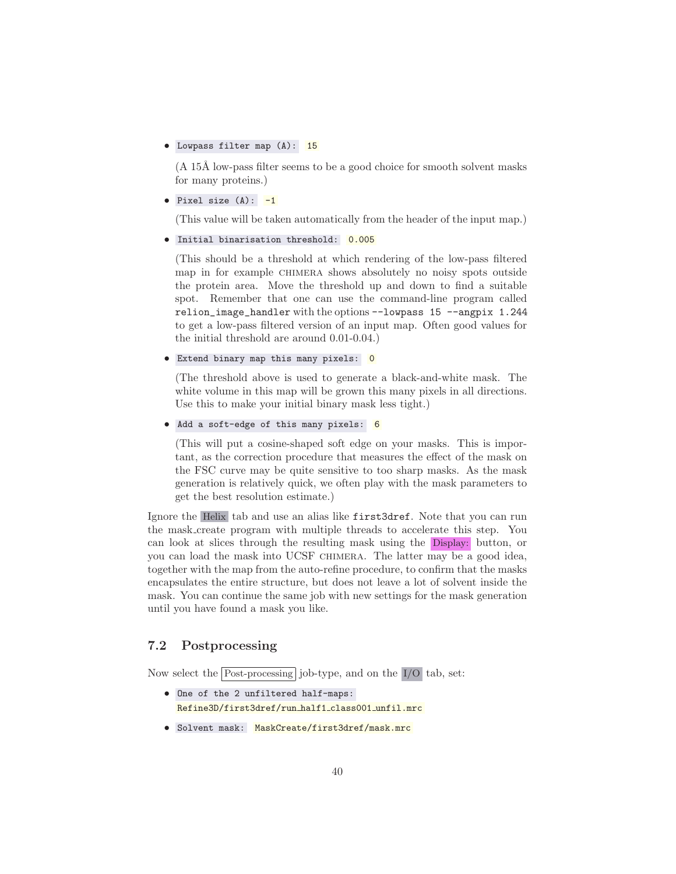### • Lowpass filter map (A): 15

 $(A 15\text{\AA}$  low-pass filter seems to be a good choice for smooth solvent masks for many proteins.)

• Pixel size  $(A)$ :  $-1$ 

(This value will be taken automatically from the header of the input map.)

```
• Initial binarisation threshold: 0.005
```
(This should be a threshold at which rendering of the low-pass filtered map in for example chimera shows absolutely no noisy spots outside the protein area. Move the threshold up and down to find a suitable spot. Remember that one can use the command-line program called relion\_image\_handler with the options --lowpass 15 --angpix 1.244 to get a low-pass filtered version of an input map. Often good values for the initial threshold are around 0.01-0.04.)

```
• Extend binary map this many pixels: 0
```
(The threshold above is used to generate a black-and-white mask. The white volume in this map will be grown this many pixels in all directions. Use this to make your initial binary mask less tight.)

```
• Add a soft-edge of this many pixels: 6
```
(This will put a cosine-shaped soft edge on your masks. This is important, as the correction procedure that measures the effect of the mask on the FSC curve may be quite sensitive to too sharp masks. As the mask generation is relatively quick, we often play with the mask parameters to get the best resolution estimate.)

Ignore the Helix tab and use an alias like first3dref. Note that you can run the mask create program with multiple threads to accelerate this step. You can look at slices through the resulting mask using the Display: button, or you can load the mask into UCSF chimera. The latter may be a good idea, together with the map from the auto-refine procedure, to confirm that the masks encapsulates the entire structure, but does not leave a lot of solvent inside the mask. You can continue the same job with new settings for the mask generation until you have found a mask you like.

## 7.2 Postprocessing

Now select the Post-processing job-type, and on the I/O tab, set:

- One of the 2 unfiltered half-maps: Refine3D/first3dref/run half1 class001 unfil.mrc
- Solvent mask: MaskCreate/first3dref/mask.mrc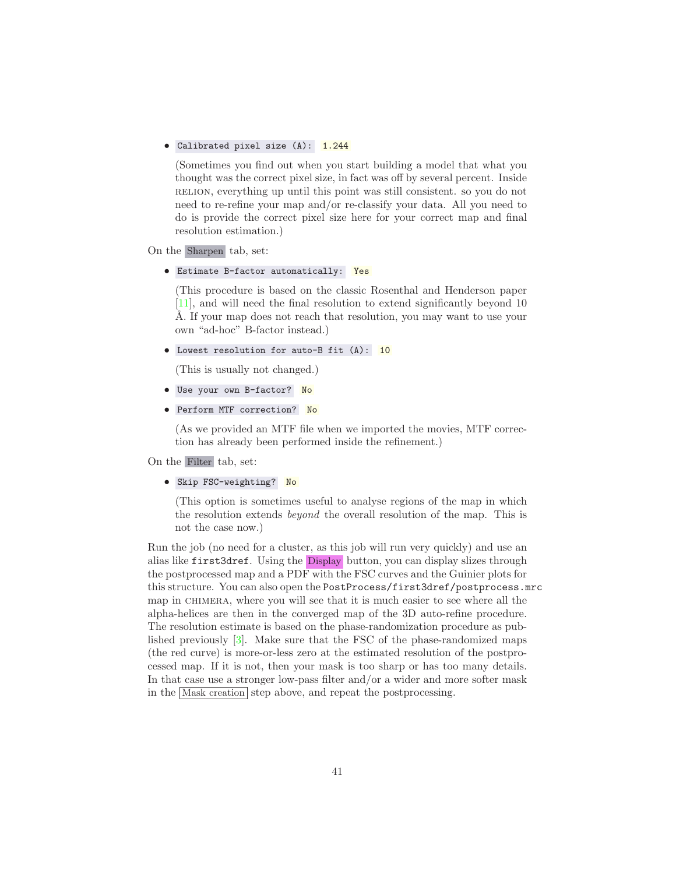### • Calibrated pixel size (A): 1.244

(Sometimes you find out when you start building a model that what you thought was the correct pixel size, in fact was off by several percent. Inside relion, everything up until this point was still consistent. so you do not need to re-refine your map and/or re-classify your data. All you need to do is provide the correct pixel size here for your correct map and final resolution estimation.)

On the Sharpen tab, set:

• Estimate B-factor automatically: Yes

(This procedure is based on the classic Rosenthal and Henderson paper [\[11](#page-70-1)], and will need the final resolution to extend significantly beyond 10 A. If your map does not reach that resolution, you may want to use your own "ad-hoc" B-factor instead.)

• Lowest resolution for auto-B fit (A): 10

(This is usually not changed.)

- Use your own B-factor? No
- Perform MTF correction? No

(As we provided an MTF file when we imported the movies, MTF correction has already been performed inside the refinement.)

On the Filter tab, set:

• Skip FSC-weighting? No

(This option is sometimes useful to analyse regions of the map in which the resolution extends *beyond* the overall resolution of the map. This is not the case now.)

Run the job (no need for a cluster, as this job will run very quickly) and use an alias like first3dref. Using the Display button, you can display slizes through the postprocessed map and a PDF with the FSC curves and the Guinier plots for this structure. You can also open the PostProcess/first3dref/postprocess.mrc map in CHIMERA, where you will see that it is much easier to see where all the alpha-helices are then in the converged map of the 3D auto-refine procedure. The resolution estimate is based on the phase-randomization procedure as published previously [\[3\]](#page-70-0). Make sure that the FSC of the phase-randomized maps (the red curve) is more-or-less zero at the estimated resolution of the postprocessed map. If it is not, then your mask is too sharp or has too many details. In that case use a stronger low-pass filter and/or a wider and more softer mask in the  $\overline{\text{Mask creation}}$  step above, and repeat the postprocessing.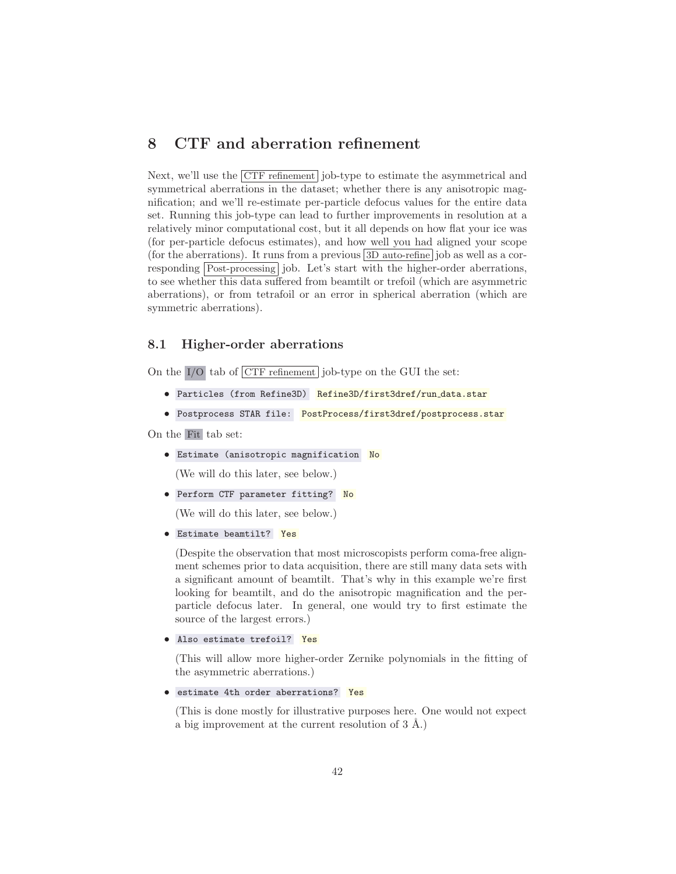## 8 CTF and aberration refinement

Next, we'll use the CTF refinement job-type to estimate the asymmetrical and symmetrical aberrations in the dataset; whether there is any anisotropic magnification; and we'll re-estimate per-particle defocus values for the entire data set. Running this job-type can lead to further improvements in resolution at a relatively minor computational cost, but it all depends on how flat your ice was (for per-particle defocus estimates), and how well you had aligned your scope (for the aberrations). It runs from a previous  $\boxed{3D}$  auto-refine job as well as a corresponding Post-processing job. Let's start with the higher-order aberrations, to see whether this data suffered from beamtilt or trefoil (which are asymmetric aberrations), or from tetrafoil or an error in spherical aberration (which are symmetric aberrations).

## 8.1 Higher-order aberrations

On the  $\overline{I/O}$  tab of  $\overline{CTF}$  refinement job-type on the GUI the set:

- Particles (from Refine3D) Refine3D/first3dref/run\_data.star
- Postprocess STAR file: PostProcess/first3dref/postprocess.star

On the Fit tab set:

**•** Estimate (anisotropic magnification No

(We will do this later, see below.)

• Perform CTF parameter fitting? No

(We will do this later, see below.)

• Estimate beamtilt? Yes

(Despite the observation that most microscopists perform coma-free alignment schemes prior to data acquisition, there are still many data sets with a significant amount of beamtilt. That's why in this example we're first looking for beamtilt, and do the anisotropic magnification and the perparticle defocus later. In general, one would try to first estimate the source of the largest errors.)

```
• Also estimate trefoil? Yes
```
(This will allow more higher-order Zernike polynomials in the fitting of the asymmetric aberrations.)

```
• estimate 4th order aberrations? Yes
```
(This is done mostly for illustrative purposes here. One would not expect a big improvement at the current resolution of  $3 \text{ Å}$ .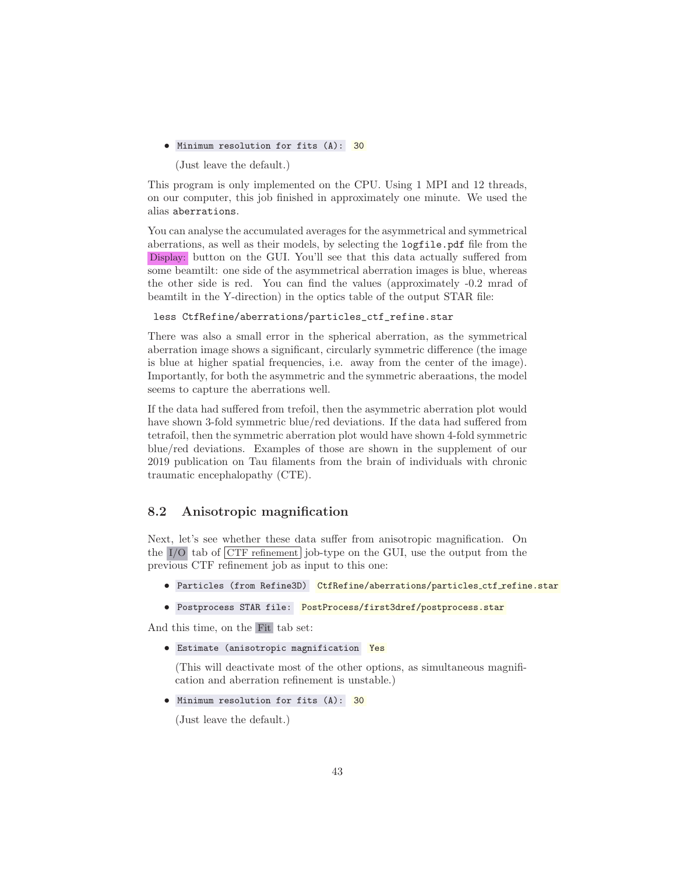• Minimum resolution for fits (A): 30

(Just leave the default.)

This program is only implemented on the CPU. Using 1 MPI and 12 threads, on our computer, this job finished in approximately one minute. We used the alias aberrations.

You can analyse the accumulated averages for the asymmetrical and symmetrical aberrations, as well as their models, by selecting the logfile.pdf file from the Display: button on the GUI. You'll see that this data actually suffered from some beamtilt: one side of the asymmetrical aberration images is blue, whereas the other side is red. You can find the values (approximately -0.2 mrad of beamtilt in the Y-direction) in the optics table of the output STAR file:

less CtfRefine/aberrations/particles\_ctf\_refine.star

There was also a small error in the spherical aberration, as the symmetrical aberration image shows a significant, circularly symmetric difference (the image is blue at higher spatial frequencies, i.e. away from the center of the image). Importantly, for both the asymmetric and the symmetric aberaations, the model seems to capture the aberrations well.

If the data had suffered from trefoil, then the asymmetric aberration plot would have shown 3-fold symmetric blue/red deviations. If the data had suffered from tetrafoil, then the symmetric aberration plot would have shown 4-fold symmetric blue/red deviations. Examples of those are shown in the supplement of our 2019 publication on Tau filaments from the brain of individuals with chronic traumatic encephalopathy (CTE).

## 8.2 Anisotropic magnification

Next, let's see whether these data suffer from anisotropic magnification. On the  $I/O$  tab of  $\overline{CTF \text{ refinement}}$  job-type on the GUI, use the output from the previous CTF refinement job as input to this one:

- Particles (from Refine3D) CtfRefine/aberrations/particles\_ctf\_refine.star
- Postprocess STAR file: PostProcess/first3dref/postprocess.star

And this time, on the Fit tab set:

**•** Estimate (anisotropic magnification Yes

(This will deactivate most of the other options, as simultaneous magnification and aberration refinement is unstable.)

• Minimum resolution for fits (A): 30

(Just leave the default.)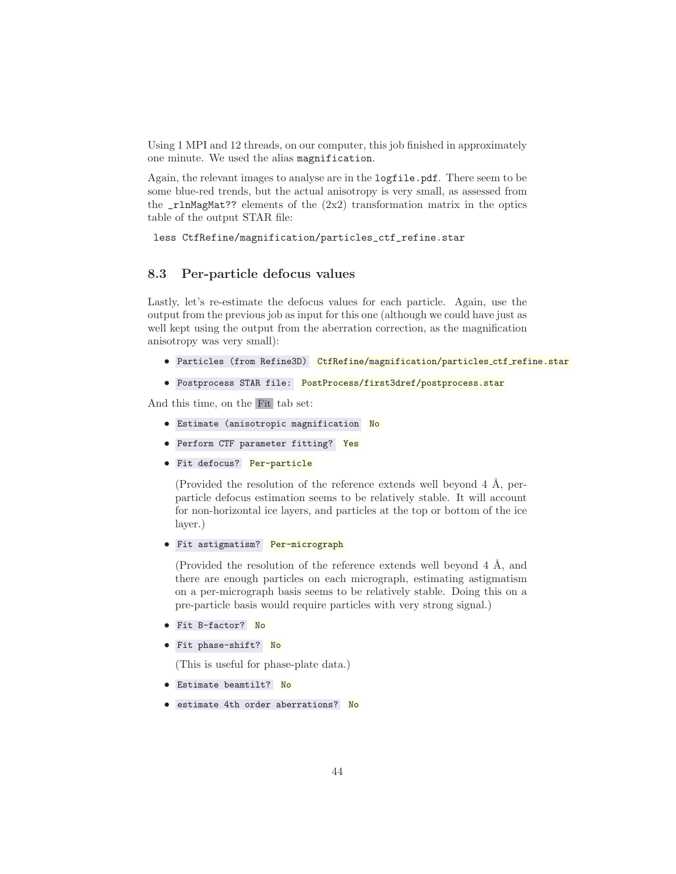Using 1 MPI and 12 threads, on our computer, this job finished in approximately one minute. We used the alias magnification.

Again, the relevant images to analyse are in the logfile.pdf. There seem to be some blue-red trends, but the actual anisotropy is very small, as assessed from the  $\text{r1nMagMat?}$ ? elements of the  $(2x2)$  transformation matrix in the optics table of the output STAR file:

less CtfRefine/magnification/particles\_ctf\_refine.star

## 8.3 Per-particle defocus values

Lastly, let's re-estimate the defocus values for each particle. Again, use the output from the previous job as input for this one (although we could have just as well kept using the output from the aberration correction, as the magnification anisotropy was very small):

- Particles (from Refine3D) CtfRefine/magnification/particles\_ctf\_refine.star
- Postprocess STAR file: PostProcess/first3dref/postprocess.star

And this time, on the Fit tab set:

- **•** Estimate (anisotropic magnification No
- Perform CTF parameter fitting? Yes
- Fit defocus? Per-particle

(Provided the resolution of the reference extends well beyond  $4 \text{ Å}$ , perparticle defocus estimation seems to be relatively stable. It will account for non-horizontal ice layers, and particles at the top or bottom of the ice layer.)

• Fit astigmatism? Per-micrograph

(Provided the resolution of the reference extends well beyond  $4 \text{ Å}$ , and there are enough particles on each micrograph, estimating astigmatism on a per-micrograph basis seems to be relatively stable. Doing this on a pre-particle basis would require particles with very strong signal.)

- Fit B-factor? No
- Fit phase-shift? No

(This is useful for phase-plate data.)

- Estimate beamtilt? No
- estimate 4th order aberrations? No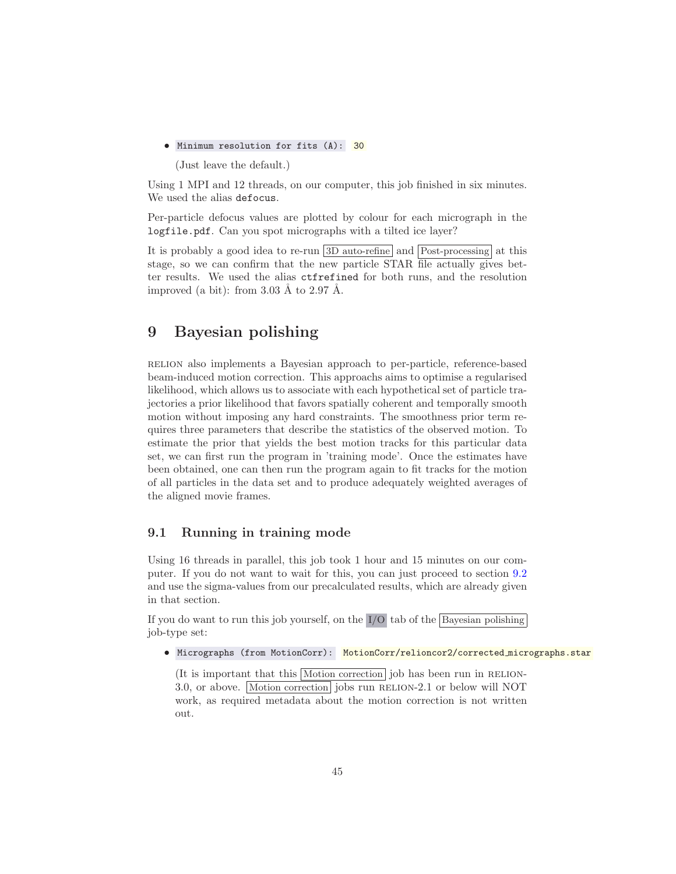• Minimum resolution for fits (A): 30

(Just leave the default.)

Using 1 MPI and 12 threads, on our computer, this job finished in six minutes. We used the alias defocus.

Per-particle defocus values are plotted by colour for each micrograph in the logfile.pdf. Can you spot micrographs with a tilted ice layer?

It is probably a good idea to re-run 3D auto-refine and Post-processing at this stage, so we can confirm that the new particle STAR file actually gives better results. We used the alias ctfrefined for both runs, and the resolution improved (a bit): from  $3.03 \text{ Å}$  to  $2.97 \text{ Å}.$ 

# 9 Bayesian polishing

relion also implements a Bayesian approach to per-particle, reference-based beam-induced motion correction. This approachs aims to optimise a regularised likelihood, which allows us to associate with each hypothetical set of particle trajectories a prior likelihood that favors spatially coherent and temporally smooth motion without imposing any hard constraints. The smoothness prior term requires three parameters that describe the statistics of the observed motion. To estimate the prior that yields the best motion tracks for this particular data set, we can first run the program in 'training mode'. Once the estimates have been obtained, one can then run the program again to fit tracks for the motion of all particles in the data set and to produce adequately weighted averages of the aligned movie frames.

## 9.1 Running in training mode

Using 16 threads in parallel, this job took 1 hour and 15 minutes on our computer. If you do not want to wait for this, you can just proceed to section [9.2](#page-45-0) and use the sigma-values from our precalculated results, which are already given in that section.

If you do want to run this job yourself, on the  $I/O$  tab of the Bayesian polishing job-type set:

• Micrographs (from MotionCorr): MotionCorr/relioncor2/corrected\_micrographs.star

(It is important that this  $\boxed{\text{Motion correction}}$  job has been run in RELION-3.0, or above. Motion correction jobs run RELION-2.1 or below will NOT work, as required metadata about the motion correction is not written out.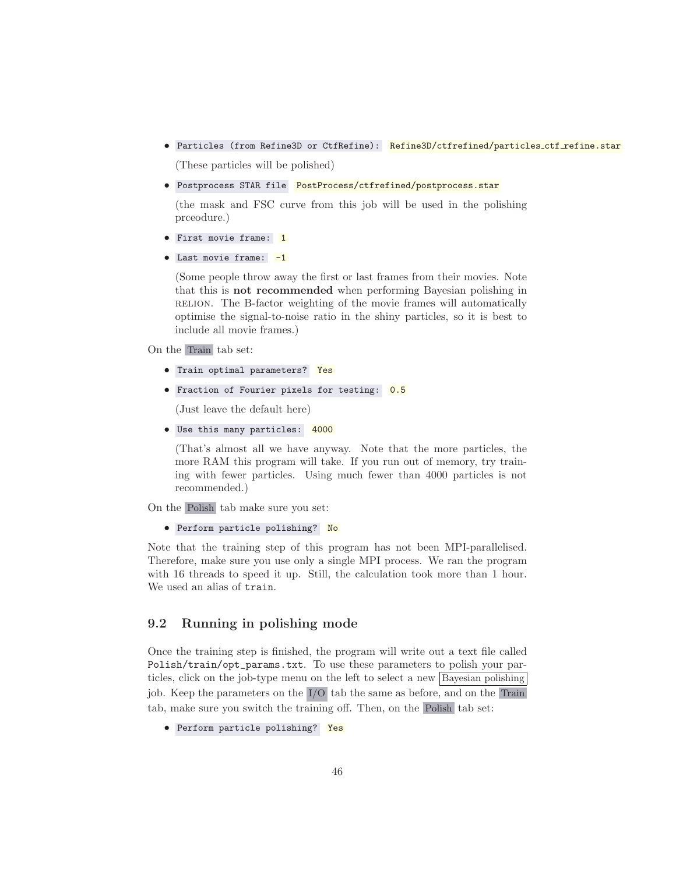• Particles (from Refine3D or CtfRefine): Refine3D/ctfrefined/particles\_ctf\_refine.star

(These particles will be polished)

• Postprocess STAR file PostProcess/ctfrefined/postprocess.star

(the mask and FSC curve from this job will be used in the polishing prceodure.)

- First movie frame: 1
- Last movie frame: -1

(Some people throw away the first or last frames from their movies. Note that this is not recommended when performing Bayesian polishing in RELION. The B-factor weighting of the movie frames will automatically optimise the signal-to-noise ratio in the shiny particles, so it is best to include all movie frames.)

On the Train tab set:

- Train optimal parameters? Yes
- **•** Fraction of Fourier pixels for testing: 0.5

(Just leave the default here)

• Use this many particles: 4000

(That's almost all we have anyway. Note that the more particles, the more RAM this program will take. If you run out of memory, try training with fewer particles. Using much fewer than 4000 particles is not recommended.)

On the Polish tab make sure you set:

• Perform particle polishing? No

Note that the training step of this program has not been MPI-parallelised. Therefore, make sure you use only a single MPI process. We ran the program with 16 threads to speed it up. Still, the calculation took more than 1 hour. We used an alias of train.

## <span id="page-45-0"></span>9.2 Running in polishing mode

Once the training step is finished, the program will write out a text file called Polish/train/opt\_params.txt. To use these parameters to polish your particles, click on the job-type menu on the left to select a new Bayesian polishing job. Keep the parameters on the I/O tab the same as before, and on the Train tab, make sure you switch the training off. Then, on the Polish tab set:

<sup>•</sup> Perform particle polishing? Yes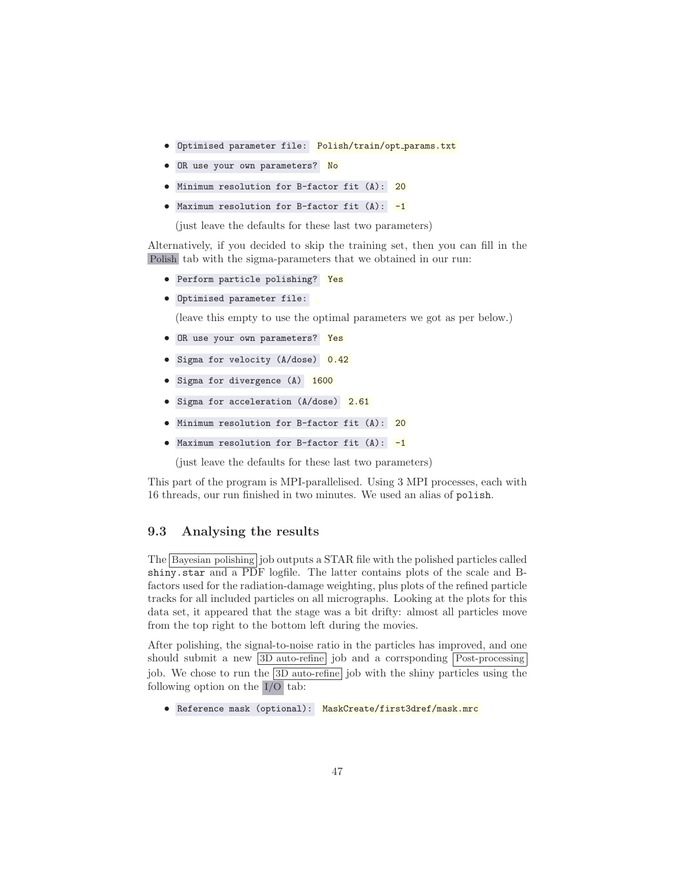- Optimised parameter file: Polish/train/opt params.txt
- **•** OR use your own parameters? No
- Minimum resolution for B-factor fit (A): 20
- Maximum resolution for B-factor fit  $(A)$ :  $-1$

(just leave the defaults for these last two parameters)

Alternatively, if you decided to skip the training set, then you can fill in the Polish tab with the sigma-parameters that we obtained in our run:

- Perform particle polishing? Yes
- Optimised parameter file:

(leave this empty to use the optimal parameters we got as per below.)

- OR use your own parameters? Yes
- Sigma for velocity (A/dose) 0.42
- Sigma for divergence (A) 1600
- Sigma for acceleration (A/dose) 2.61
- Minimum resolution for B-factor fit (A): 20
- Maximum resolution for B-factor fit  $(A)$ :  $-1$

(just leave the defaults for these last two parameters)

This part of the program is MPI-parallelised. Using 3 MPI processes, each with 16 threads, our run finished in two minutes. We used an alias of polish.

## 9.3 Analysing the results

The Bayesian polishing job outputs a STAR file with the polished particles called shiny.star and a PDF logfile. The latter contains plots of the scale and Bfactors used for the radiation-damage weighting, plus plots of the refined particle tracks for all included particles on all micrographs. Looking at the plots for this data set, it appeared that the stage was a bit drifty: almost all particles move from the top right to the bottom left during the movies.

After polishing, the signal-to-noise ratio in the particles has improved, and one should submit a new 3D auto-refine job and a corrsponding Post-processing job. We chose to run the  $3D$  auto-refine job with the shiny particles using the following option on the I/O tab:

• Reference mask (optional): MaskCreate/first3dref/mask.mrc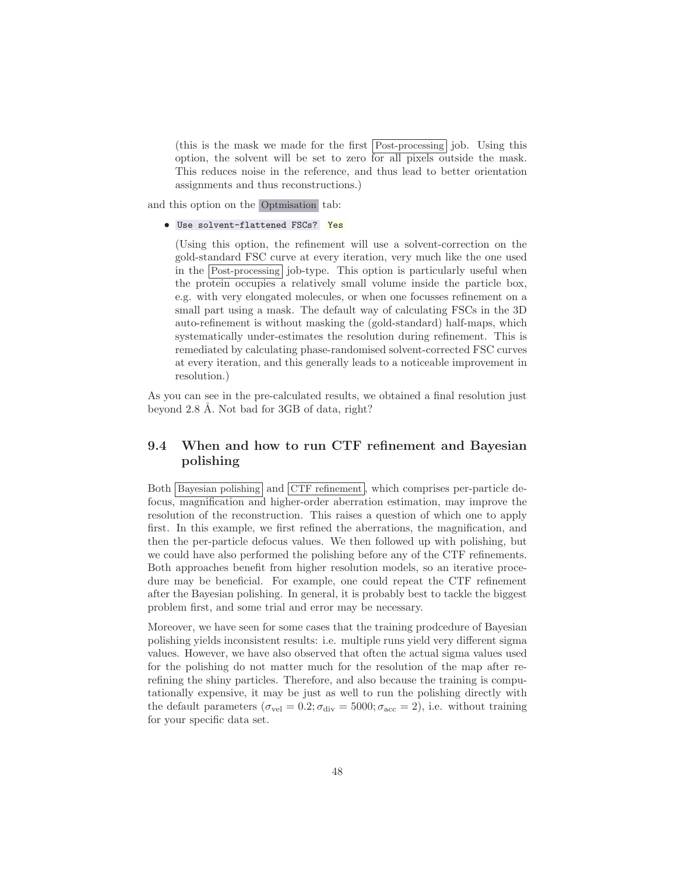(this is the mask we made for the first Post-processing job. Using this option, the solvent will be set to zero for all pixels outside the mask. This reduces noise in the reference, and thus lead to better orientation assignments and thus reconstructions.)

and this option on the Optmisation tab:

### • Use solvent-flattened FSCs? Yes

(Using this option, the refinement will use a solvent-correction on the gold-standard FSC curve at every iteration, very much like the one used in the Post-processing job-type. This option is particularly useful when the protein occupies a relatively small volume inside the particle box, e.g. with very elongated molecules, or when one focusses refinement on a small part using a mask. The default way of calculating FSCs in the 3D auto-refinement is without masking the (gold-standard) half-maps, which systematically under-estimates the resolution during refinement. This is remediated by calculating phase-randomised solvent-corrected FSC curves at every iteration, and this generally leads to a noticeable improvement in resolution.)

As you can see in the pre-calculated results, we obtained a final resolution just beyond 2.8 Å. Not bad for  $3GB$  of data, right?

## 9.4 When and how to run CTF refinement and Bayesian polishing

Both Bayesian polishing and CTF refinement , which comprises per-particle defocus, magnification and higher-order aberration estimation, may improve the resolution of the reconstruction. This raises a question of which one to apply first. In this example, we first refined the aberrations, the magnification, and then the per-particle defocus values. We then followed up with polishing, but we could have also performed the polishing before any of the CTF refinements. Both approaches benefit from higher resolution models, so an iterative procedure may be beneficial. For example, one could repeat the CTF refinement after the Bayesian polishing. In general, it is probably best to tackle the biggest problem first, and some trial and error may be necessary.

Moreover, we have seen for some cases that the training prodcedure of Bayesian polishing yields inconsistent results: i.e. multiple runs yield very different sigma values. However, we have also observed that often the actual sigma values used for the polishing do not matter much for the resolution of the map after rerefining the shiny particles. Therefore, and also because the training is computationally expensive, it may be just as well to run the polishing directly with the default parameters ( $\sigma_{\text{vel}} = 0.2$ ;  $\sigma_{\text{div}} = 5000$ ;  $\sigma_{\text{acc}} = 2$ ), i.e. without training for your specific data set.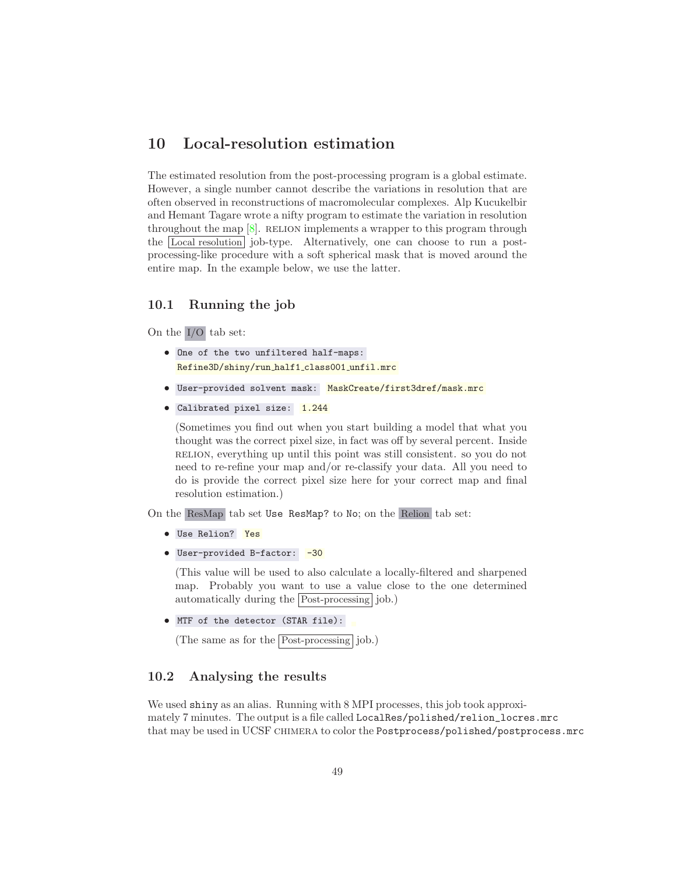# 10 Local-resolution estimation

The estimated resolution from the post-processing program is a global estimate. However, a single number cannot describe the variations in resolution that are often observed in reconstructions of macromolecular complexes. Alp Kucukelbir and Hemant Tagare wrote a nifty program to estimate the variation in resolution throughout the map  $[8]$ . RELION implements a wrapper to this program through the Local resolution job-type. Alternatively, one can choose to run a postprocessing-like procedure with a soft spherical mask that is moved around the entire map. In the example below, we use the latter.

## 10.1 Running the job

On the I/O tab set:

- One of the two unfiltered half-maps: Refine3D/shiny/run half1 class001 unfil.mrc
- User-provided solvent mask: MaskCreate/first3dref/mask.mrc
- Calibrated pixel size: 1.244

(Sometimes you find out when you start building a model that what you thought was the correct pixel size, in fact was off by several percent. Inside relion, everything up until this point was still consistent. so you do not need to re-refine your map and/or re-classify your data. All you need to do is provide the correct pixel size here for your correct map and final resolution estimation.)

On the ResMap tab set Use ResMap? to No; on the Relion tab set:

- Use Relion? Yes
- User-provided B-factor: -30

(This value will be used to also calculate a locally-filtered and sharpened map. Probably you want to use a value close to the one determined automatically during the Post-processing job.)

• MTF of the detector (STAR file):

(The same as for the Post-processing job.)

## 10.2 Analysing the results

We used shiny as an alias. Running with 8 MPI processes, this job took approximately 7 minutes. The output is a file called LocalRes/polished/relion\_locres.mrc that may be used in UCSF chimera to color the Postprocess/polished/postprocess.mrc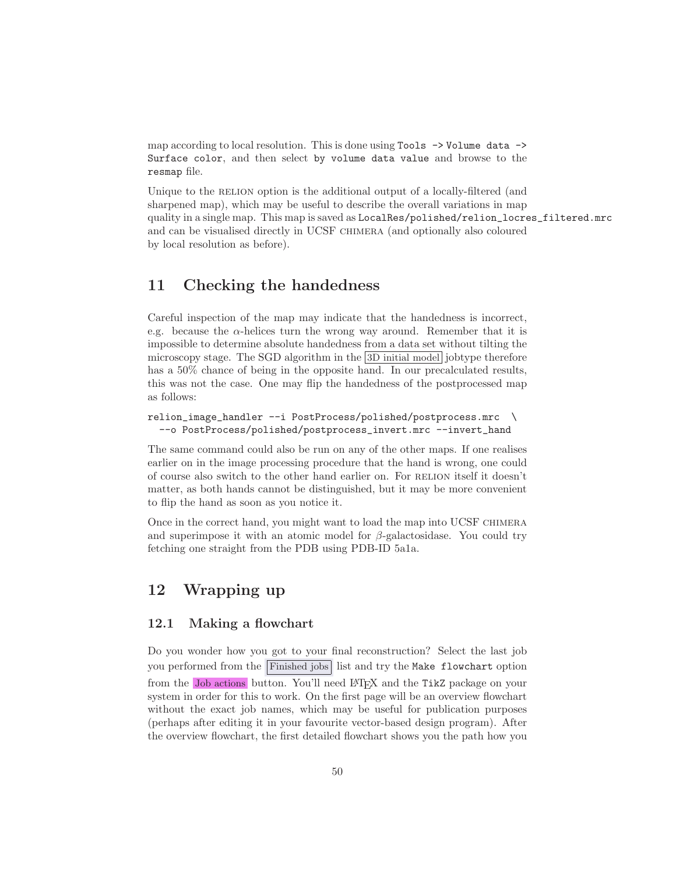map according to local resolution. This is done using Tools -> Volume data -> Surface color, and then select by volume data value and browse to the resmap file.

Unique to the RELION option is the additional output of a locally-filtered (and sharpened map), which may be useful to describe the overall variations in map quality in a single map. This map is saved as LocalRes/polished/relion\_locres\_filtered.mrc and can be visualised directly in UCSF chimera (and optionally also coloured by local resolution as before).

# 11 Checking the handedness

Careful inspection of the map may indicate that the handedness is incorrect, e.g. because the  $\alpha$ -helices turn the wrong way around. Remember that it is impossible to determine absolute handedness from a data set without tilting the microscopy stage. The SGD algorithm in the 3D initial model jobtype therefore has a  $50\%$  chance of being in the opposite hand. In our precalculated results, this was not the case. One may flip the handedness of the postprocessed map as follows:

```
relion_image_handler --i PostProcess/polished/postprocess.mrc \
  --o PostProcess/polished/postprocess_invert.mrc --invert_hand
```
The same command could also be run on any of the other maps. If one realises earlier on in the image processing procedure that the hand is wrong, one could of course also switch to the other hand earlier on. For RELION itself it doesn't matter, as both hands cannot be distinguished, but it may be more convenient to flip the hand as soon as you notice it.

Once in the correct hand, you might want to load the map into UCSF chimera and superimpose it with an atomic model for  $\beta$ -galactosidase. You could try fetching one straight from the PDB using PDB-ID 5a1a.

# <span id="page-49-0"></span>12 Wrapping up

## 12.1 Making a flowchart

Do you wonder how you got to your final reconstruction? Select the last job you performed from the Finished jobs list and try the Make flowchart option from the Job actions button. You'll need L<sup>A</sup>TEX and the TikZ package on your system in order for this to work. On the first page will be an overview flowchart without the exact job names, which may be useful for publication purposes (perhaps after editing it in your favourite vector-based design program). After the overview flowchart, the first detailed flowchart shows you the path how you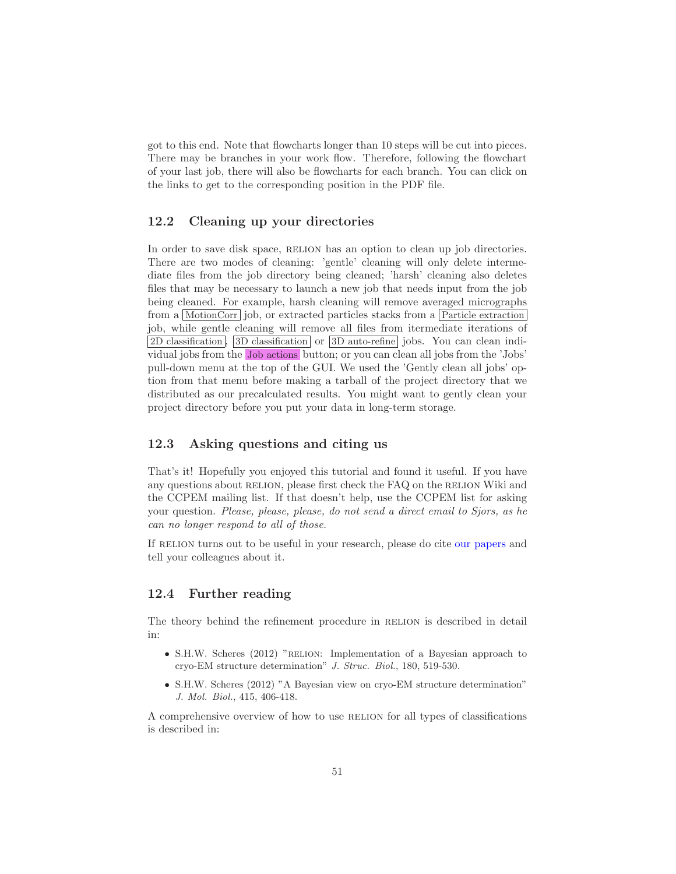got to this end. Note that flowcharts longer than 10 steps will be cut into pieces. There may be branches in your work flow. Therefore, following the flowchart of your last job, there will also be flowcharts for each branch. You can click on the links to get to the corresponding position in the PDF file.

## 12.2 Cleaning up your directories

In order to save disk space, RELION has an option to clean up job directories. There are two modes of cleaning: 'gentle' cleaning will only delete intermediate files from the job directory being cleaned; 'harsh' cleaning also deletes files that may be necessary to launch a new job that needs input from the job being cleaned. For example, harsh cleaning will remove averaged micrographs from a MotionCorr job, or extracted particles stacks from a Particle extraction job, while gentle cleaning will remove all files from itermediate iterations of 2D classification , 3D classification or 3D auto-refine jobs. You can clean individual jobs from the Job actions button; or you can clean all jobs from the 'Jobs' pull-down menu at the top of the GUI. We used the 'Gently clean all jobs' option from that menu before making a tarball of the project directory that we distributed as our precalculated results. You might want to gently clean your project directory before you put your data in long-term storage.

## 12.3 Asking questions and citing us

That's it! Hopefully you enjoyed this tutorial and found it useful. If you have any questions about RELION, please first check the FAQ on the RELION Wiki and the CCPEM mailing list. If that doesn't help, use the CCPEM list for asking your question. *Please, please, please, do not send a direct email to Sjors, as he can no longer respond to all of those.*

If RELION turns out to be useful in your research, please do cite [our papers](http://www2.mrc-lmb.cam.ac.uk/groups/scheres/publications.html) and tell your colleagues about it.

## 12.4 Further reading

The theory behind the refinement procedure in RELION is described in detail in:

- S.H.W. Scheres (2012) "RELION: Implementation of a Bayesian approach to cryo-EM structure determination" J. Struc. Biol., 180, 519-530.
- S.H.W. Scheres (2012) "A Bayesian view on cryo-EM structure determination" J. Mol. Biol., 415, 406-418.

A comprehensive overview of how to use RELION for all types of classifications is described in: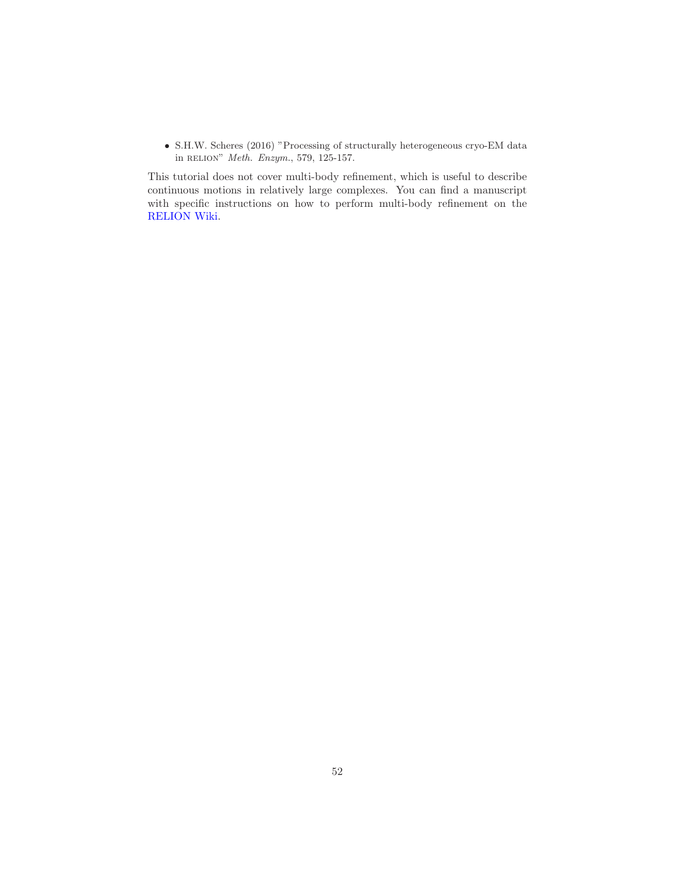• S.H.W. Scheres (2016) "Processing of structurally heterogeneous cryo-EM data in relion" Meth. Enzym., 579, 125-157.

This tutorial does not cover multi-body refinement, which is useful to describe continuous motions in relatively large complexes. You can find a manuscript with specific instructions on how to perform multi-body refinement on the [RELION Wiki.](ftp://ftp.mrc-lmb.cam.ac.uk/pub/scheres/multibody_protocol.pdf)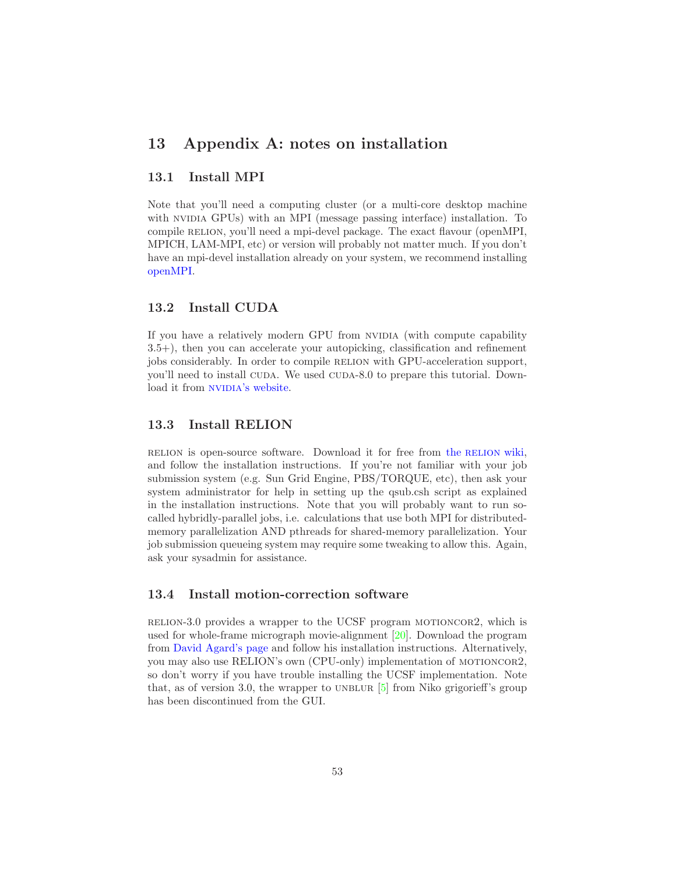## 13 Appendix A: notes on installation

## 13.1 Install MPI

Note that you'll need a computing cluster (or a multi-core desktop machine with NVIDIA GPUs) with an MPI (message passing interface) installation. To compile RELION, you'll need a mpi-devel package. The exact flavour (openMPI, MPICH, LAM-MPI, etc) or version will probably not matter much. If you don't have an mpi-devel installation already on your system, we recommend installing [openMPI.](http://www.open-mpi.org/)

## 13.2 Install CUDA

If you have a relatively modern GPU from NVIDIA (with compute capability 3.5+), then you can accelerate your autopicking, classification and refinement jobs considerably. In order to compile relion with GPU-acceleration support, you'll need to install CUDA. We used CUDA-8.0 to prepare this tutorial. Down-load it from NVIDIA['s website.](https://developer.nvidia.com/cuda-downloads)

## 13.3 Install RELION

relion is open-source software. Download it for free from the [relion](http://www2.mrc-lmb.cam.ac.uk/relion/index.php/Download_%26_install) wiki, and follow the installation instructions. If you're not familiar with your job submission system (e.g. Sun Grid Engine, PBS/TORQUE, etc), then ask your system administrator for help in setting up the qsub.csh script as explained in the installation instructions. Note that you will probably want to run socalled hybridly-parallel jobs, i.e. calculations that use both MPI for distributedmemory parallelization AND pthreads for shared-memory parallelization. Your job submission queueing system may require some tweaking to allow this. Again, ask your sysadmin for assistance.

## 13.4 Install motion-correction software

relion-3.0 provides a wrapper to the UCSF program motioncor2, which is used for whole-frame micrograph movie-alignment [\[20\]](#page-71-1). Download the program from [David Agard's page](http://msg.ucsf.edu/em/software/motioncor2.html) and follow his installation instructions. Alternatively, you may also use RELION's own (CPU-only) implementation of motioncor2, so don't worry if you have trouble installing the UCSF implementation. Note that, as of version 3.0, the wrapper to UNBLUR  $[5]$  from Niko grigorieff's group has been discontinued from the GUI.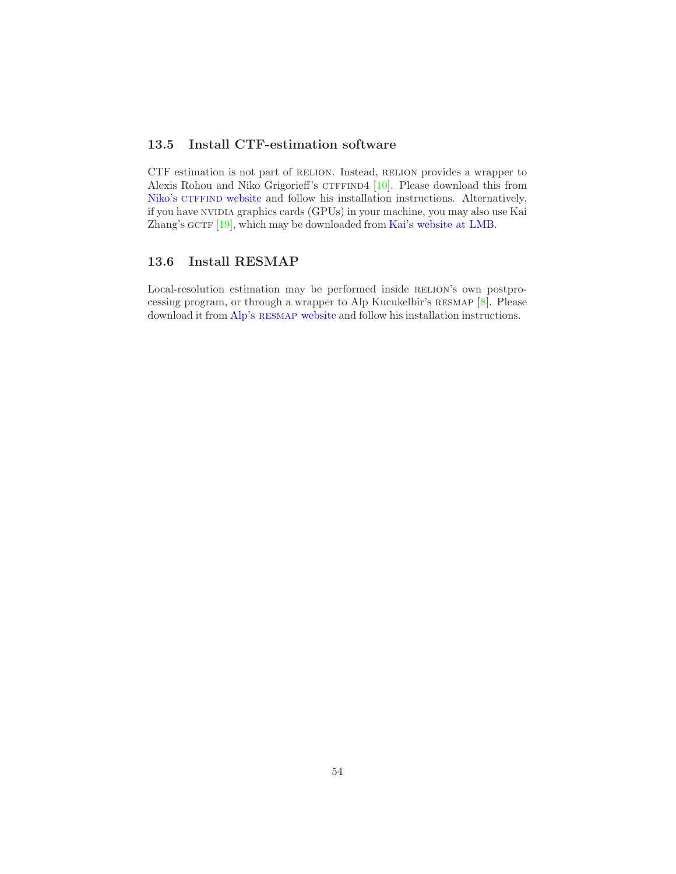## 13.5 Install CTF-estimation software

CTF estimation is not part of RELION. Instead, RELION provides a wrapper to Alexis Rohou and Niko Grigorieff's  $CTFFIND4$  [\[10\]](#page-70-4). Please download this from Niko's CTFFIND website and follow his installation instructions. Alternatively, if you have nvidia graphics cards (GPUs) in your machine, you may also use Kai Zhang's GCTF  $[19]$  $[19]$ , which may be downloaded from [Kai's website at LMB.](http://www.mrc-lmb.cam.ac.uk/kzhang/)

## 13.6 Install RESMAP

Local-resolution estimation may be performed inside RELION's own postprocessing program, or through a wrapper to Alp Kucukelbir's resmap [\[8](#page-70-2)]. Please download it from Alp's RESMAP [website](http://resmap.sourceforge.net/) and follow his installation instructions.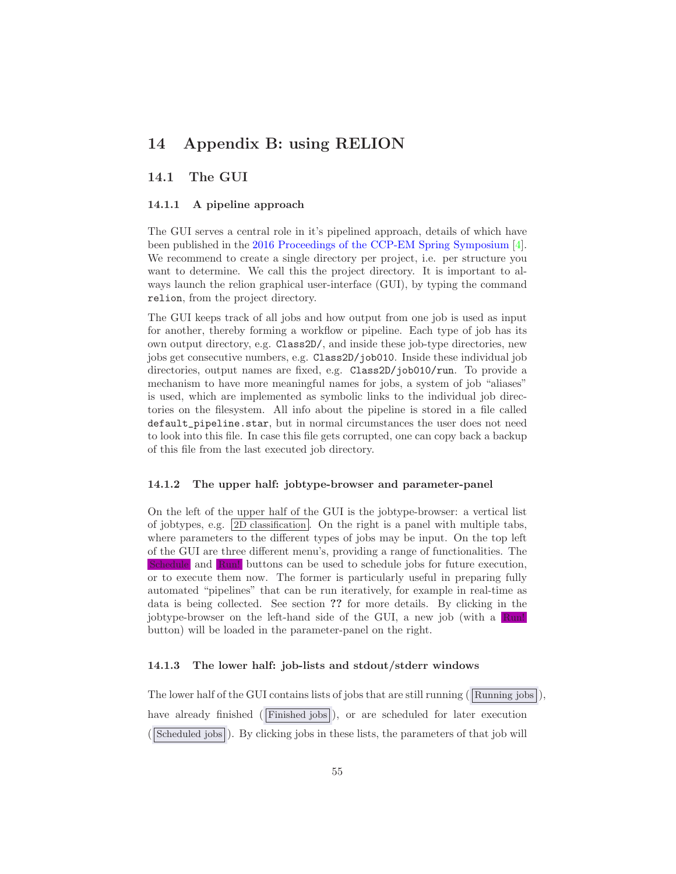# 14 Appendix B: using RELION

## 14.1 The GUI

### 14.1.1 A pipeline approach

The GUI serves a central role in it's pipelined approach, details of which have been published in the [2016 Proceedings of the CCP-EM Spring Symposium](https://doi.org/10.1107/S2059798316019276) [\[4\]](#page-70-5). We recommend to create a single directory per project, i.e. per structure you want to determine. We call this the project directory. It is important to always launch the relion graphical user-interface (GUI), by typing the command relion, from the project directory.

The GUI keeps track of all jobs and how output from one job is used as input for another, thereby forming a workflow or pipeline. Each type of job has its own output directory, e.g. Class2D/, and inside these job-type directories, new jobs get consecutive numbers, e.g. Class2D/job010. Inside these individual job directories, output names are fixed, e.g. Class2D/job010/run. To provide a mechanism to have more meaningful names for jobs, a system of job "aliases" is used, which are implemented as symbolic links to the individual job directories on the filesystem. All info about the pipeline is stored in a file called default\_pipeline.star, but in normal circumstances the user does not need to look into this file. In case this file gets corrupted, one can copy back a backup of this file from the last executed job directory.

#### 14.1.2 The upper half: jobtype-browser and parameter-panel

On the left of the upper half of the GUI is the jobtype-browser: a vertical list of jobtypes, e.g. 2D classification . On the right is a panel with multiple tabs, where parameters to the different types of jobs may be input. On the top left of the GUI are three different menu's, providing a range of functionalities. The Schedule and Run! buttons can be used to schedule jobs for future execution, or to execute them now. The former is particularly useful in preparing fully automated "pipelines" that can be run iteratively, for example in real-time as data is being collected. See section ?? for more details. By clicking in the jobtype-browser on the left-hand side of the GUI, a new job (with a Run! button) will be loaded in the parameter-panel on the right.

#### 14.1.3 The lower half: job-lists and stdout/stderr windows

The lower half of the GUI contains lists of jobs that are still running ( $\overline{\text{Running jobs}}$ ) have already finished (Finished jobs), or are scheduled for later execution (Scheduled jobs). By clicking jobs in these lists, the parameters of that job will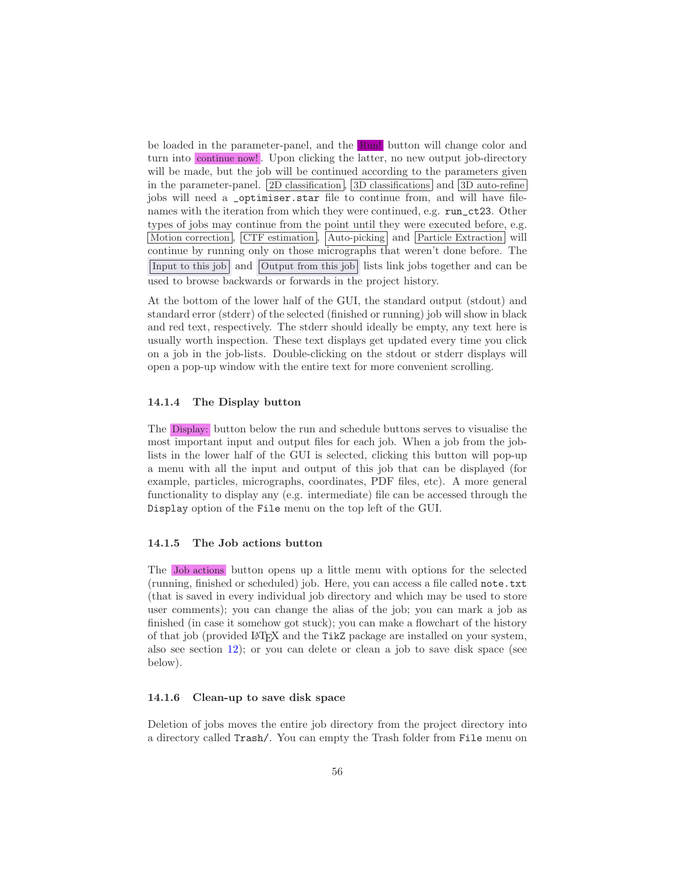be loaded in the parameter-panel, and the  $\text{Run!}$  button will change color and turn into continue now! . Upon clicking the latter, no new output job-directory will be made, but the job will be continued according to the parameters given in the parameter-panel. 2D classification , 3D classifications and 3D auto-refine jobs will need a \_optimiser.star file to continue from, and will have filenames with the iteration from which they were continued, e.g. run\_ct23. Other types of jobs may continue from the point until they were executed before, e.g. Motion correction, CTF estimation, Auto-picking and Particle Extraction will continue by running only on those micrographs that weren't done before. The Input to this job and Output from this job lists link jobs together and can be used to browse backwards or forwards in the project history.

At the bottom of the lower half of the GUI, the standard output (stdout) and standard error (stderr) of the selected (finished or running) job will show in black and red text, respectively. The stderr should ideally be empty, any text here is usually worth inspection. These text displays get updated every time you click on a job in the job-lists. Double-clicking on the stdout or stderr displays will open a pop-up window with the entire text for more convenient scrolling.

### 14.1.4 The Display button

The Display: button below the run and schedule buttons serves to visualise the most important input and output files for each job. When a job from the joblists in the lower half of the GUI is selected, clicking this button will pop-up a menu with all the input and output of this job that can be displayed (for example, particles, micrographs, coordinates, PDF files, etc). A more general functionality to display any (e.g. intermediate) file can be accessed through the Display option of the File menu on the top left of the GUI.

#### 14.1.5 The Job actions button

The Job actions button opens up a little menu with options for the selected (running, finished or scheduled) job. Here, you can access a file called note.txt (that is saved in every individual job directory and which may be used to store user comments); you can change the alias of the job; you can mark a job as finished (in case it somehow got stuck); you can make a flowchart of the history of that job (provided LAT<sub>E</sub>X and the TikZ package are installed on your system, also see section [12\)](#page-49-0); or you can delete or clean a job to save disk space (see below).

### 14.1.6 Clean-up to save disk space

Deletion of jobs moves the entire job directory from the project directory into a directory called Trash/. You can empty the Trash folder from File menu on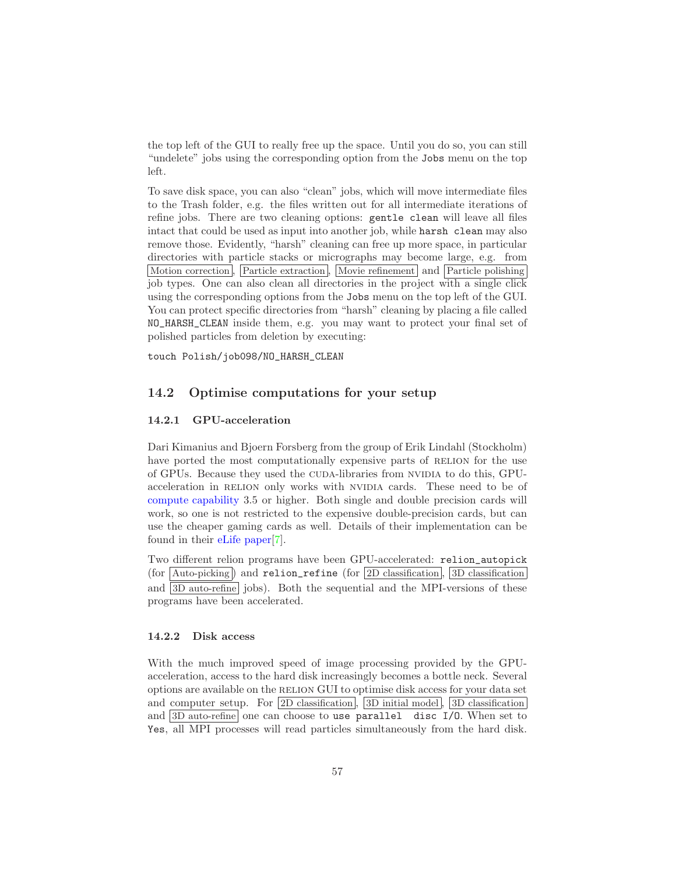the top left of the GUI to really free up the space. Until you do so, you can still "undelete" jobs using the corresponding option from the Jobs menu on the top left.

To save disk space, you can also "clean" jobs, which will move intermediate files to the Trash folder, e.g. the files written out for all intermediate iterations of refine jobs. There are two cleaning options: gentle clean will leave all files intact that could be used as input into another job, while harsh clean may also remove those. Evidently, "harsh" cleaning can free up more space, in particular directories with particle stacks or micrographs may become large, e.g. from Motion correction, Particle extraction, Movie refinement and Particle polishing job types. One can also clean all directories in the project with a single click using the corresponding options from the Jobs menu on the top left of the GUI. You can protect specific directories from "harsh" cleaning by placing a file called NO\_HARSH\_CLEAN inside them, e.g. you may want to protect your final set of polished particles from deletion by executing:

touch Polish/job098/NO\_HARSH\_CLEAN

## 14.2 Optimise computations for your setup

### 14.2.1 GPU-acceleration

Dari Kimanius and Bjoern Forsberg from the group of Erik Lindahl (Stockholm) have ported the most computationally expensive parts of RELION for the use of GPUs. Because they used the CUDA-libraries from NVIDIA to do this, GPUacceleration in RELION only works with NVIDIA cards. These need to be of [compute capability](https://en.wikipedia.org/wiki/CUDA#Version_features_and_specifications) 3.5 or higher. Both single and double precision cards will work, so one is not restricted to the expensive double-precision cards, but can use the cheaper gaming cards as well. Details of their implementation can be found in their [eLife paper\[](https://elifesciences.org/articles/18722)[7\]](#page-70-6).

Two different relion programs have been GPU-accelerated: relion\_autopick (for  $\boxed{\text{Auto-picking}}$ ) and relion\_refine (for  $\boxed{2D}$  classification),  $\boxed{3D}$  classification and  $3D$  auto-refine jobs). Both the sequential and the MPI-versions of these programs have been accelerated.

## 14.2.2 Disk access

With the much improved speed of image processing provided by the GPUacceleration, access to the hard disk increasingly becomes a bottle neck. Several options are available on the relion GUI to optimise disk access for your data set and computer setup. For 2D classification, 3D initial model, 3D classification and  $3D$  auto-refine one can choose to use parallel disc I/0. When set to Yes, all MPI processes will read particles simultaneously from the hard disk.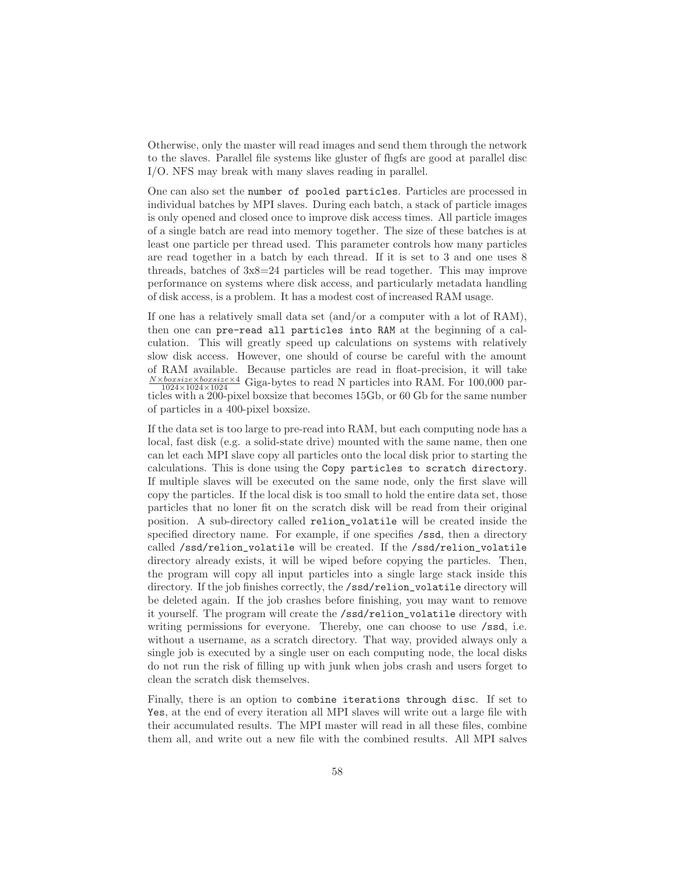Otherwise, only the master will read images and send them through the network to the slaves. Parallel file systems like gluster of fhgfs are good at parallel disc I/O. NFS may break with many slaves reading in parallel.

One can also set the number of pooled particles. Particles are processed in individual batches by MPI slaves. During each batch, a stack of particle images is only opened and closed once to improve disk access times. All particle images of a single batch are read into memory together. The size of these batches is at least one particle per thread used. This parameter controls how many particles are read together in a batch by each thread. If it is set to 3 and one uses 8 threads, batches of 3x8=24 particles will be read together. This may improve performance on systems where disk access, and particularly metadata handling of disk access, is a problem. It has a modest cost of increased RAM usage.

If one has a relatively small data set (and/or a computer with a lot of RAM), then one can pre-read all particles into RAM at the beginning of a calculation. This will greatly speed up calculations on systems with relatively slow disk access. However, one should of course be careful with the amount of RAM available. Because particles are read in float-precision, it will take  $\frac{N \times bosisize \times bosisize \times 4}{1024 \times 1024 \times 1024}$  Giga-bytes to read N particles into RAM. For 100,000 particles with a 200-pixel boxsize that becomes 15Gb, or 60 Gb for the same number of particles in a 400-pixel boxsize.

If the data set is too large to pre-read into RAM, but each computing node has a local, fast disk (e.g. a solid-state drive) mounted with the same name, then one can let each MPI slave copy all particles onto the local disk prior to starting the calculations. This is done using the Copy particles to scratch directory. If multiple slaves will be executed on the same node, only the first slave will copy the particles. If the local disk is too small to hold the entire data set, those particles that no loner fit on the scratch disk will be read from their original position. A sub-directory called relion\_volatile will be created inside the specified directory name. For example, if one specifies  $\sqrt{s}$ sd, then a directory called /ssd/relion\_volatile will be created. If the /ssd/relion\_volatile directory already exists, it will be wiped before copying the particles. Then, the program will copy all input particles into a single large stack inside this directory. If the job finishes correctly, the /ssd/relion\_volatile directory will be deleted again. If the job crashes before finishing, you may want to remove it yourself. The program will create the /ssd/relion\_volatile directory with writing permissions for everyone. Thereby, one can choose to use  $\ell$ ssd, i.e. without a username, as a scratch directory. That way, provided always only a single job is executed by a single user on each computing node, the local disks do not run the risk of filling up with junk when jobs crash and users forget to clean the scratch disk themselves.

Finally, there is an option to combine iterations through disc. If set to Yes, at the end of every iteration all MPI slaves will write out a large file with their accumulated results. The MPI master will read in all these files, combine them all, and write out a new file with the combined results. All MPI salves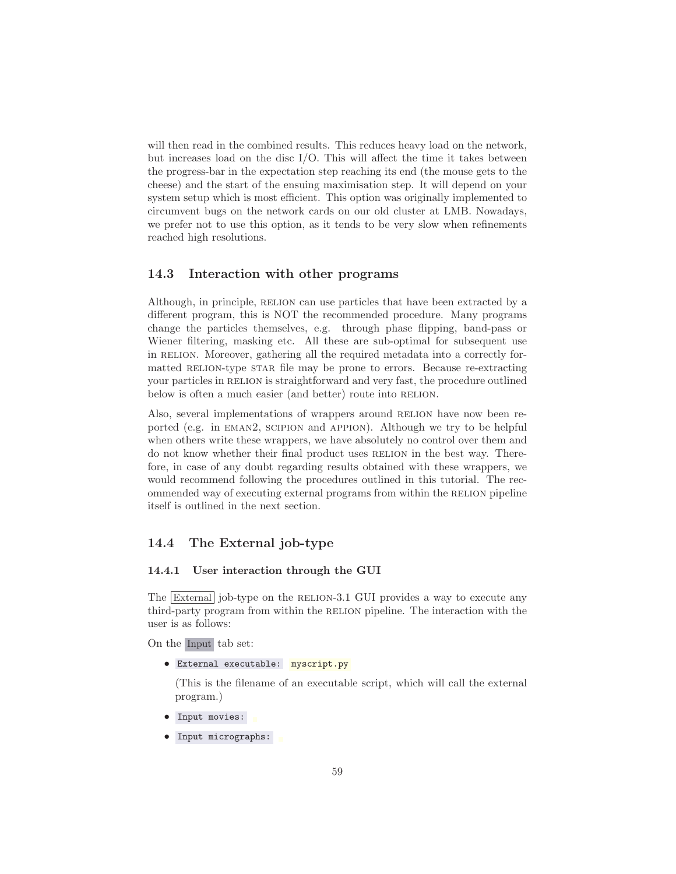will then read in the combined results. This reduces heavy load on the network, but increases load on the disc I/O. This will affect the time it takes between the progress-bar in the expectation step reaching its end (the mouse gets to the cheese) and the start of the ensuing maximisation step. It will depend on your system setup which is most efficient. This option was originally implemented to circumvent bugs on the network cards on our old cluster at LMB. Nowadays, we prefer not to use this option, as it tends to be very slow when refinements reached high resolutions.

## 14.3 Interaction with other programs

Although, in principle, RELION can use particles that have been extracted by a different program, this is NOT the recommended procedure. Many programs change the particles themselves, e.g. through phase flipping, band-pass or Wiener filtering, masking etc. All these are sub-optimal for subsequent use in RELION. Moreover, gathering all the required metadata into a correctly formatted RELION-type STAR file may be prone to errors. Because re-extracting your particles in RELION is straightforward and very fast, the procedure outlined below is often a much easier (and better) route into RELION.

Also, several implementations of wrappers around RELION have now been reported (e.g. in eman2, scipion and appion). Although we try to be helpful when others write these wrappers, we have absolutely no control over them and do not know whether their final product uses RELION in the best way. Therefore, in case of any doubt regarding results obtained with these wrappers, we would recommend following the procedures outlined in this tutorial. The recommended way of executing external programs from within the RELION pipeline itself is outlined in the next section.

## 14.4 The External job-type

### 14.4.1 User interaction through the GUI

The External job-type on the RELION-3.1 GUI provides a way to execute any third-party program from within the relion pipeline. The interaction with the user is as follows:

On the Input tab set:

• External executable: myscript.py

(This is the filename of an executable script, which will call the external program.)

- Input movies:
- Input micrographs: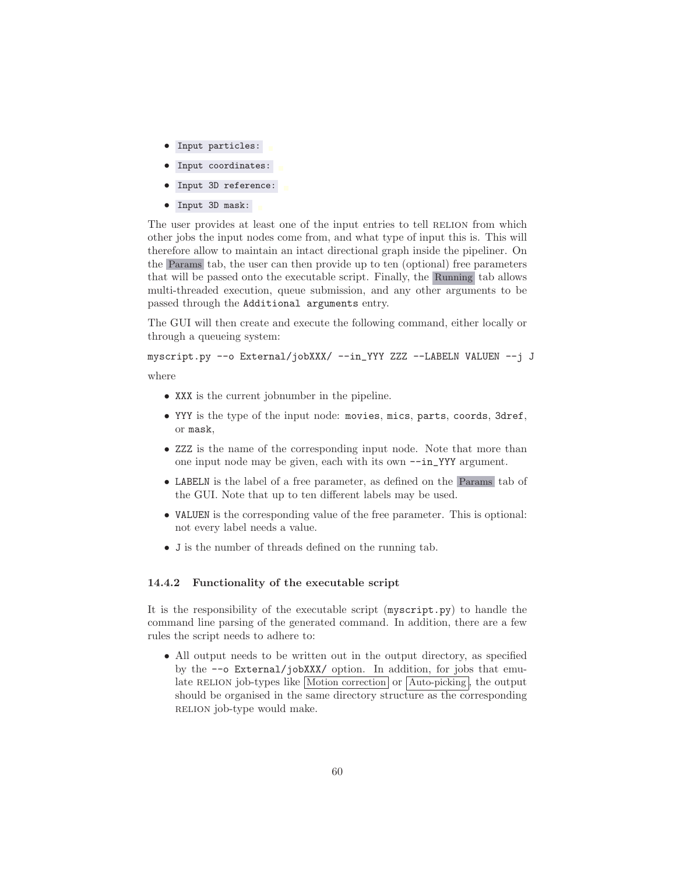- Input particles:
- Input coordinates:
- Input 3D reference:
- Input 3D mask:

The user provides at least one of the input entries to tell RELION from which other jobs the input nodes come from, and what type of input this is. This will therefore allow to maintain an intact directional graph inside the pipeliner. On the Params tab, the user can then provide up to ten (optional) free parameters that will be passed onto the executable script. Finally, the Running tab allows multi-threaded execution, queue submission, and any other arguments to be passed through the Additional arguments entry.

The GUI will then create and execute the following command, either locally or through a queueing system:

myscript.py --o External/jobXXX/ --in\_YYY ZZZ --LABELN VALUEN --j J

where

- XXX is the current jobnumber in the pipeline.
- YYY is the type of the input node: movies, mics, parts, coords, 3dref, or mask,
- ZZZ is the name of the corresponding input node. Note that more than one input node may be given, each with its own --in\_YYY argument.
- LABELN is the label of a free parameter, as defined on the Params tab of the GUI. Note that up to ten different labels may be used.
- VALUEN is the corresponding value of the free parameter. This is optional: not every label needs a value.
- J is the number of threads defined on the running tab.

### 14.4.2 Functionality of the executable script

It is the responsibility of the executable script (myscript.py) to handle the command line parsing of the generated command. In addition, there are a few rules the script needs to adhere to:

• All output needs to be written out in the output directory, as specified by the --o External/jobXXX/ option. In addition, for jobs that emulate RELION job-types like  $Motion correction$  or  $Auto-picking$ , the output should be organised in the same directory structure as the corresponding RELION job-type would make.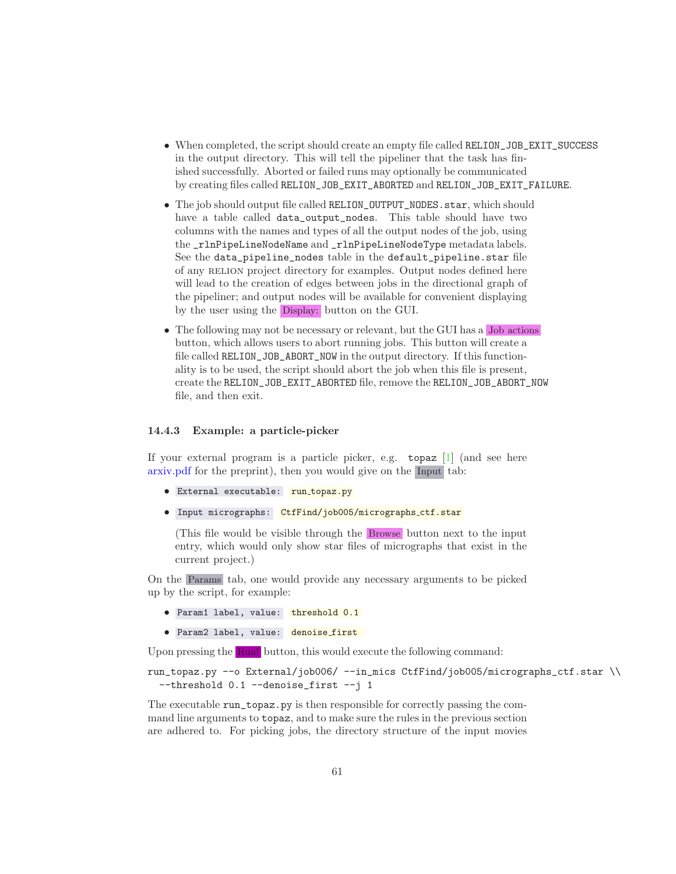- When completed, the script should create an empty file called RELION\_JOB\_EXIT\_SUCCESS in the output directory. This will tell the pipeliner that the task has finished successfully. Aborted or failed runs may optionally be communicated by creating files called RELION\_JOB\_EXIT\_ABORTED and RELION\_JOB\_EXIT\_FAILURE.
- The job should output file called RELION\_OUTPUT\_NODES.star, which should have a table called data\_output\_nodes. This table should have two columns with the names and types of all the output nodes of the job, using the \_rlnPipeLineNodeName and \_rlnPipeLineNodeType metadata labels. See the data\_pipeline\_nodes table in the default\_pipeline.star file of any relion project directory for examples. Output nodes defined here will lead to the creation of edges between jobs in the directional graph of the pipeliner; and output nodes will be available for convenient displaying by the user using the Display: button on the GUI.
- The following may not be necessary or relevant, but the GUI has a Job actions button, which allows users to abort running jobs. This button will create a file called RELION\_JOB\_ABORT\_NOW in the output directory. If this functionality is to be used, the script should abort the job when this file is present, create the RELION\_JOB\_EXIT\_ABORTED file, remove the RELION\_JOB\_ABORT\_NOW file, and then exit.

### 14.4.3 Example: a particle-picker

If your external program is a particle picker, e.g. topaz [\[1\]](#page-70-7) (and see here [arxiv.pdf](https://arxiv.org/pdf/1803.08207.pdf) for the preprint), then you would give on the Input tab:

- External executable: run\_topaz.py
- Input micrographs: CtfFind/job005/micrographs\_ctf.star

(This file would be visible through the Browse button next to the input entry, which would only show star files of micrographs that exist in the current project.)

On the Params tab, one would provide any necessary arguments to be picked up by the script, for example:

- Param1 label, value: threshold 0.1
- Param2 label, value: denoise first

Upon pressing the Run! button, this would execute the following command:

run\_topaz.py --o External/job006/ --in\_mics CtfFind/job005/micrographs\_ctf.star \\ --threshold 0.1 --denoise\_first --j 1

The executable run\_topaz.py is then responsible for correctly passing the command line arguments to topaz, and to make sure the rules in the previous section are adhered to. For picking jobs, the directory structure of the input movies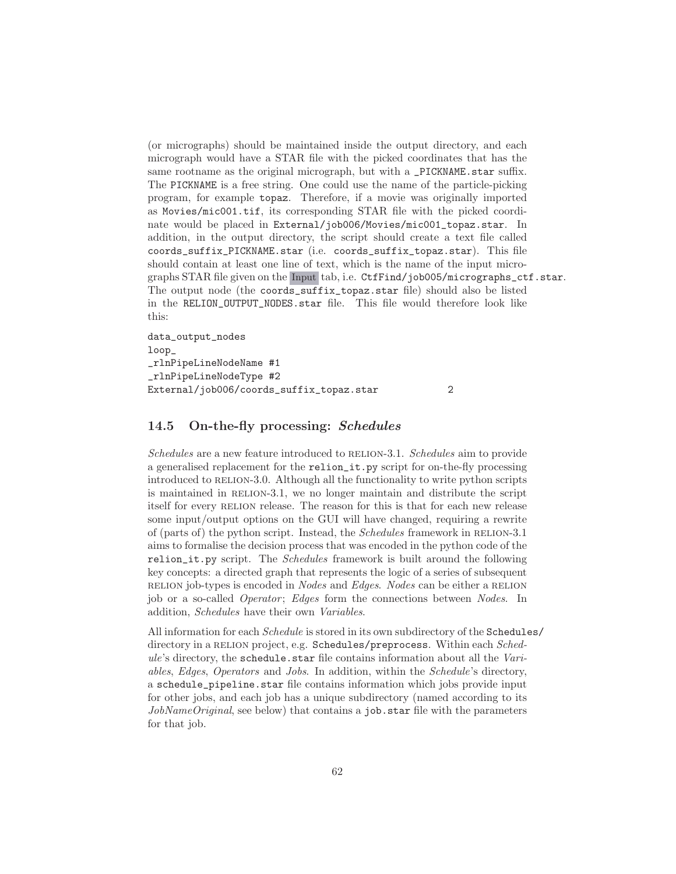(or micrographs) should be maintained inside the output directory, and each micrograph would have a STAR file with the picked coordinates that has the same rootname as the original micrograph, but with a \_PICKNAME.star suffix. The PICKNAME is a free string. One could use the name of the particle-picking program, for example topaz. Therefore, if a movie was originally imported as Movies/mic001.tif, its corresponding STAR file with the picked coordinate would be placed in External/job006/Movies/mic001\_topaz.star. In addition, in the output directory, the script should create a text file called coords\_suffix\_PICKNAME.star (i.e. coords\_suffix\_topaz.star). This file should contain at least one line of text, which is the name of the input micrographs STAR file given on the Input tab, i.e. CtfFind/job005/micrographs\_ctf.star. The output node (the coords\_suffix\_topaz.star file) should also be listed in the RELION\_OUTPUT\_NODES.star file. This file would therefore look like this:

data\_output\_nodes loop\_ \_rlnPipeLineNodeName #1 \_rlnPipeLineNodeType #2 External/job006/coords\_suffix\_topaz.star 2

### 14.5 On-the-fly processing: Schedules

*Schedules* are a new feature introduced to RELION-3.1. *Schedules* aim to provide a generalised replacement for the relion\_it.py script for on-the-fly processing introduced to RELION-3.0. Although all the functionality to write python scripts is maintained in RELION-3.1, we no longer maintain and distribute the script itself for every RELION release. The reason for this is that for each new release some input/output options on the GUI will have changed, requiring a rewrite of (parts of) the python script. Instead, the *Schedules* framework in relion-3.1 aims to formalise the decision process that was encoded in the python code of the relion\_it.py script. The *Schedules* framework is built around the following key concepts: a directed graph that represents the logic of a series of subsequent relion job-types is encoded in *Nodes* and *Edges*. *Nodes* can be either a relion job or a so-called *Operator* ; *Edges* form the connections between *Nodes*. In addition, *Schedules* have their own *Variables*.

All information for each *Schedule* is stored in its own subdirectory of the Schedules/ directory in a RELION project, e.g. Schedules/preprocess. Within each *Schedule*'s directory, the schedule.star file contains information about all the *Variables*, *Edges*, *Operators* and *Jobs*. In addition, within the *Schedule*'s directory, a schedule\_pipeline.star file contains information which jobs provide input for other jobs, and each job has a unique subdirectory (named according to its *JobNameOriginal*, see below) that contains a job.star file with the parameters for that job.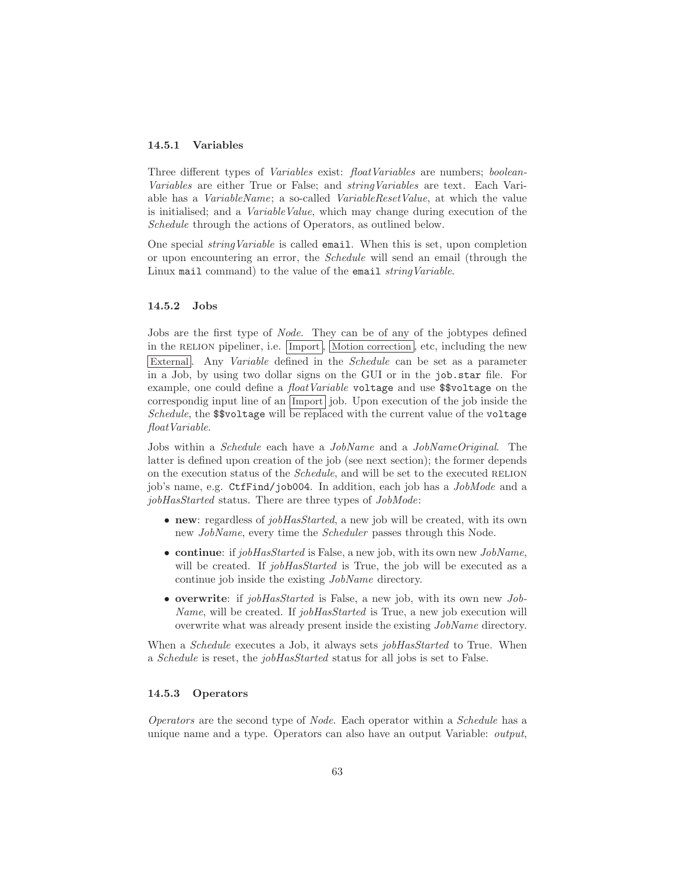### 14.5.1 Variables

Three different types of *Variables* exist: *floatVariables* are numbers; *boolean-Variables* are either True or False; and *stringVariables* are text. Each Variable has a *VariableName*; a so-called *VariableResetValue*, at which the value is initialised; and a *VariableValue*, which may change during execution of the *Schedule* through the actions of Operators, as outlined below.

One special *stringVariable* is called email. When this is set, upon completion or upon encountering an error, the *Schedule* will send an email (through the Linux mail command) to the value of the email *stringVariable*.

#### 14.5.2 Jobs

Jobs are the first type of *Node*. They can be of any of the jobtypes defined in the RELION pipeliner, i.e. Import, Motion correction, etc, including the new External. Any *Variable* defined in the *Schedule* can be set as a parameter in a Job, by using two dollar signs on the GUI or in the job.star file. For example, one could define a *floatVariable* voltage and use \$\$voltage on the correspondig input line of an Import job. Upon execution of the job inside the *Schedule*, the \$\$voltage will be replaced with the current value of the voltage *floatVariable*.

Jobs within a *Schedule* each have a *JobName* and a *JobNameOriginal*. The latter is defined upon creation of the job (see next section); the former depends on the execution status of the *Schedule*, and will be set to the executed RELION job's name, e.g. CtfFind/job004. In addition, each job has a *JobMode* and a *jobHasStarted* status. There are three types of *JobMode*:

- new: regardless of *jobHasStarted*, a new job will be created, with its own new *JobName*, every time the *Scheduler* passes through this Node.
- continue: if *jobHasStarted* is False, a new job, with its own new *JobName*, will be created. If *jobHasStarted* is True, the *job* will be executed as a continue job inside the existing *JobName* directory.
- overwrite: if *jobHasStarted* is False, a new job, with its own new *Job-Name*, will be created. If *jobHasStarted* is True, a new job execution will overwrite what was already present inside the existing *JobName* directory.

When a *Schedule* executes a Job, it always sets *jobHasStarted* to True. When a *Schedule* is reset, the *jobHasStarted* status for all jobs is set to False.

### 14.5.3 Operators

*Operators* are the second type of *Node*. Each operator within a *Schedule* has a unique name and a type. Operators can also have an output Variable: *output*,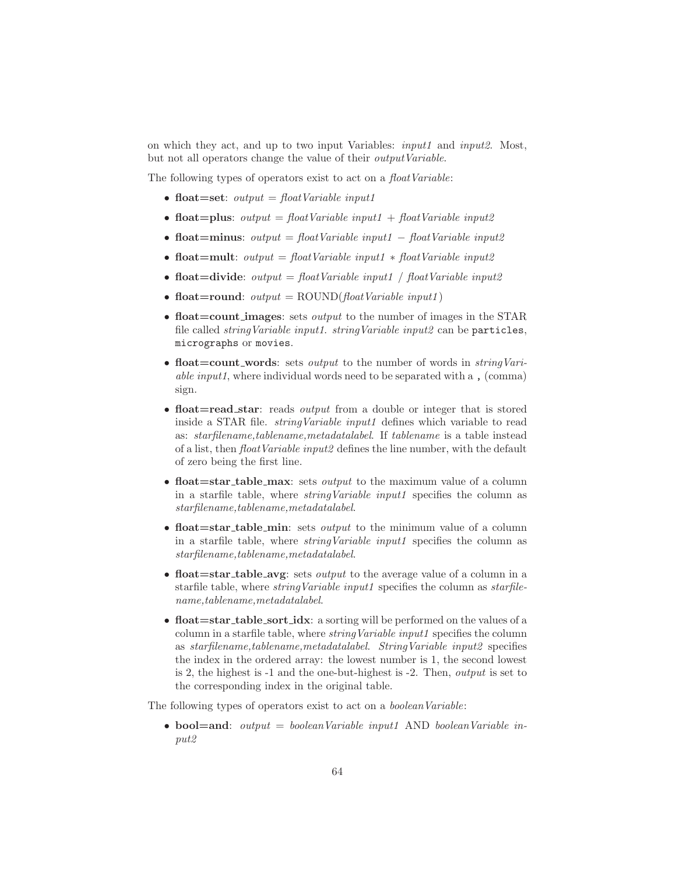on which they act, and up to two input Variables: *input1* and *input2*. Most, but not all operators change the value of their *outputVariable*.

The following types of operators exist to act on a *floatVariable*:

- float=set: *output* = *floatVariable input1*
- float=plus:  $output = floatVariable input1 + floatVariable input2$
- float=minus: *output* = *floatVariable input1* − *floatVariable input2*
- float=mult: *output* = *floatVariable input1* ∗ *floatVariable input2*
- float=divide:  $output = floatVariable input1 / floatVariable input2$
- float=round:  $output = \text{ROUND}(\text{floatVariable input1})$
- float=count images: sets *output* to the number of images in the STAR file called *stringVariable input1*. *stringVariable input2* can be particles, micrographs or movies.
- float=count\_words: sets *output* to the number of words in *stringVariable input1*, where individual words need to be separated with a , (comma) sign.
- float=read\_star: reads *output* from a double or integer that is stored inside a STAR file. *stringVariable input1* defines which variable to read as: *starfilename,tablename,metadatalabel*. If *tablename* is a table instead of a list, then *floatVariable input2* defines the line number, with the default of zero being the first line.
- float=star\_table\_max: sets *output* to the maximum value of a column in a starfile table, where *stringVariable input1* specifies the column as *starfilename,tablename,metadatalabel*.
- float=star\_table\_min: sets *output* to the minimum value of a column in a starfile table, where *stringVariable input1* specifies the column as *starfilename,tablename,metadatalabel*.
- float=star\_table\_avg: sets *output* to the average value of a column in a starfile table, where *stringVariable input1* specifies the column as *starfilename,tablename,metadatalabel*.
- float=star\_table\_sort\_idx: a sorting will be performed on the values of a column in a starfile table, where *stringVariable input1* specifies the column as *starfilename,tablename,metadatalabel*. *StringVariable input2* specifies the index in the ordered array: the lowest number is 1, the second lowest is 2, the highest is -1 and the one-but-highest is -2. Then, *output* is set to the corresponding index in the original table.

The following types of operators exist to act on a *booleanVariable*:

• bool=and: *output* = *booleanVariable input1* AND *booleanVariable input2*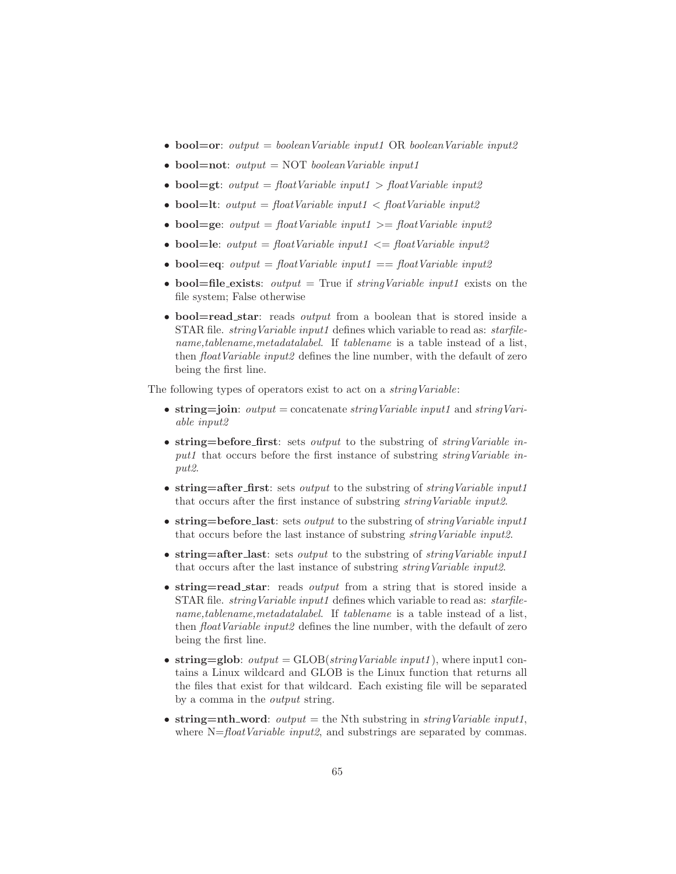- **bool=or**: *output* = *booleanVariable input1* OR *booleanVariable input2*
- bool=not: *output* = NOT *booleanVariable input1*
- bool=gt: *output* = *floatVariable input1* > *floatVariable input2*
- bool=lt: *output* = *floatVariable input1* < *floatVariable input2*
- **bool=ge**: *output* =  $floatVariable\ input1 \geq floatVariable\ input2$
- **bool=le**: *output* =  $floatVariable\ input1 \leq floatVariable\ input2$
- **bool=eq**: *output* =  $floatVariable\ input1 = floatVariable\ input2$
- **bool=file\_exists**: *output* = True if *stringVariable input1* exists on the file system; False otherwise
- **bool=read\_star**: reads *output* from a boolean that is stored inside a STAR file. *stringVariable input1* defines which variable to read as: *starfilename,tablename,metadatalabel*. If *tablename* is a table instead of a list, then *floatVariable input2* defines the line number, with the default of zero being the first line.

The following types of operators exist to act on a *stringVariable*:

- string=join: *output* = concatenate *stringVariable input1* and *stringVariable input2*
- string=before\_first: sets *output* to the substring of *stringVariable input1* that occurs before the first instance of substring *stringVariable input2*.
- string=after first: sets *output* to the substring of *stringVariable input1* that occurs after the first instance of substring *stringVariable input2*.
- string=before last: sets *output* to the substring of *stringVariable input1* that occurs before the last instance of substring *stringVariable input2*.
- string=after last: sets *output* to the substring of *stringVariable input1* that occurs after the last instance of substring *stringVariable input2*.
- string=read star: reads *output* from a string that is stored inside a STAR file. *stringVariable input1* defines which variable to read as: *starfilename,tablename,metadatalabel*. If *tablename* is a table instead of a list, then *floatVariable input2* defines the line number, with the default of zero being the first line.
- string=glob:  $output = GLOB(stringVariable input1)$ , where input1 contains a Linux wildcard and GLOB is the Linux function that returns all the files that exist for that wildcard. Each existing file will be separated by a comma in the *output* string.
- string=nth\_word: *output* = the Nth substring in *stringVariable input1*, where  $N=floatVariable\ input2$ , and substrings are separated by commas.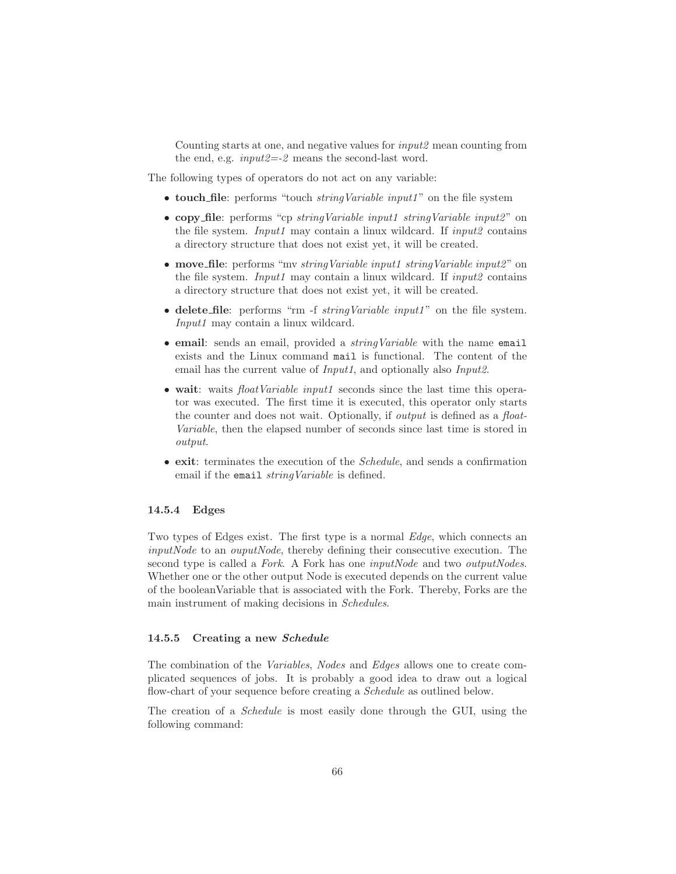Counting starts at one, and negative values for *input2* mean counting from the end, e.g. *input2=-2* means the second-last word.

The following types of operators do not act on any variable:

- touch file: performs "touch *stringVariable input1* " on the file system
- copy file: performs "cp *stringVariable input1 stringVariable input2* " on the file system. *Input1* may contain a linux wildcard. If *input2* contains a directory structure that does not exist yet, it will be created.
- move file: performs "mv *stringVariable input1 stringVariable input2* " on the file system. *Input1* may contain a linux wildcard. If *input2* contains a directory structure that does not exist yet, it will be created.
- delete file: performs "rm -f *stringVariable input1* " on the file system. *Input1* may contain a linux wildcard.
- email: sends an email, provided a *stringVariable* with the name email exists and the Linux command mail is functional. The content of the email has the current value of *Input1*, and optionally also *Input2*.
- wait: waits *floatVariable input1* seconds since the last time this operator was executed. The first time it is executed, this operator only starts the counter and does not wait. Optionally, if *output* is defined as a *float-Variable*, then the elapsed number of seconds since last time is stored in *output*.
- exit: terminates the execution of the *Schedule*, and sends a confirmation email if the email *stringVariable* is defined.

### 14.5.4 Edges

Two types of Edges exist. The first type is a normal *Edge*, which connects an *inputNode* to an *ouputNode*, thereby defining their consecutive execution. The second type is called a *Fork*. A Fork has one *inputNode* and two *outputNodes*. Whether one or the other output Node is executed depends on the current value of the booleanVariable that is associated with the Fork. Thereby, Forks are the main instrument of making decisions in *Schedules*.

### 14.5.5 Creating a new Schedule

The combination of the *Variables*, *Nodes* and *Edges* allows one to create complicated sequences of jobs. It is probably a good idea to draw out a logical flow-chart of your sequence before creating a *Schedule* as outlined below.

The creation of a *Schedule* is most easily done through the GUI, using the following command: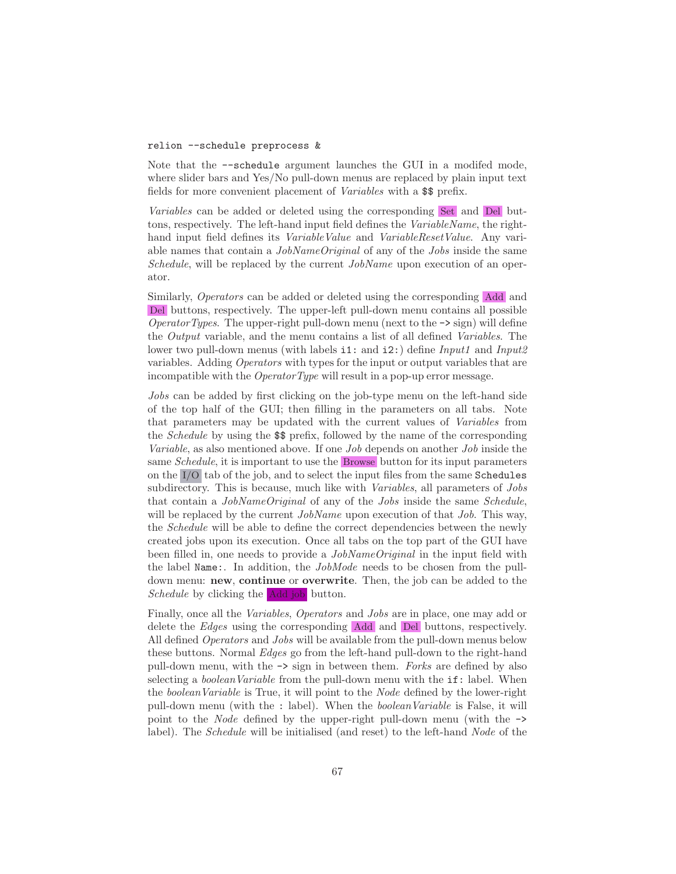### relion --schedule preprocess &

Note that the --schedule argument launches the GUI in a modifed mode, where slider bars and Yes/No pull-down menus are replaced by plain input text fields for more convenient placement of *Variables* with a \$\$ prefix.

*Variables* can be added or deleted using the corresponding Set and Del buttons, respectively. The left-hand input field defines the *VariableName*, the righthand input field defines its *VariableValue* and *VariableResetValue*. Any variable names that contain a *JobNameOriginal* of any of the *Jobs* inside the same *Schedule*, will be replaced by the current *JobName* upon execution of an operator.

Similarly, *Operators* can be added or deleted using the corresponding Add and Del buttons, respectively. The upper-left pull-down menu contains all possible *OperatorTypes*. The upper-right pull-down menu (next to the  $\rightarrow$  sign) will define the *Output* variable, and the menu contains a list of all defined *Variables*. The lower two pull-down menus (with labels i1: and i2:) define *Input1* and *Input2* variables. Adding *Operators* with types for the input or output variables that are incompatible with the *OperatorType* will result in a pop-up error message.

*Jobs* can be added by first clicking on the job-type menu on the left-hand side of the top half of the GUI; then filling in the parameters on all tabs. Note that parameters may be updated with the current values of *Variables* from the *Schedule* by using the \$\$ prefix, followed by the name of the corresponding *Variable*, as also mentioned above. If one *Job* depends on another *Job* inside the same *Schedule*, it is important to use the Browse button for its input parameters on the I/O tab of the job, and to select the input files from the same Schedules subdirectory. This is because, much like with *Variables*, all parameters of *Jobs* that contain a *JobNameOriginal* of any of the *Jobs* inside the same *Schedule*, will be replaced by the current *JobName* upon execution of that *Job*. This way, the *Schedule* will be able to define the correct dependencies between the newly created jobs upon its execution. Once all tabs on the top part of the GUI have been filled in, one needs to provide a *JobNameOriginal* in the input field with the label Name:. In addition, the *JobMode* needs to be chosen from the pulldown menu: new, continue or overwrite. Then, the job can be added to the *Schedule* by clicking the Add job button.

Finally, once all the *Variables*, *Operators* and *Jobs* are in place, one may add or delete the *Edges* using the corresponding Add and Del buttons, respectively. All defined *Operators* and *Jobs* will be available from the pull-down menus below these buttons. Normal *Edges* go from the left-hand pull-down to the right-hand pull-down menu, with the -> sign in between them. *Forks* are defined by also selecting a *booleanVariable* from the pull-down menu with the if: label. When the *booleanVariable* is True, it will point to the *Node* defined by the lower-right pull-down menu (with the : label). When the *booleanVariable* is False, it will point to the *Node* defined by the upper-right pull-down menu (with the -> label). The *Schedule* will be initialised (and reset) to the left-hand *Node* of the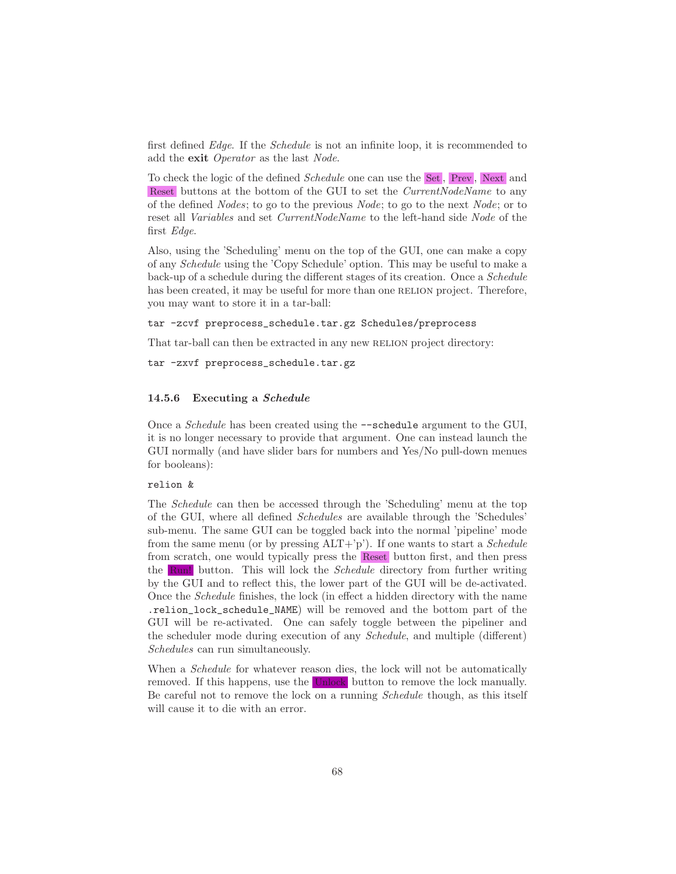first defined *Edge*. If the *Schedule* is not an infinite loop, it is recommended to add the exit *Operator* as the last *Node*.

To check the logic of the defined *Schedule* one can use the Set , Prev , Next and Reset buttons at the bottom of the GUI to set the *CurrentNodeName* to any of the defined *Nodes*; to go to the previous *Node*; to go to the next *Node*; or to reset all *Variables* and set *CurrentNodeName* to the left-hand side *Node* of the first *Edge*.

Also, using the 'Scheduling' menu on the top of the GUI, one can make a copy of any *Schedule* using the 'Copy Schedule' option. This may be useful to make a back-up of a schedule during the different stages of its creation. Once a *Schedule* has been created, it may be useful for more than one RELION project. Therefore, you may want to store it in a tar-ball:

tar -zcvf preprocess\_schedule.tar.gz Schedules/preprocess

That tar-ball can then be extracted in any new RELION project directory:

tar -zxvf preprocess\_schedule.tar.gz

#### 14.5.6 Executing a Schedule

Once a *Schedule* has been created using the --schedule argument to the GUI, it is no longer necessary to provide that argument. One can instead launch the GUI normally (and have slider bars for numbers and Yes/No pull-down menues for booleans):

### relion &

The *Schedule* can then be accessed through the 'Scheduling' menu at the top of the GUI, where all defined *Schedules* are available through the 'Schedules' sub-menu. The same GUI can be toggled back into the normal 'pipeline' mode from the same menu (or by pressing ALT+'p'). If one wants to start a *Schedule* from scratch, one would typically press the Reset button first, and then press the Run! button. This will lock the *Schedule* directory from further writing by the GUI and to reflect this, the lower part of the GUI will be de-activated. Once the *Schedule* finishes, the lock (in effect a hidden directory with the name .relion\_lock\_schedule\_NAME) will be removed and the bottom part of the GUI will be re-activated. One can safely toggle between the pipeliner and the scheduler mode during execution of any *Schedule*, and multiple (different) *Schedules* can run simultaneously.

When a *Schedule* for whatever reason dies, the lock will not be automatically removed. If this happens, use the Unlock button to remove the lock manually. Be careful not to remove the lock on a running *Schedule* though, as this itself will cause it to die with an error.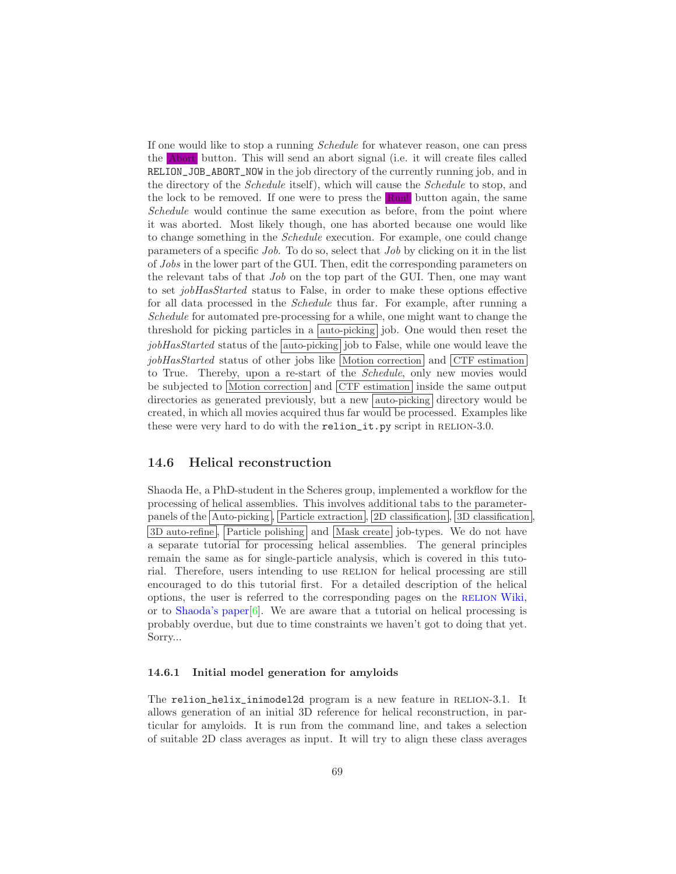If one would like to stop a running *Schedule* for whatever reason, one can press the Abort button. This will send an abort signal (i.e. it will create files called RELION\_JOB\_ABORT\_NOW in the job directory of the currently running job, and in the directory of the *Schedule* itself), which will cause the *Schedule* to stop, and the lock to be removed. If one were to press the Run! button again, the same *Schedule* would continue the same execution as before, from the point where it was aborted. Most likely though, one has aborted because one would like to change something in the *Schedule* execution. For example, one could change parameters of a specific *Job*. To do so, select that *Job* by clicking on it in the list of *Jobs* in the lower part of the GUI. Then, edit the corresponding parameters on the relevant tabs of that *Job* on the top part of the GUI. Then, one may want to set *jobHasStarted* status to False, in order to make these options effective for all data processed in the *Schedule* thus far. For example, after running a *Schedule* for automated pre-processing for a while, one might want to change the threshold for picking particles in a  $|$  auto-picking job. One would then reset the *jobHasStarted* status of the auto-picking job to False, while one would leave the *jobHasStarted* status of other jobs like Motion correction and CTF estimation to True. Thereby, upon a re-start of the *Schedule*, only new movies would be subjected to Motion correction and CTF estimation inside the same output directories as generated previously, but a new **auto-picking** directory would be created, in which all movies acquired thus far would be processed. Examples like these were very hard to do with the relion\_it.py script in RELION-3.0.

### 14.6 Helical reconstruction

Shaoda He, a PhD-student in the Scheres group, implemented a workflow for the processing of helical assemblies. This involves additional tabs to the parameterpanels of the  $\boxed{\text{Auto-picking}}$ ,  $\boxed{\text{Particle extraction}}$ ,  $\boxed{2D \text{ classification}}$ ,  $\boxed{3D \text{ classification}}$ 3D auto-refine, Particle polishing and Mask create job-types. We do not have a separate tutorial for processing helical assemblies. The general principles remain the same as for single-particle analysis, which is covered in this tutorial. Therefore, users intending to use RELION for helical processing are still encouraged to do this tutorial first. For a detailed description of the helical options, the user is referred to the corresponding pages on the [relion](http://www2.mrc-lmb.cam.ac.uk/relion/index.php/Helical_processing) Wiki, or to [Shaoda's paper\[](https://doi.org/10.1016/j.jsb.2017.02.003)[6](#page-70-8)]. We are aware that a tutorial on helical processing is probably overdue, but due to time constraints we haven't got to doing that yet. Sorry...

### 14.6.1 Initial model generation for amyloids

The relion\_helix\_inimodel2d program is a new feature in RELION-3.1. It allows generation of an initial 3D reference for helical reconstruction, in particular for amyloids. It is run from the command line, and takes a selection of suitable 2D class averages as input. It will try to align these class averages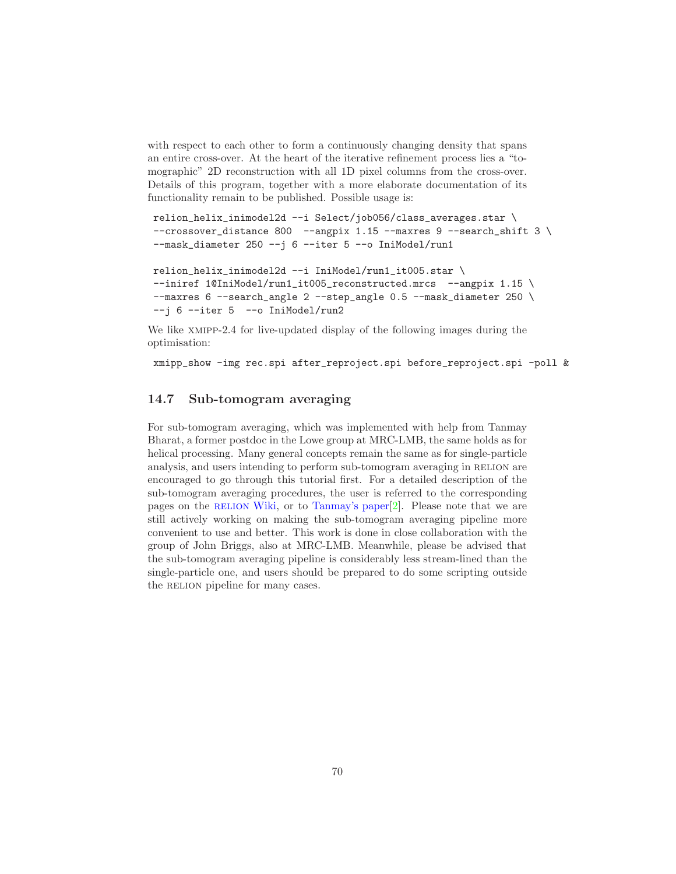with respect to each other to form a continuously changing density that spans an entire cross-over. At the heart of the iterative refinement process lies a "tomographic" 2D reconstruction with all 1D pixel columns from the cross-over. Details of this program, together with a more elaborate documentation of its functionality remain to be published. Possible usage is:

```
relion_helix_inimodel2d --i Select/job056/class_averages.star \
--crossover_distance 800 --angpix 1.15 --maxres 9 --search_shift 3 \
-mask_diameter 250 -j 6 -iter 5 -o IniModel/run1
relion_helix_inimodel2d --i IniModel/run1_it005.star \
--iniref 1@IniModel/run1_it005_reconstructed.mrcs --angpix 1.15 \
--maxres 6 --search_angle 2 --step_angle 0.5 --mask_diameter 250 \
--j 6 --iter 5 --o IniModel/run2
```
We like xmipp-2.4 for live-updated display of the following images during the optimisation:

xmipp\_show -img rec.spi after\_reproject.spi before\_reproject.spi -poll &

## 14.7 Sub-tomogram averaging

For sub-tomogram averaging, which was implemented with help from Tanmay Bharat, a former postdoc in the Lowe group at MRC-LMB, the same holds as for helical processing. Many general concepts remain the same as for single-particle analysis, and users intending to perform sub-tomogram averaging in RELION are encouraged to go through this tutorial first. For a detailed description of the sub-tomogram averaging procedures, the user is referred to the corresponding pages on the RELION Wiki, or to [Tanmay's paper\[](http://dx.doi.org/10.1016/j.str.2015.06.026)[2\]](#page-70-9). Please note that we are still actively working on making the sub-tomogram averaging pipeline more convenient to use and better. This work is done in close collaboration with the group of John Briggs, also at MRC-LMB. Meanwhile, please be advised that the sub-tomogram averaging pipeline is considerably less stream-lined than the single-particle one, and users should be prepared to do some scripting outside the RELION pipeline for many cases.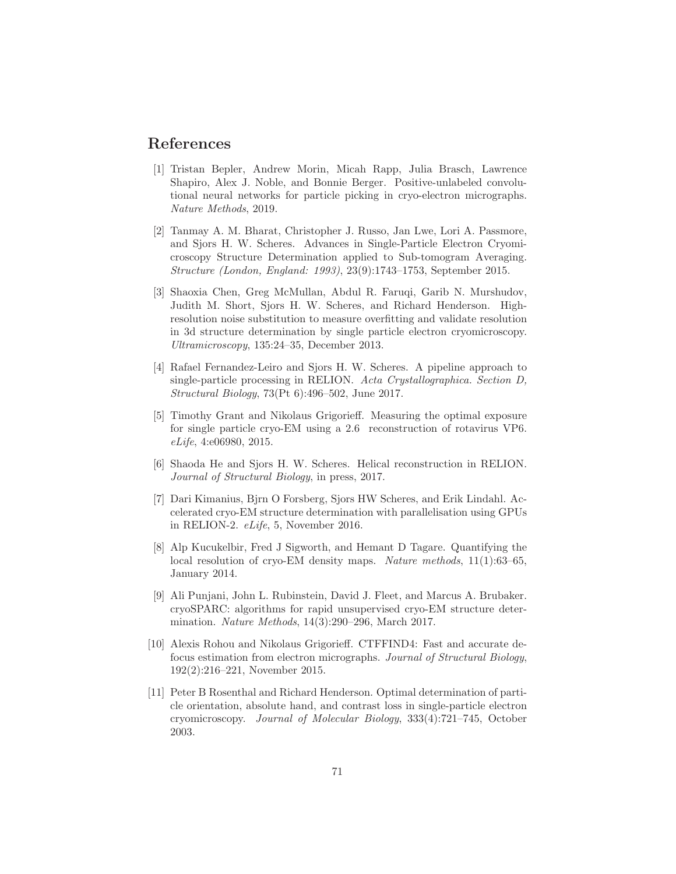## References

- <span id="page-70-7"></span>[1] Tristan Bepler, Andrew Morin, Micah Rapp, Julia Brasch, Lawrence Shapiro, Alex J. Noble, and Bonnie Berger. Positive-unlabeled convolutional neural networks for particle picking in cryo-electron micrographs. *Nature Methods*, 2019.
- <span id="page-70-9"></span>[2] Tanmay A. M. Bharat, Christopher J. Russo, Jan Lwe, Lori A. Passmore, and Sjors H. W. Scheres. Advances in Single-Particle Electron Cryomicroscopy Structure Determination applied to Sub-tomogram Averaging. *Structure (London, England: 1993)*, 23(9):1743–1753, September 2015.
- <span id="page-70-0"></span>[3] Shaoxia Chen, Greg McMullan, Abdul R. Faruqi, Garib N. Murshudov, Judith M. Short, Sjors H. W. Scheres, and Richard Henderson. Highresolution noise substitution to measure overfitting and validate resolution in 3d structure determination by single particle electron cryomicroscopy. *Ultramicroscopy*, 135:24–35, December 2013.
- <span id="page-70-5"></span>[4] Rafael Fernandez-Leiro and Sjors H. W. Scheres. A pipeline approach to single-particle processing in RELION. *Acta Crystallographica. Section D, Structural Biology*, 73(Pt 6):496–502, June 2017.
- <span id="page-70-3"></span>[5] Timothy Grant and Nikolaus Grigorieff. Measuring the optimal exposure for single particle cryo-EM using a 2.6 reconstruction of rotavirus VP6. *eLife*, 4:e06980, 2015.
- <span id="page-70-8"></span>[6] Shaoda He and Sjors H. W. Scheres. Helical reconstruction in RELION. *Journal of Structural Biology*, in press, 2017.
- <span id="page-70-6"></span>[7] Dari Kimanius, Bjrn O Forsberg, Sjors HW Scheres, and Erik Lindahl. Accelerated cryo-EM structure determination with parallelisation using GPUs in RELION-2. *eLife*, 5, November 2016.
- <span id="page-70-2"></span>[8] Alp Kucukelbir, Fred J Sigworth, and Hemant D Tagare. Quantifying the local resolution of cryo-EM density maps. *Nature methods*, 11(1):63–65, January 2014.
- [9] Ali Punjani, John L. Rubinstein, David J. Fleet, and Marcus A. Brubaker. cryoSPARC: algorithms for rapid unsupervised cryo-EM structure determination. *Nature Methods*, 14(3):290–296, March 2017.
- <span id="page-70-4"></span>[10] Alexis Rohou and Nikolaus Grigorieff. CTFFIND4: Fast and accurate defocus estimation from electron micrographs. *Journal of Structural Biology*, 192(2):216–221, November 2015.
- <span id="page-70-1"></span>[11] Peter B Rosenthal and Richard Henderson. Optimal determination of particle orientation, absolute hand, and contrast loss in single-particle electron cryomicroscopy. *Journal of Molecular Biology*, 333(4):721–745, October 2003.